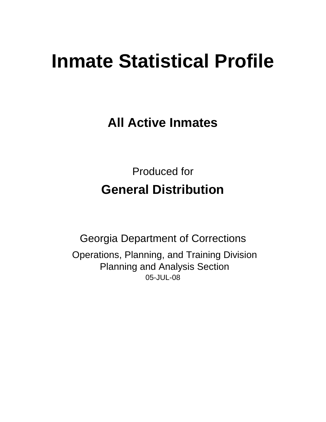# **Inmate Statistical Profile**

**All Active Inmates**

Produced for **General Distribution**

05-JUL-08 Georgia Department of Corrections Operations, Planning, and Training Division Planning and Analysis Section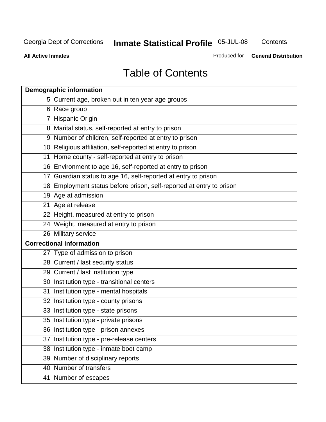**Contents** 

**All Active Inmates**

Produced for **General Distribution**

# Table of Contents

| <b>Demographic information</b>                                       |  |
|----------------------------------------------------------------------|--|
| 5 Current age, broken out in ten year age groups                     |  |
| 6 Race group                                                         |  |
| 7 Hispanic Origin                                                    |  |
| 8 Marital status, self-reported at entry to prison                   |  |
| 9 Number of children, self-reported at entry to prison               |  |
| 10 Religious affiliation, self-reported at entry to prison           |  |
| 11 Home county - self-reported at entry to prison                    |  |
| 16 Environment to age 16, self-reported at entry to prison           |  |
| 17 Guardian status to age 16, self-reported at entry to prison       |  |
| 18 Employment status before prison, self-reported at entry to prison |  |
| 19 Age at admission                                                  |  |
| 21 Age at release                                                    |  |
| 22 Height, measured at entry to prison                               |  |
| 24 Weight, measured at entry to prison                               |  |
| 26 Military service                                                  |  |
| <b>Correctional information</b>                                      |  |
| 27 Type of admission to prison                                       |  |
| 28 Current / last security status                                    |  |
| 29 Current / last institution type                                   |  |
| 30 Institution type - transitional centers                           |  |
| 31 Institution type - mental hospitals                               |  |
| 32 Institution type - county prisons                                 |  |
| 33 Institution type - state prisons                                  |  |
| 35 Institution type - private prisons                                |  |
| 36 Institution type - prison annexes                                 |  |
| 37 Institution type - pre-release centers                            |  |
| 38 Institution type - inmate boot camp                               |  |
| 39 Number of disciplinary reports                                    |  |
| 40 Number of transfers                                               |  |
| 41 Number of escapes                                                 |  |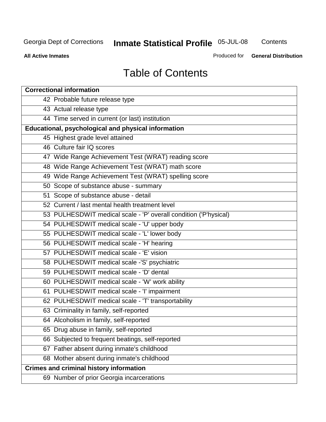**Contents** 

**All Active Inmates**

Produced for **General Distribution**

# Table of Contents

| <b>Correctional information</b>                                  |
|------------------------------------------------------------------|
| 42 Probable future release type                                  |
| 43 Actual release type                                           |
| 44 Time served in current (or last) institution                  |
| Educational, psychological and physical information              |
| 45 Highest grade level attained                                  |
| 46 Culture fair IQ scores                                        |
| 47 Wide Range Achievement Test (WRAT) reading score              |
| 48 Wide Range Achievement Test (WRAT) math score                 |
| 49 Wide Range Achievement Test (WRAT) spelling score             |
| 50 Scope of substance abuse - summary                            |
| 51 Scope of substance abuse - detail                             |
| 52 Current / last mental health treatment level                  |
| 53 PULHESDWIT medical scale - 'P' overall condition ('P'hysical) |
| 54 PULHESDWIT medical scale - 'U' upper body                     |
| 55 PULHESDWIT medical scale - 'L' lower body                     |
| 56 PULHESDWIT medical scale - 'H' hearing                        |
| 57 PULHESDWIT medical scale - 'E' vision                         |
| 58 PULHESDWIT medical scale -'S' psychiatric                     |
| 59 PULHESDWIT medical scale - 'D' dental                         |
| 60 PULHESDWIT medical scale - 'W' work ability                   |
| 61 PULHESDWIT medical scale - 'I' impairment                     |
| 62 PULHESDWIT medical scale - 'T' transportability               |
| 63 Criminality in family, self-reported                          |
| 64 Alcoholism in family, self-reported                           |
| 65 Drug abuse in family, self-reported                           |
| 66 Subjected to frequent beatings, self-reported                 |
| 67 Father absent during inmate's childhood                       |
| 68 Mother absent during inmate's childhood                       |
| <b>Crimes and criminal history information</b>                   |
| 69 Number of prior Georgia incarcerations                        |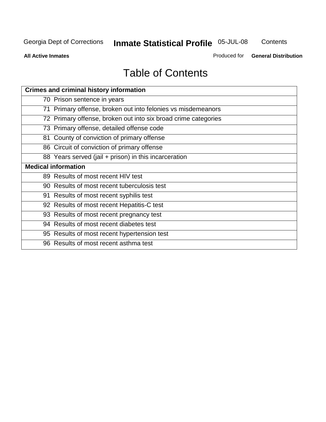**Contents** 

**All Active Inmates**

Produced for **General Distribution**

# Table of Contents

| <b>Crimes and criminal history information</b>                 |
|----------------------------------------------------------------|
| 70 Prison sentence in years                                    |
| 71 Primary offense, broken out into felonies vs misdemeanors   |
| 72 Primary offense, broken out into six broad crime categories |
| 73 Primary offense, detailed offense code                      |
| 81 County of conviction of primary offense                     |
| 86 Circuit of conviction of primary offense                    |
| 88 Years served (jail + prison) in this incarceration          |
| <b>Medical information</b>                                     |
| 89 Results of most recent HIV test                             |
| 90 Results of most recent tuberculosis test                    |
| 91 Results of most recent syphilis test                        |
| 92 Results of most recent Hepatitis-C test                     |
| 93 Results of most recent pregnancy test                       |
| 94 Results of most recent diabetes test                        |
| 95 Results of most recent hypertension test                    |
| 96 Results of most recent asthma test                          |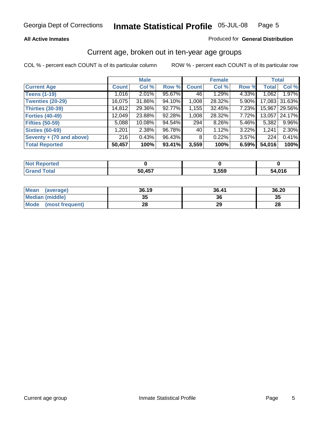#### **All Active Inmates**

#### Produced for **General Distribution**

### Current age, broken out in ten-year age groups

|                          |              | <b>Male</b> |        |                | <b>Female</b> |          |              | <b>Total</b> |
|--------------------------|--------------|-------------|--------|----------------|---------------|----------|--------------|--------------|
| <b>Current Age</b>       | <b>Count</b> | Col %       | Row %  | <b>Count</b>   | Col %         | Row %    | <b>Total</b> | Col %        |
| <b>Teens (1-19)</b>      | 1,016        | $2.01\%$    | 95.67% | 46             | 1.29%         | 4.33%    | 1,062        | 1.97%        |
| <b>Twenties (20-29)</b>  | 16,075       | 31.86%      | 94.10% | 1,008          | 28.32%        | 5.90%    | 17,083       | 31.63%       |
| <b>Thirties (30-39)</b>  | 14,812       | 29.36%      | 92.77% | 1,155          | 32.45%        | 7.23%    | 15,967       | 29.56%       |
| <b>Forties (40-49)</b>   | 12,049       | 23.88%      | 92.28% | 1,008          | 28.32%        | 7.72%    | 13,057       | 24.17%       |
| <b>Fifties (50-59)</b>   | 5,088        | $10.08\%$   | 94.54% | 294            | $8.26\%$      | $5.46\%$ | 5,382        | 9.96%        |
| <b>Sixties (60-69)</b>   | 1,201        | 2.38%       | 96.78% | 40             | 1.12%         | 3.22%    | 1,241        | 2.30%        |
| Seventy + (70 and above) | 216          | 0.43%       | 96.43% | 8 <sup>1</sup> | 0.22%         | 3.57%    | 224          | 0.41%        |
| <b>Total Reported</b>    | 50,457       | 100%        | 93.41% | 3,559          | 100%          | 6.59%    | 54,016       | 100%         |

| $'$ Not $\vdash$<br><b>Construction and</b><br>rted |        |       |        |
|-----------------------------------------------------|--------|-------|--------|
| <b>Fotal</b>                                        | 50,457 | 3,559 | 51 N1C |

| <b>Mean</b><br>(average)       | 36.19     | 36.41 | 36.20 |
|--------------------------------|-----------|-------|-------|
| Median (middle)                | 25<br>JJ. | 36    | 35    |
| <b>Mode</b><br>(most frequent) | ററ<br>20  | 29    | 28    |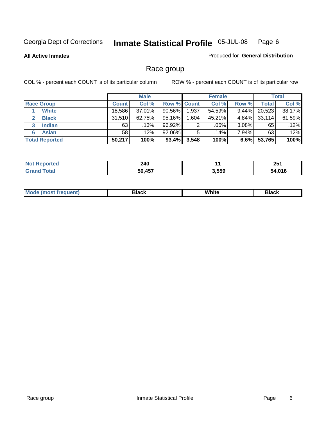#### **All Active Inmates**

#### Produced for **General Distribution**

# Race group

|                       |              | <b>Male</b> |             |       | <b>Female</b> |          |        | <b>Total</b> |
|-----------------------|--------------|-------------|-------------|-------|---------------|----------|--------|--------------|
| <b>Race Group</b>     | <b>Count</b> | Col %       | Row % Count |       | Col %         | Row %    | Total  | Col %        |
| <b>White</b>          | 18,586       | 37.01%      | $90.56\%$   | 1,937 | 54.59%        | 9.44%    | 20,523 | 38.17%       |
| <b>Black</b>          | 31,510       | 62.75%      | 95.16%      | .604  | 45.21%        | 4.84%    | 33,114 | 61.59%       |
| <b>Indian</b><br>3    | 63           | .13%        | 96.92%      | 2     | .06%          | $3.08\%$ | 65     | .12%         |
| <b>Asian</b>          | 58           | .12%        | 92.06%      | 5     | .14%          | 7.94%    | 63     | .12%         |
| <b>Total Reported</b> | 50,217       | 100%        | 93.4%       | 3,548 | 100%          | 6.6%     | 53,765 | 100%         |

| 240<br>$\sim$          |       | つにィ<br>ZJ I   |
|------------------------|-------|---------------|
| <b>A57</b><br>-0<br>71 | 3,559 | 58 N.A<br>. . |

|  | $Mc$ | Black | White<br>$ -$ | 21904<br>DIACK |
|--|------|-------|---------------|----------------|
|--|------|-------|---------------|----------------|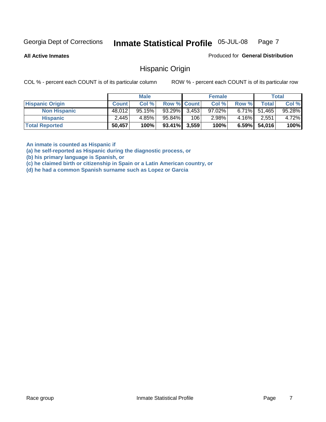**All Active Inmates**

Produced for **General Distribution**

### Hispanic Origin

COL % - percent each COUNT is of its particular column ROW % - percent each COUNT is of its particular row

|                        |              | <b>Male</b> |                    |     | <b>Female</b> |          |                 | Total  |
|------------------------|--------------|-------------|--------------------|-----|---------------|----------|-----------------|--------|
| <b>Hispanic Origin</b> | <b>Count</b> | Col %       | <b>Row % Count</b> |     | Col %         | Row %    | Total           | Col %  |
| <b>Non Hispanic</b>    | 48,012       | $95.15\%$   | $93.29\%$ 3.453    |     | $97.02\%$     |          | $6.71\%$ 51,465 | 95.28% |
| <b>Hispanic</b>        | 2,445        | 4.85%       | 95.84%             | 106 | 2.98%         | $4.16\%$ | 2.551           | 4.72%  |
| <b>Total Reported</b>  | 50,457       | 100%        | $93.41\%$ 3,559    |     | 100%          | $6.59\%$ | 54,016          | 100%   |

**An inmate is counted as Hispanic if** 

**(a) he self-reported as Hispanic during the diagnostic process, or** 

**(b) his primary language is Spanish, or** 

**(c) he claimed birth or citizenship in Spain or a Latin American country, or** 

**(d) he had a common Spanish surname such as Lopez or Garcia**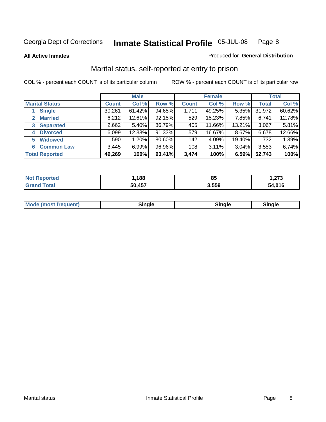**All Active Inmates**

#### Produced for **General Distribution**

# Marital status, self-reported at entry to prison

|                                | <b>Male</b>  |           |        | <b>Female</b> |        |          | <b>Total</b> |        |
|--------------------------------|--------------|-----------|--------|---------------|--------|----------|--------------|--------|
| <b>Marital Status</b>          | <b>Count</b> | Col %     | Row %  | <b>Count</b>  | Col %  | Row %    | <b>Total</b> | Col %  |
| <b>Single</b>                  | 30,261       | $61.42\%$ | 94.65% | 1,711         | 49.25% | $5.35\%$ | 31,972       | 60.62% |
| <b>Married</b><br>$\mathbf{2}$ | 6,212        | 12.61%    | 92.15% | 529           | 15.23% | 7.85%    | 6,741        | 12.78% |
| <b>Separated</b><br>3          | 2,662        | $5.40\%$  | 86.79% | 405           | 11.66% | 13.21%   | 3,067        | 5.81%  |
| <b>Divorced</b><br>4           | 6,099        | 12.38%    | 91.33% | 579           | 16.67% | 8.67%    | 6,678        | 12.66% |
| <b>Widowed</b><br>5            | 590          | 1.20%     | 80.60% | 142           | 4.09%  | 19.40%   | 732          | 1.39%  |
| <b>Common Law</b><br>6         | 3,445        | 6.99%     | 96.96% | 108           | 3.11%  | 3.04%    | 3,553        | 6.74%  |
| <b>Total Reported</b>          | 49,269       | 100%      | 93.41% | 3,474         | 100%   | 6.59%    | 52,743       | 100%   |

| nu c            | .188      | ᅂ<br>၀၁        | ^7^    |
|-----------------|-----------|----------------|--------|
| $\sim$ 4 $\sim$ | A57<br>50 | ろ ビビの<br>ບ.ບບປ | 54.016 |

|  | <b>Mode (most frequent)</b> | ж | <b>nale</b> | Sinale |
|--|-----------------------------|---|-------------|--------|
|--|-----------------------------|---|-------------|--------|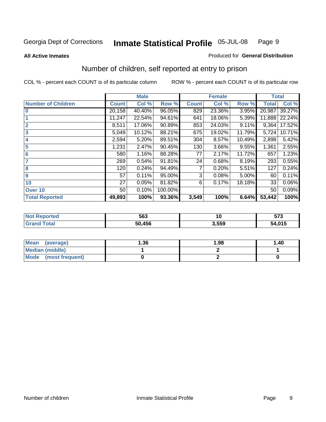#### **All Active Inmates**

#### Produced for **General Distribution**

# Number of children, self reported at entry to prison

|                           |              | <b>Male</b> |         |              | <b>Female</b> |        | <b>Total</b> |        |
|---------------------------|--------------|-------------|---------|--------------|---------------|--------|--------------|--------|
| <b>Number of Children</b> | <b>Count</b> | Col %       | Row %   | <b>Count</b> | Col %         | Row %  | <b>Total</b> | Col %  |
| $\bf{0}$                  | 20,158       | 40.40%      | 96.05%  | 829          | 23.36%        | 3.95%  | 20,987       | 39.27% |
|                           | 11,247       | 22.54%      | 94.61%  | 641          | 18.06%        | 5.39%  | 11,888       | 22.24% |
| $\overline{2}$            | 8,511        | 17.06%      | 90.89%  | 853          | 24.03%        | 9.11%  | 9,364        | 17.52% |
| 3                         | 5,049        | 10.12%      | 88.21%  | 675          | 19.02%        | 11.79% | 5,724        | 10.71% |
| 4                         | 2,594        | 5.20%       | 89.51%  | 304          | 8.57%         | 10.49% | 2,898        | 5.42%  |
| 5                         | 1,231        | 2.47%       | 90.45%  | 130          | 3.66%         | 9.55%  | 1,361        | 2.55%  |
| $6\phantom{a}$            | 580          | 1.16%       | 88.28%  | 77           | 2.17%         | 11.72% | 657          | 1.23%  |
| 7                         | 269          | 0.54%       | 91.81%  | 24           | 0.68%         | 8.19%  | 293          | 0.55%  |
| 8                         | 120          | 0.24%       | 94.49%  | 7            | 0.20%         | 5.51%  | 127          | 0.24%  |
| 9                         | 57           | 0.11%       | 95.00%  | 3            | 0.08%         | 5.00%  | 60           | 0.11%  |
| 10                        | 27           | 0.05%       | 81.82%  | 6            | 0.17%         | 18.18% | 33           | 0.06%  |
| Over 10                   | 50           | 0.10%       | 100.00% |              |               |        | 50           | 0.09%  |
| <b>Total Reported</b>     | 49,893       | 100%        | 93.36%  | 3,549        | 100%          | 6.64%  | 53,442       | 100%   |

| 563           | 1V   | <b>F70</b><br>ง เ ง |
|---------------|------|---------------------|
| <b>50 156</b> | .559 | 54,015              |

| Mean<br>(average)              | 36. ا | 1.98 | 1.40 |
|--------------------------------|-------|------|------|
| <b>Median (middle)</b>         |       |      |      |
| <b>Mode</b><br>(most frequent) |       |      |      |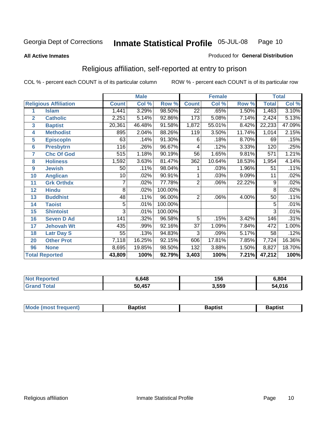#### **All Active Inmates**

#### Produced for **General Distribution**

# Religious affiliation, self-reported at entry to prison

|                  |                              |              | <b>Male</b> |                      | <b>Female</b>   |        |        | <b>Total</b>    |        |  |
|------------------|------------------------------|--------------|-------------|----------------------|-----------------|--------|--------|-----------------|--------|--|
|                  | <b>Religious Affiliation</b> | <b>Count</b> | Col %       | Row %                | <b>Count</b>    | Col %  | Row %  | <b>Total</b>    | Col %  |  |
| 1                | <b>Islam</b>                 | 1,441        | 3.29%       | 98.50%               | $\overline{22}$ | .65%   | 1.50%  | 1,463           | 3.10%  |  |
| $\overline{2}$   | <b>Catholic</b>              | 2,251        | 5.14%       | 92.86%               | 173             | 5.08%  | 7.14%  | 2,424           | 5.13%  |  |
| $\mathbf{3}$     | <b>Baptist</b>               | 20,361       | 46.48%      | 91.58%               | 1,872           | 55.01% | 8.42%  | 22,233          | 47.09% |  |
| 4                | <b>Methodist</b>             | 895          | 2.04%       | 88.26%               | 119             | 3.50%  | 11.74% | 1,014           | 2.15%  |  |
| 5                | <b>EpiscopIn</b>             | 63           | .14%        | 91.30%               | 6               | .18%   | 8.70%  | 69              | .15%   |  |
| $6\phantom{a}$   | <b>Presbytrn</b>             | 116          | .26%        | 96.67%               | 4               | .12%   | 3.33%  | 120             | .25%   |  |
| 7                | <b>Chc Of God</b>            | 515          | 1.18%       | $\overline{90.19\%}$ | 56              | 1.65%  | 9.81%  | 571             | 1.21%  |  |
| 8                | <b>Holiness</b>              | 1,592        | 3.63%       | 81.47%               | 362             | 10.64% | 18.53% | 1,954           | 4.14%  |  |
| $\boldsymbol{9}$ | <b>Jewish</b>                | 50           | .11%        | 98.04%               |                 | .03%   | 1.96%  | 51              | .11%   |  |
| 10               | <b>Anglican</b>              | 10           | .02%        | 90.91%               |                 | .03%   | 9.09%  | 11              | .02%   |  |
| 11               | <b>Grk Orthdx</b>            |              | .02%        | 77.78%               | 2               | .06%   | 22.22% | 9               | .02%   |  |
| 12               | <b>Hindu</b>                 | 8            | .02%        | 100.00%              |                 |        |        | 8               | .02%   |  |
| 13               | <b>Buddhist</b>              | 48           | .11%        | 96.00%               | $\overline{2}$  | .06%   | 4.00%  | $\overline{50}$ | .11%   |  |
| 14               | <b>Taoist</b>                | 5            | .01%        | 100.00%              |                 |        |        | 5               | .01%   |  |
| 15               | <b>Shintoist</b>             | 3            | .01%        | 100.00%              |                 |        |        | 3               | .01%   |  |
| 16               | <b>Seven D Ad</b>            | 141          | .32%        | 96.58%               | 5               | .15%   | 3.42%  | 146             | .31%   |  |
| 17               | <b>Jehovah Wt</b>            | 435          | .99%        | 92.16%               | $\overline{37}$ | 1.09%  | 7.84%  | 472             | 1.00%  |  |
| 18               | <b>Latr Day S</b>            | 55           | .13%        | 94.83%               | 3               | .09%   | 5.17%  | 58              | .12%   |  |
| 20               | <b>Other Prot</b>            | 7,118        | 16.25%      | 92.15%               | 606             | 17.81% | 7.85%  | 7,724           | 16.36% |  |
| 96               | <b>None</b>                  | 8,695        | 19.85%      | 98.50%               | 132             | 3.88%  | 1.50%  | 8,827           | 18.70% |  |
|                  | <b>Total Reported</b>        | 43,809       | 100%        | 92.79%               | 3,403           | 100%   | 7.21%  | 47,212          | 100%   |  |

| rtec | 648,ز  | 156   | 6,804  |
|------|--------|-------|--------|
|      | 50,457 | 3,559 | 54,016 |

| Mode (most frequent)<br>Baptist<br>Baptist<br><b>Baptist</b> |
|--------------------------------------------------------------|
|--------------------------------------------------------------|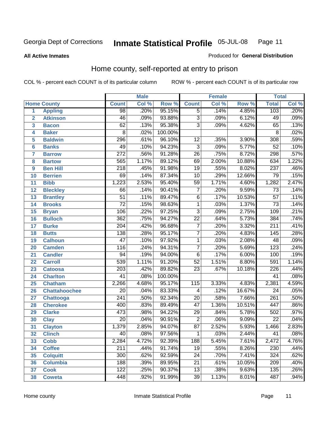#### **All Active Inmates**

#### Produced for **General Distribution**

# Home county, self-reported at entry to prison

|                |                      |                  | <b>Male</b> |         |                 | <b>Female</b> |        | <b>Total</b>     |       |
|----------------|----------------------|------------------|-------------|---------|-----------------|---------------|--------|------------------|-------|
|                | <b>Home County</b>   | <b>Count</b>     | Col %       | Row %   | <b>Count</b>    | Col %         | Row %  | <b>Total</b>     | Col % |
| 1              | <b>Appling</b>       | 98               | .20%        | 95.15%  | $\overline{5}$  | .14%          | 4.85%  | 103              | .20%  |
| $\overline{2}$ | <b>Atkinson</b>      | 46               | .09%        | 93.88%  | 3               | .09%          | 6.12%  | 49               | .09%  |
| 3              | <b>Bacon</b>         | 62               | .13%        | 95.38%  | $\overline{3}$  | .09%          | 4.62%  | 65               | .13%  |
| 4              | <b>Baker</b>         | $\overline{8}$   | .02%        | 100.00% |                 |               |        | $\overline{8}$   | .02%  |
| 5              | <b>Baldwin</b>       | 296              | .61%        | 96.10%  | 12              | .35%          | 3.90%  | 308              | .59%  |
| $6\phantom{a}$ | <b>Banks</b>         | 49               | .10%        | 94.23%  | $\overline{3}$  | .09%          | 5.77%  | $\overline{52}$  | .10%  |
| $\overline{7}$ | <b>Barrow</b>        | $\overline{272}$ | .56%        | 91.28%  | $\overline{26}$ | .75%          | 8.72%  | 298              | .57%  |
| 8              | <b>Bartow</b>        | 565              | 1.17%       | 89.12%  | 69              | 2.00%         | 10.88% | 634              | 1.22% |
| 9              | <b>Ben Hill</b>      | $\overline{218}$ | .45%        | 91.98%  | $\overline{19}$ | .55%          | 8.02%  | 237              | .46%  |
| 10             | <b>Berrien</b>       | $\overline{69}$  | .14%        | 87.34%  | $\overline{10}$ | .29%          | 12.66% | $\overline{79}$  | .15%  |
| 11             | <b>Bibb</b>          | 1,223            | 2.53%       | 95.40%  | $\overline{59}$ | 1.71%         | 4.60%  | 1,282            | 2.47% |
| 12             | <b>Bleckley</b>      | 66               | .14%        | 90.41%  | $\overline{7}$  | .20%          | 9.59%  | $\overline{73}$  | .14%  |
| 13             | <b>Brantley</b>      | $\overline{51}$  | .11%        | 89.47%  | $\overline{6}$  | .17%          | 10.53% | $\overline{57}$  | .11%  |
| 14             | <b>Brooks</b>        | $\overline{72}$  | .15%        | 98.63%  | $\overline{1}$  | .03%          | 1.37%  | $\overline{73}$  | .14%  |
| 15             | <b>Bryan</b>         | $\overline{106}$ | .22%        | 97.25%  | $\overline{3}$  | .09%          | 2.75%  | 109              | .21%  |
| 16             | <b>Bulloch</b>       | $\overline{362}$ | .75%        | 94.27%  | $\overline{22}$ | .64%          | 5.73%  | 384              | .74%  |
| 17             | <b>Burke</b>         | $\overline{204}$ | .42%        | 96.68%  | $\overline{7}$  | .20%          | 3.32%  | $\overline{211}$ | .41%  |
| 18             | <b>Butts</b>         | 138              | .28%        | 95.17%  | $\overline{7}$  | .20%          | 4.83%  | 145              | .28%  |
| 19             | <b>Calhoun</b>       | $\overline{47}$  | .10%        | 97.92%  | $\overline{1}$  | .03%          | 2.08%  | 48               | .09%  |
| 20             | <b>Camden</b>        | $\overline{116}$ | .24%        | 94.31%  | $\overline{7}$  | .20%          | 5.69%  | $\overline{123}$ | .24%  |
| 21             | <b>Candler</b>       | $\overline{94}$  | .19%        | 94.00%  | $\overline{6}$  | .17%          | 6.00%  | 100              | .19%  |
| 22             | <b>Carroll</b>       | 539              | 1.11%       | 91.20%  | $\overline{52}$ | 1.51%         | 8.80%  | 591              | 1.14% |
| 23             | <b>Catoosa</b>       | $\overline{203}$ | .42%        | 89.82%  | $\overline{23}$ | .67%          | 10.18% | 226              | .44%  |
| 24             | <b>Charlton</b>      | $\overline{41}$  | .08%        | 100.00% |                 |               |        | $\overline{41}$  | .08%  |
| 25             | <b>Chatham</b>       | 2,266            | 4.68%       | 95.17%  | 115             | 3.33%         | 4.83%  | 2,381            | 4.59% |
| 26             | <b>Chattahoochee</b> | $\overline{20}$  | .04%        | 83.33%  | 4               | .12%          | 16.67% | $\overline{24}$  | .05%  |
| 27             | <b>Chattooga</b>     | $\overline{241}$ | .50%        | 92.34%  | $\overline{20}$ | .58%          | 7.66%  | $\overline{261}$ | .50%  |
| 28             | <b>Cherokee</b>      | 400              | .83%        | 89.49%  | $\overline{47}$ | 1.36%         | 10.51% | 447              | .86%  |
| 29             | <b>Clarke</b>        | 473              | .98%        | 94.22%  | $\overline{29}$ | .84%          | 5.78%  | 502              | .97%  |
| 30             | <b>Clay</b>          | $\overline{20}$  | .04%        | 90.91%  | $\overline{2}$  | .06%          | 9.09%  | $\overline{22}$  | .04%  |
| 31             | <b>Clayton</b>       | 1,379            | 2.85%       | 94.07%  | $\overline{87}$ | 2.52%         | 5.93%  | 1,466            | 2.83% |
| 32             | <b>Clinch</b>        | $\overline{40}$  | .08%        | 97.56%  | 1               | .03%          | 2.44%  | 41               | .08%  |
| 33             | <b>Cobb</b>          | 2,284            | 4.72%       | 92.39%  | 188             | 5.45%         | 7.61%  | 2,472            | 4.76% |
| 34             | <b>Coffee</b>        | $\overline{211}$ | .44%        | 91.74%  | $\overline{19}$ | .55%          | 8.26%  | 230              | .44%  |
| 35             | <b>Colquitt</b>      | 300              | .62%        | 92.59%  | $\overline{24}$ | .70%          | 7.41%  | 324              | .62%  |
| 36             | <b>Columbia</b>      | 188              | .39%        | 89.95%  | $\overline{21}$ | .61%          | 10.05% | 209              | .40%  |
| 37             | <b>Cook</b>          | $\overline{122}$ | .25%        | 90.37%  | $\overline{13}$ | .38%          | 9.63%  | 135              | .26%  |
| 38             | <b>Coweta</b>        | 448              | .92%        | 91.99%  | $\overline{39}$ | 1.13%         | 8.01%  | 487              | .94%  |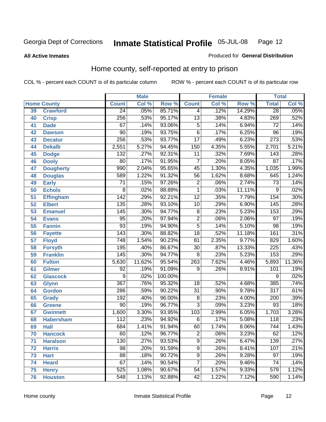#### **All Active Inmates**

#### Produced for **General Distribution**

# Home county, self-reported at entry to prison

|                 |                    |                  | <b>Male</b> |                  |                           | <b>Female</b> |        | <b>Total</b>     |        |
|-----------------|--------------------|------------------|-------------|------------------|---------------------------|---------------|--------|------------------|--------|
|                 | <b>Home County</b> | <b>Count</b>     | Col %       | Row <sup>%</sup> | <b>Count</b>              | Col %         | Row %  | <b>Total</b>     | Col %  |
| 39              | <b>Crawford</b>    | $\overline{24}$  | .05%        | 85.71%           | 4                         | .12%          | 14.29% | $\overline{28}$  | .05%   |
| 40              | <b>Crisp</b>       | 256              | .53%        | 95.17%           | $\overline{13}$           | .38%          | 4.83%  | 269              | .52%   |
| 41              | <b>Dade</b>        | 67               | .14%        | 93.06%           | $\overline{5}$            | .14%          | 6.94%  | $\overline{72}$  | .14%   |
| 42              | <b>Dawson</b>      | $\overline{90}$  | .19%        | 93.75%           | $\overline{6}$            | .17%          | 6.25%  | $\overline{96}$  | .19%   |
| 43              | <b>Decatur</b>     | $\overline{256}$ | .53%        | 93.77%           | $\overline{17}$           | .49%          | 6.23%  | $\overline{273}$ | .53%   |
| 44              | <b>Dekalb</b>      | 2,551            | 5.27%       | 94.45%           | 150                       | 4.35%         | 5.55%  | 2,701            | 5.21%  |
| 45              | <b>Dodge</b>       | $\overline{132}$ | .27%        | 92.31%           | $\overline{11}$           | .32%          | 7.69%  | 143              | .28%   |
| 46              | <b>Dooly</b>       | $\overline{80}$  | .17%        | 91.95%           | $\overline{7}$            | .20%          | 8.05%  | $\overline{87}$  | .17%   |
| 47              | <b>Dougherty</b>   | $\overline{990}$ | 2.04%       | 95.65%           | $\overline{45}$           | 1.30%         | 4.35%  | 1,035            | 1.99%  |
| 48              | <b>Douglas</b>     | 589              | 1.22%       | 91.32%           | $\overline{56}$           | 1.62%         | 8.68%  | 645              | 1.24%  |
| 49              | <b>Early</b>       | $\overline{71}$  | .15%        | 97.26%           | $\overline{2}$            | .06%          | 2.74%  | $\overline{73}$  | .14%   |
| 50              | <b>Echols</b>      | $\overline{8}$   | .02%        | 88.89%           | $\mathbf{1}$              | .03%          | 11.11% | 9                | .02%   |
| $\overline{51}$ | Effingham          | 142              | .29%        | 92.21%           | $\overline{12}$           | .35%          | 7.79%  | 154              | .30%   |
| 52              | <b>Elbert</b>      | 135              | .28%        | 93.10%           | $\overline{10}$           | .29%          | 6.90%  | 145              | .28%   |
| 53              | <b>Emanuel</b>     | 145              | .30%        | 94.77%           | $\overline{8}$            | .23%          | 5.23%  | 153              | .29%   |
| 54              | <b>Evans</b>       | $\overline{95}$  | .20%        | 97.94%           | $\overline{2}$            | .06%          | 2.06%  | $\overline{97}$  | .19%   |
| 55              | <b>Fannin</b>      | 93               | .19%        | 94.90%           | $\overline{5}$            | .14%          | 5.10%  | $\overline{98}$  | .19%   |
| 56              | <b>Fayette</b>     | 143              | .30%        | 88.82%           | $\overline{18}$           | .52%          | 11.18% | 161              | .31%   |
| 57              | <b>Floyd</b>       | 748              | 1.54%       | 90.23%           | $\overline{81}$           | 2.35%         | 9.77%  | 829              | 1.60%  |
| 58              | <b>Forsyth</b>     | 195              | .40%        | 86.67%           | $\overline{30}$           | .87%          | 13.33% | 225              | .43%   |
| 59              | <b>Franklin</b>    | 145              | .30%        | 94.77%           | 8                         | .23%          | 5.23%  | 153              | .29%   |
| 60              | <b>Fulton</b>      | 5,630            | 11.62%      | 95.54%           | $\overline{263}$          | 7.62%         | 4.46%  | 5,893            | 11.36% |
| 61              | Gilmer             | 92               | .19%        | 91.09%           | 9                         | .26%          | 8.91%  | 101              | .19%   |
| 62              | <b>Glascock</b>    | $\overline{9}$   | .02%        | 100.00%          |                           |               |        | 9                | .02%   |
| 63              | <b>Glynn</b>       | $\overline{367}$ | .76%        | 95.32%           | $\overline{18}$           | .52%          | 4.68%  | 385              | .74%   |
| 64              | <b>Gordon</b>      | 286              | .59%        | 90.22%           | $\overline{31}$           | $.90\%$       | 9.78%  | $\overline{317}$ | .61%   |
| 65              | <b>Grady</b>       | 192              | .40%        | 96.00%           | $\overline{8}$            | .23%          | 4.00%  | 200              | .39%   |
| 66              | <b>Greene</b>      | $\overline{90}$  | .19%        | 96.77%           | $\overline{\overline{3}}$ | .09%          | 3.23%  | $\overline{93}$  | .18%   |
| 67              | <b>Gwinnett</b>    | 1,600            | 3.30%       | 93.95%           | 103                       | 2.99%         | 6.05%  | 1,703            | 3.28%  |
| 68              | <b>Habersham</b>   | 112              | .23%        | 94.92%           | 6                         | .17%          | 5.08%  | 118              | .23%   |
| 69              | <b>Hall</b>        | 684              | 1.41%       | 91.94%           | 60                        | 1.74%         | 8.06%  | 744              | 1.43%  |
| 70              | <b>Hancock</b>     | 60               | .12%        | 96.77%           | 2                         | .06%          | 3.23%  | 62               | .12%   |
| 71              | <b>Haralson</b>    | 130              | .27%        | 93.53%           | $\overline{9}$            | .26%          | 6.47%  | 139              | .27%   |
| 72              | <b>Harris</b>      | $\overline{98}$  | .20%        | 91.59%           | $\overline{9}$            | .26%          | 8.41%  | 107              | .21%   |
| 73              | <b>Hart</b>        | $\overline{88}$  | .18%        | 90.72%           | $\overline{9}$            | .26%          | 9.28%  | $\overline{97}$  | .19%   |
| 74              | <b>Heard</b>       | 67               | .14%        | 90.54%           | $\overline{7}$            | .20%          | 9.46%  | 74               | .14%   |
| 75              | <b>Henry</b>       | 525              | 1.08%       | 90.67%           | $\overline{54}$           | 1.57%         | 9.33%  | 579              | 1.12%  |
| 76              | <b>Houston</b>     | 548              | 1.13%       | 92.88%           | $\overline{42}$           | 1.22%         | 7.12%  | 590              | 1.14%  |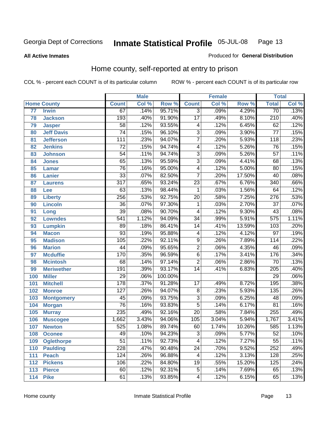#### **All Active Inmates**

#### Produced for **General Distribution**

# Home county, self-reported at entry to prison

|                 |                    |                  | <b>Male</b> |         |                  | <b>Female</b> |        | <b>Total</b>     |                            |
|-----------------|--------------------|------------------|-------------|---------|------------------|---------------|--------|------------------|----------------------------|
|                 | <b>Home County</b> | <b>Count</b>     | Col %       | Row %   | <b>Count</b>     | Col %         | Row %  | <b>Total</b>     | $\overline{\text{Col }\%}$ |
| $\overline{77}$ | <b>Irwin</b>       | 67               | .14%        | 95.71%  | $\overline{3}$   | .09%          | 4.29%  | $\overline{70}$  | .13%                       |
| 78              | <b>Jackson</b>     | 193              | .40%        | 91.90%  | $\overline{17}$  | .49%          | 8.10%  | $\overline{210}$ | .40%                       |
| 79              | <b>Jasper</b>      | $\overline{58}$  | .12%        | 93.55%  | 4                | .12%          | 6.45%  | 62               | .12%                       |
| 80              | <b>Jeff Davis</b>  | $\overline{74}$  | .15%        | 96.10%  | $\overline{3}$   | .09%          | 3.90%  | $\overline{77}$  | .15%                       |
| 81              | <b>Jefferson</b>   | $\overline{111}$ | .23%        | 94.07%  | $\overline{7}$   | .20%          | 5.93%  | $\overline{118}$ | .23%                       |
| 82              | <b>Jenkins</b>     | $\overline{72}$  | .15%        | 94.74%  | 4                | .12%          | 5.26%  | $\overline{76}$  | .15%                       |
| 83              | <b>Johnson</b>     | $\overline{54}$  | .11%        | 94.74%  | $\overline{3}$   | .09%          | 5.26%  | $\overline{57}$  | .11%                       |
| 84              | <b>Jones</b>       | $\overline{65}$  | .13%        | 95.59%  | $\overline{3}$   | .09%          | 4.41%  | 68               | .13%                       |
| 85              | Lamar              | $\overline{76}$  | .16%        | 95.00%  | 4                | .12%          | 5.00%  | 80               | .15%                       |
| 86              | <b>Lanier</b>      | $\overline{33}$  | .07%        | 82.50%  | $\overline{7}$   | .20%          | 17.50% | $\overline{40}$  | .08%                       |
| 87              | <b>Laurens</b>     | $\overline{317}$ | .65%        | 93.24%  | $\overline{23}$  | .67%          | 6.76%  | $\overline{340}$ | .66%                       |
| 88              | Lee                | $\overline{63}$  | .13%        | 98.44%  | 1                | .03%          | 1.56%  | 64               | .12%                       |
| 89              | <b>Liberty</b>     | 256              | .53%        | 92.75%  | $\overline{20}$  | .58%          | 7.25%  | $\overline{276}$ | .53%                       |
| 90              | <b>Lincoln</b>     | $\overline{36}$  | .07%        | 97.30%  | 1                | .03%          | 2.70%  | $\overline{37}$  | .07%                       |
| 91              | Long               | $\overline{39}$  | .08%        | 90.70%  | 4                | .12%          | 9.30%  | 43               | .08%                       |
| 92              | <b>Lowndes</b>     | $\overline{541}$ | 1.12%       | 94.09%  | $\overline{34}$  | .99%          | 5.91%  | $\overline{575}$ | 1.11%                      |
| 93              | <b>Lumpkin</b>     | $\overline{89}$  | .18%        | 86.41%  | $\overline{14}$  | .41%          | 13.59% | 103              | .20%                       |
| 94              | <b>Macon</b>       | $\overline{93}$  | .19%        | 95.88%  | 4                | .12%          | 4.12%  | $\overline{97}$  | .19%                       |
| 95              | <b>Madison</b>     | 105              | .22%        | 92.11%  | $\overline{9}$   | .26%          | 7.89%  | 114              | .22%                       |
| 96              | <b>Marion</b>      | $\overline{44}$  | .09%        | 95.65%  | $\overline{2}$   | .06%          | 4.35%  | 46               | .09%                       |
| 97              | <b>Mcduffie</b>    | 170              | .35%        | 96.59%  | $\overline{6}$   | .17%          | 3.41%  | 176              | .34%                       |
| 98              | <b>Mcintosh</b>    | $\overline{68}$  | .14%        | 97.14%  | $\overline{2}$   | .06%          | 2.86%  | $\overline{70}$  | .13%                       |
| 99              | <b>Meriwether</b>  | 191              | .39%        | 93.17%  | $\overline{14}$  | .41%          | 6.83%  | $\overline{205}$ | .40%                       |
| 100             | <b>Miller</b>      | $\overline{29}$  | .06%        | 100.00% |                  |               |        | $\overline{29}$  | .06%                       |
| 101             | <b>Mitchell</b>    | $\overline{178}$ | .37%        | 91.28%  | $\overline{17}$  | .49%          | 8.72%  | 195              | .38%                       |
| 102             | <b>Monroe</b>      | $\overline{127}$ | .26%        | 94.07%  | $\overline{8}$   | .23%          | 5.93%  | 135              | .26%                       |
| 103             | <b>Montgomery</b>  | 45               | .09%        | 93.75%  | $\overline{3}$   | .09%          | 6.25%  | $\overline{48}$  | .09%                       |
| 104             | <b>Morgan</b>      | $\overline{76}$  | .16%        | 93.83%  | $\overline{5}$   | .14%          | 6.17%  | $\overline{81}$  | .16%                       |
| 105             | <b>Murray</b>      | 235              | .49%        | 92.16%  | $\overline{20}$  | .58%          | 7.84%  | 255              | .49%                       |
| 106             | <b>Muscogee</b>    | 1,662            | 3.43%       | 94.06%  | $\overline{105}$ | 3.04%         | 5.94%  | 1,767            | 3.41%                      |
| 107             | <b>Newton</b>      | 525              | 1.08%       | 89.74%  | 60               | 1.74%         | 10.26% | 585              | 1.13%                      |
| 108             | <b>Oconee</b>      | 49               | .10%        | 94.23%  | 3                | .09%          | 5.77%  | 52               | .10%                       |
| 109             | <b>Oglethorpe</b>  | $\overline{51}$  | .11%        | 92.73%  | 4                | .12%          | 7.27%  | $\overline{55}$  | .11%                       |
| 110             | <b>Paulding</b>    | 228              | .47%        | 90.48%  | $\overline{24}$  | .70%          | 9.52%  | 252              | .49%                       |
| 111             | <b>Peach</b>       | 124              | .26%        | 96.88%  | 4                | .12%          | 3.13%  | 128              | .25%                       |
| 112             | <b>Pickens</b>     | 106              | .22%        | 84.80%  | $\overline{19}$  | .55%          | 15.20% | 125              | .24%                       |
| 113             | <b>Pierce</b>      | 60               | .12%        | 92.31%  | $\overline{5}$   | .14%          | 7.69%  | 65               | .13%                       |
| 114             | <b>Pike</b>        | 61               | .13%        | 93.85%  | 4                | .12%          | 6.15%  | 65               | .13%                       |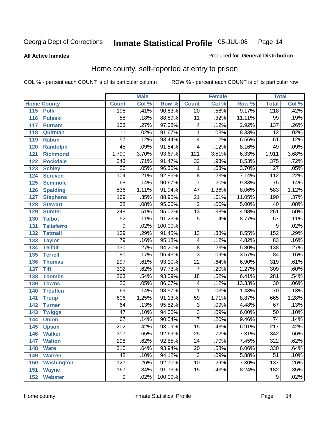#### **All Active Inmates**

#### Produced for **General Distribution**

# Home county, self-reported at entry to prison

|     |                    |                  | <b>Male</b> |         |                  | <b>Female</b> |        | <b>Total</b>     |                            |
|-----|--------------------|------------------|-------------|---------|------------------|---------------|--------|------------------|----------------------------|
|     | <b>Home County</b> | <b>Count</b>     | Col %       | Row %   | <b>Count</b>     | Col %         | Row %  | <b>Total</b>     | $\overline{\text{Col }^9}$ |
| 115 | <b>Polk</b>        | 198              | .41%        | 90.83%  | $\overline{20}$  | .58%          | 9.17%  | 218              | .42%                       |
| 116 | <b>Pulaski</b>     | $\overline{88}$  | .18%        | 88.89%  | 11               | .32%          | 11.11% | $\overline{99}$  | .19%                       |
| 117 | <b>Putnam</b>      | 133              | .27%        | 97.08%  | 4                | .12%          | 2.92%  | 137              | .26%                       |
| 118 | Quitman            | $\overline{11}$  | .02%        | 91.67%  | 1                | .03%          | 8.33%  | $\overline{12}$  | .02%                       |
| 119 | <b>Rabun</b>       | $\overline{57}$  | .12%        | 93.44%  | 4                | .12%          | 6.56%  | 61               | .12%                       |
| 120 | <b>Randolph</b>    | $\overline{45}$  | .09%        | 91.84%  | 4                | .12%          | 8.16%  | 49               | .09%                       |
| 121 | <b>Richmond</b>    | 1,790            | 3.70%       | 93.67%  | $\overline{121}$ | 3.51%         | 6.33%  | 1,911            | 3.68%                      |
| 122 | <b>Rockdale</b>    | $\overline{343}$ | .71%        | 91.47%  | $\overline{32}$  | .93%          | 8.53%  | 375              | .72%                       |
| 123 | <b>Schley</b>      | $\overline{26}$  | .05%        | 96.30%  | 1                | .03%          | 3.70%  | $\overline{27}$  | .05%                       |
| 124 | <b>Screven</b>     | 104              | .21%        | 92.86%  | 8                | .23%          | 7.14%  | 112              | .22%                       |
| 125 | <b>Seminole</b>    | 68               | .14%        | 90.67%  | $\overline{7}$   | .20%          | 9.33%  | $\overline{75}$  | .14%                       |
| 126 | <b>Spalding</b>    | 536              | 1.11%       | 91.94%  | $\overline{47}$  | 1.36%         | 8.06%  | 583              | 1.12%                      |
| 127 | <b>Stephens</b>    | 169              | .35%        | 88.95%  | $\overline{21}$  | .61%          | 11.05% | 190              | .37%                       |
| 128 | <b>Stewart</b>     | $\overline{38}$  | .08%        | 95.00%  | $\overline{2}$   | .06%          | 5.00%  | $\overline{40}$  | .08%                       |
| 129 | <b>Sumter</b>      | $\overline{248}$ | .51%        | 95.02%  | $\overline{13}$  | .38%          | 4.98%  | $\overline{261}$ | .50%                       |
| 130 | <b>Talbot</b>      | $\overline{52}$  | .11%        | 91.23%  | $\overline{5}$   | .14%          | 8.77%  | $\overline{57}$  | .11%                       |
| 131 | <b>Taliaferro</b>  | $\overline{9}$   | .02%        | 100.00% |                  |               |        | 9                | .02%                       |
| 132 | <b>Tattnall</b>    | 139              | .29%        | 91.45%  | $\overline{13}$  | .38%          | 8.55%  | 152              | .29%                       |
| 133 | <b>Taylor</b>      | 79               | .16%        | 95.18%  | 4                | .12%          | 4.82%  | 83               | .16%                       |
| 134 | <b>Telfair</b>     | 130              | .27%        | 94.20%  | $\overline{8}$   | .23%          | 5.80%  | 138              | .27%                       |
| 135 | <b>Terrell</b>     | $\overline{81}$  | .17%        | 96.43%  | $\overline{3}$   | .09%          | 3.57%  | 84               | .16%                       |
| 136 | <b>Thomas</b>      | 297              | .61%        | 93.10%  | $\overline{22}$  | .64%          | 6.90%  | $\overline{319}$ | .61%                       |
| 137 | <b>Tift</b>        | $\overline{302}$ | .62%        | 97.73%  | $\overline{7}$   | .20%          | 2.27%  | 309              | .60%                       |
| 138 | <b>Toombs</b>      | 263              | .54%        | 93.59%  | $\overline{18}$  | .52%          | 6.41%  | 281              | .54%                       |
| 139 | <b>Towns</b>       | $\overline{26}$  | .05%        | 86.67%  | 4                | .12%          | 13.33% | $\overline{30}$  | .06%                       |
| 140 | <b>Treutlen</b>    | 69               | .14%        | 98.57%  | 1                | .03%          | 1.43%  | $\overline{70}$  | .13%                       |
| 141 | <b>Troup</b>       | 606              | 1.25%       | 91.13%  | $\overline{59}$  | 1.71%         | 8.87%  | 665              | 1.28%                      |
| 142 | <b>Turner</b>      | 64               | .13%        | 95.52%  | $\overline{3}$   | .09%          | 4.48%  | 67               | .13%                       |
| 143 | <b>Twiggs</b>      | $\overline{47}$  | .10%        | 94.00%  | $\overline{3}$   | .09%          | 6.00%  | 50               | .10%                       |
| 144 | <b>Union</b>       | 67               | .14%        | 90.54%  | $\overline{7}$   | .20%          | 9.46%  | $\overline{74}$  | .14%                       |
| 145 | <b>Upson</b>       | $\overline{202}$ | .42%        | 93.09%  | $\overline{15}$  | .43%          | 6.91%  | $\overline{217}$ | .42%                       |
| 146 | <b>Walker</b>      | 317              | .65%        | 92.69%  | 25               | .72%          | 7.31%  | 342              | .66%                       |
| 147 | <b>Walton</b>      | 298              | .62%        | 92.55%  | $\overline{24}$  | .70%          | 7.45%  | 322              | .62%                       |
| 148 | <b>Ware</b>        | $\overline{310}$ | .64%        | 93.94%  | $\overline{20}$  | .58%          | 6.06%  | 330              | .64%                       |
| 149 | <b>Warren</b>      | 48               | .10%        | 94.12%  | $\overline{3}$   | .09%          | 5.88%  | $\overline{51}$  | .10%                       |
| 150 | <b>Washington</b>  | 127              | .26%        | 92.70%  | $\overline{10}$  | .29%          | 7.30%  | 137              | .26%                       |
| 151 | <b>Wayne</b>       | 167              | .34%        | 91.76%  | $\overline{15}$  | .43%          | 8.24%  | 182              | .35%                       |
|     | 152 Webster        | $\overline{9}$   | .02%        | 100.00% |                  |               |        | $\overline{9}$   | .02%                       |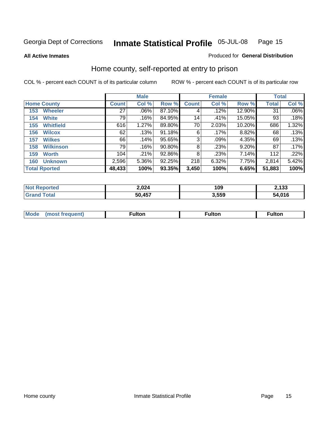**All Active Inmates**

#### Produced for **General Distribution**

# Home county, self-reported at entry to prison

|                      |                    |              | <b>Male</b> |        |              | <b>Female</b> |        | <b>Total</b> |         |
|----------------------|--------------------|--------------|-------------|--------|--------------|---------------|--------|--------------|---------|
|                      | <b>Home County</b> | <b>Count</b> | Col %       | Row %  | <b>Count</b> | Col %         | Row %  | <b>Total</b> | Col %   |
| 153                  | <b>Wheeler</b>     | 27           | $.06\%$     | 87.10% | 4            | .12%          | 12.90% | 31           | $.06\%$ |
| 154                  | <b>White</b>       | 79           | .16%        | 84.95% | 14           | .41%          | 15.05% | 93           | .18%    |
| 155                  | <b>Whitfield</b>   | 616          | 1.27%       | 89.80% | 70           | 2.03%         | 10.20% | 686          | 1.32%   |
| 156                  | <b>Wilcox</b>      | 62           | .13%        | 91.18% | 6            | $.17\%$       | 8.82%  | 68           | .13%    |
| 157                  | <b>Wilkes</b>      | 66           | .14%        | 95.65% | 3            | .09%          | 4.35%  | 69           | .13%    |
| 158                  | <b>Wilkinson</b>   | 79           | .16%        | 90.80% | 8            | .23%          | 9.20%  | 87           | .17%    |
| 159                  | <b>Worth</b>       | 104          | .21%        | 92.86% | 8            | .23%          | 7.14%  | 112          | .22%    |
| 160                  | <b>Unknown</b>     | 2,596        | 5.36%       | 92.25% | 218          | 6.32%         | 7.75%  | 2,814        | 5.42%   |
| <b>Total Rported</b> |                    | 48,433       | 100%        | 93.35% | 3,450        | 100%          | 6.65%  | 51,883       | 100%    |

| oorted<br><b>NOT</b> | 2,024  | 109 | 2,133 |
|----------------------|--------|-----|-------|
| <b>otal</b>          | 50,457 | 550 | .016  |
| . Gr                 |        | טט, | מר    |

| <b>Mode</b> | ---<br>.tor | <b>ulton</b> | . |
|-------------|-------------|--------------|---|
|             |             |              |   |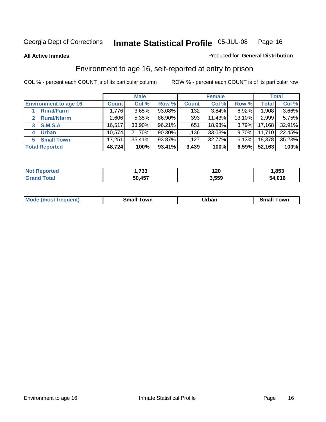**All Active Inmates**

#### Produced for **General Distribution**

# Environment to age 16, self-reported at entry to prison

|                                      |              | <b>Male</b> |           |              | <b>Female</b> |          |        | <b>Total</b> |
|--------------------------------------|--------------|-------------|-----------|--------------|---------------|----------|--------|--------------|
| <b>Environment to age 16</b>         | <b>Count</b> | Col %       | Row %     | <b>Count</b> | Col %         | Row %    | Total  | Col %        |
| <b>Rural/Farm</b>                    | 1,776        | 3.65%       | 93.08%    | 132          | 3.84%         | 6.92%    | 1,908  | 3.66%        |
| <b>Rural/Nfarm</b><br>$\overline{2}$ | 2,606        | 5.35%       | 86.90%    | 393          | 11.43%        | 13.10%   | 2,999  | 5.75%        |
| <b>S.M.S.A</b><br>3                  | 16,517       | 33.90%      | 96.21%    | 651          | 18.93%        | 3.79%    | 17,168 | 32.91%       |
| <b>Urban</b><br>4                    | 10,574       | 21.70%      | $90.30\%$ | 1,136        | 33.03%        | $9.70\%$ | 11,710 | 22.45%       |
| <b>Small Town</b><br>5               | 17,251       | 35.41%      | 93.87%    | 1,127        | 32.77%        | $6.13\%$ | 18,378 | 35.23%       |
| <b>Total Reported</b>                | 48,724       | 100%        | 93.41%    | 3,439        | 100%          | 6.59%    | 52,163 | 100%         |

| <b>Not Reported</b> | .733   | 120   | ,853   |
|---------------------|--------|-------|--------|
| <b>Grand Total</b>  | 50,457 | 3,559 | 54,016 |

| <b>Mode</b><br>frequent)<br>$\cdots$ | own<br>Small<br>_____ | Jrban<br>____ | ⊺owr<br>ан<br>_____ |
|--------------------------------------|-----------------------|---------------|---------------------|
|                                      |                       |               |                     |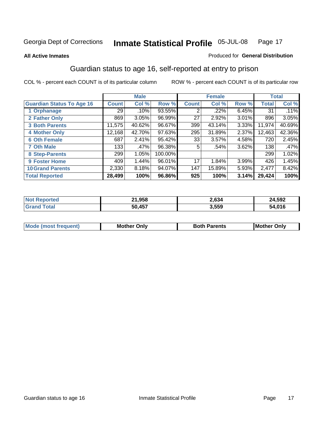**All Active Inmates**

#### Produced for **General Distribution**

# Guardian status to age 16, self-reported at entry to prison

|                                  |              | <b>Male</b> |         |              | <b>Female</b> |       |              | <b>Total</b> |
|----------------------------------|--------------|-------------|---------|--------------|---------------|-------|--------------|--------------|
| <b>Guardian Status To Age 16</b> | <b>Count</b> | Col %       | Row %   | <b>Count</b> | Col %         | Row % | <b>Total</b> | Col %        |
| 1 Orphanage                      | 29           | .10%        | 93.55%  | ◠            | .22%          | 6.45% | 31           | .11%         |
| 2 Father Only                    | 869          | 3.05%       | 96.99%  | 27           | 2.92%         | 3.01% | 896          | 3.05%        |
| <b>3 Both Parents</b>            | 11,575       | 40.62%      | 96.67%  | 399          | 43.14%        | 3.33% | 11,974       | 40.69%       |
| <b>4 Mother Only</b>             | 12,168       | 42.70%      | 97.63%  | 295          | 31.89%        | 2.37% | 12,463       | 42.36%       |
| <b>6 Oth Female</b>              | 687          | 2.41%       | 95.42%  | 33           | 3.57%         | 4.58% | 720          | 2.45%        |
| <b>7 Oth Male</b>                | 133          | .47%        | 96.38%  | 5            | .54%          | 3.62% | 138          | .47%         |
| 8 Step-Parents                   | 299          | 1.05%       | 100.00% |              |               |       | 299          | 1.02%        |
| 9 Foster Home                    | 409          | 1.44%       | 96.01%  | 17           | 1.84%         | 3.99% | 426          | 1.45%        |
| <b>10 Grand Parents</b>          | 2,330        | 8.18%       | 94.07%  | 147          | 15.89%        | 5.93% | 2,477        | 8.42%        |
| <b>Total Reported</b>            | 28,499       | 100%        | 96.86%  | 925          | 100%          | 3.14% | 29,424       | 100%         |

| NO. | 1,958  | 2,634 | 4,592      |
|-----|--------|-------|------------|
| Gr  | 50 457 | 3,559 | .016<br>54 |

| Mode | Onlv<br>Mot | <b>Roth</b><br>Parents | <b>IMot</b><br>Onlv<br>∵hei |
|------|-------------|------------------------|-----------------------------|
|      |             |                        |                             |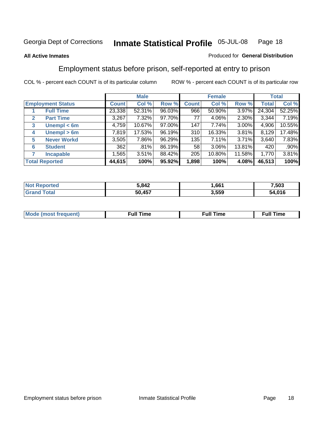#### **All Active Inmates**

#### Produced for **General Distribution**

# Employment status before prison, self-reported at entry to prison

|              |                          |              | <b>Male</b> |        |              | <b>Female</b> |          |              | <b>Total</b> |
|--------------|--------------------------|--------------|-------------|--------|--------------|---------------|----------|--------------|--------------|
|              | <b>Employment Status</b> | <b>Count</b> | Col %       | Row %  | <b>Count</b> | Col %         | Row %    | <b>Total</b> | Col %        |
|              | <b>Full Time</b>         | 23,338       | 52.31%      | 96.03% | 966          | 50.90%        | 3.97%    | 24,304       | 52.25%       |
| $\mathbf{2}$ | <b>Part Time</b>         | 3,267        | 7.32%       | 97.70% | 77           | 4.06%         | 2.30%    | 3,344        | 7.19%        |
| 3            | Unempl $<$ 6m            | 4,759        | 10.67%      | 97.00% | 147          | 7.74%         | 3.00%    | 4,906        | 10.55%       |
| 4            | Unempl > 6m              | 7,819        | 17.53%      | 96.19% | 310          | 16.33%        | 3.81%    | 8,129        | 17.48%       |
| 5            | <b>Never Workd</b>       | 3,505        | 7.86%       | 96.29% | 135          | 7.11%         | $3.71\%$ | 3,640        | 7.83%        |
| 6            | <b>Student</b>           | 362          | .81%        | 86.19% | 58           | 3.06%         | 13.81%   | 420          | .90%         |
| 7            | <b>Incapable</b>         | 1,565        | 3.51%       | 88.42% | 205          | 10.80%        | 11.58%   | 1,770        | 3.81%        |
|              | <b>Total Reported</b>    | 44,615       | 100%        | 95.92% | 1,898        | 100%          | 4.08%    | 46,513       | 100%         |

| 5 RA2  | 661   | .503 |
|--------|-------|------|
| 50 A57 | 3.559 | 04C  |

| Mo | 'me<br>uн<br>the contract of the contract of the contract of the contract of the contract of the contract of the contract of the contract of the contract of the contract of the contract of the contract of the contract of the contract o | ïme<br>uı.<br>the contract of the contract of the contract of the contract of the contract of the contract of the contract of the contract of the contract of the contract of the contract of the contract of the contract of the contract o |
|----|---------------------------------------------------------------------------------------------------------------------------------------------------------------------------------------------------------------------------------------------|----------------------------------------------------------------------------------------------------------------------------------------------------------------------------------------------------------------------------------------------|
|    |                                                                                                                                                                                                                                             |                                                                                                                                                                                                                                              |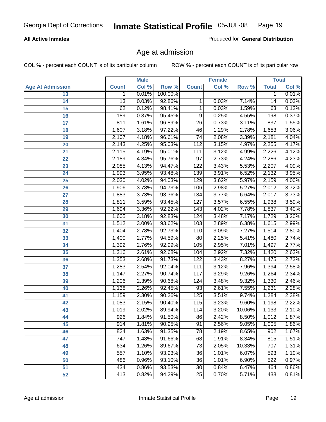#### **All Active Inmates**

Produced for **General Distribution**

# Age at admission

|                         | <b>Male</b>      |       | <b>Female</b> |                 |       | <b>Total</b> |              |       |
|-------------------------|------------------|-------|---------------|-----------------|-------|--------------|--------------|-------|
| <b>Age At Admission</b> | <b>Count</b>     | Col % | Row %         | <b>Count</b>    | Col % | Row %        | <b>Total</b> | Col % |
| 13                      | 1                | 0.01% | 100.00%       |                 |       |              | 1            | 0.01% |
| 14                      | 13               | 0.03% | 92.86%        | 1               | 0.03% | 7.14%        | 14           | 0.03% |
| $\overline{15}$         | 62               | 0.12% | 98.41%        | 1               | 0.03% | 1.59%        | 63           | 0.12% |
| 16                      | 189              | 0.37% | 95.45%        | 9               | 0.25% | 4.55%        | 198          | 0.37% |
| $\overline{17}$         | 811              | 1.61% | 96.89%        | $\overline{26}$ | 0.73% | 3.11%        | 837          | 1.55% |
| 18                      | 1,607            | 3.18% | 97.22%        | 46              | 1.29% | 2.78%        | 1,653        | 3.06% |
| 19                      | 2,107            | 4.18% | 96.61%        | $\overline{74}$ | 2.08% | 3.39%        | 2,181        | 4.04% |
| 20                      | 2,143            | 4.25% | 95.03%        | 112             | 3.15% | 4.97%        | 2,255        | 4.17% |
| 21                      | 2,115            | 4.19% | 95.01%        | 111             | 3.12% | 4.99%        | 2,226        | 4.12% |
| 22                      | 2,189            | 4.34% | 95.76%        | 97              | 2.73% | 4.24%        | 2,286        | 4.23% |
| 23                      | 2,085            | 4.13% | 94.47%        | 122             | 3.43% | 5.53%        | 2,207        | 4.09% |
| 24                      | 1,993            | 3.95% | 93.48%        | 139             | 3.91% | 6.52%        | 2,132        | 3.95% |
| $\overline{25}$         | 2,030            | 4.02% | 94.03%        | 129             | 3.62% | 5.97%        | 2,159        | 4.00% |
| 26                      | 1,906            | 3.78% | 94.73%        | 106             | 2.98% | 5.27%        | 2,012        | 3.72% |
| 27                      | 1,883            | 3.73% | 93.36%        | 134             | 3.77% | 6.64%        | 2,017        | 3.73% |
| 28                      | 1,811            | 3.59% | 93.45%        | 127             | 3.57% | 6.55%        | 1,938        | 3.59% |
| 29                      | 1,694            | 3.36% | 92.22%        | 143             | 4.02% | 7.78%        | 1,837        | 3.40% |
| 30                      | 1,605            | 3.18% | 92.83%        | 124             | 3.48% | 7.17%        | 1,729        | 3.20% |
| 31                      | 1,512            | 3.00% | 93.62%        | 103             | 2.89% | 6.38%        | 1,615        | 2.99% |
| 32                      | 1,404            | 2.78% | 92.73%        | 110             | 3.09% | 7.27%        | 1,514        | 2.80% |
| 33                      | 1,400            | 2.77% | 94.59%        | 80              | 2.25% | 5.41%        | 1,480        | 2.74% |
| 34                      | 1,392            | 2.76% | 92.99%        | 105             | 2.95% | 7.01%        | 1,497        | 2.77% |
| 35                      | 1,316            | 2.61% | 92.68%        | 104             | 2.92% | 7.32%        | 1,420        | 2.63% |
| 36                      | 1,353            | 2.68% | 91.73%        | 122             | 3.43% | 8.27%        | 1,475        | 2.73% |
| 37                      | 1,283            | 2.54% | 92.04%        | 111             | 3.12% | 7.96%        | 1,394        | 2.58% |
| 38                      | 1,147            | 2.27% | 90.74%        | 117             | 3.29% | 9.26%        | 1,264        | 2.34% |
| 39                      | 1,206            | 2.39% | 90.68%        | 124             | 3.48% | 9.32%        | 1,330        | 2.46% |
| 40                      | 1,138            | 2.26% | 92.45%        | 93              | 2.61% | 7.55%        | 1,231        | 2.28% |
| 41                      | 1,159            | 2.30% | 90.26%        | 125             | 3.51% | 9.74%        | 1,284        | 2.38% |
| 42                      | 1,083            | 2.15% | 90.40%        | 115             | 3.23% | 9.60%        | 1,198        | 2.22% |
| 43                      | 1,019            | 2.02% | 89.94%        | 114             | 3.20% | 10.06%       | 1,133        | 2.10% |
| 44                      | 926              | 1.84% | 91.50%        | 86              | 2.42% | $8.50\%$     | 1,012        | 1.87% |
| 45                      | 914              | 1.81% | 90.95%        | 91              | 2.56% | 9.05%        | 1,005        | 1.86% |
| 46                      | 824              | 1.63% | 91.35%        | 78              | 2.19% | 8.65%        | 902          | 1.67% |
| 47                      | $\overline{747}$ | 1.48% | 91.66%        | 68              | 1.91% | 8.34%        | 815          | 1.51% |
| 48                      | 634              | 1.26% | 89.67%        | 73              | 2.05% | 10.33%       | 707          | 1.31% |
| 49                      | 557              | 1.10% | 93.93%        | 36              | 1.01% | 6.07%        | 593          | 1.10% |
| 50                      | 486              | 0.96% | 93.10%        | 36              | 1.01% | 6.90%        | 522          | 0.97% |
| 51                      | 434              | 0.86% | 93.53%        | $\overline{30}$ | 0.84% | 6.47%        | 464          | 0.86% |
| 52                      | 413              | 0.82% | 94.29%        | 25              | 0.70% | 5.71%        | 438          | 0.81% |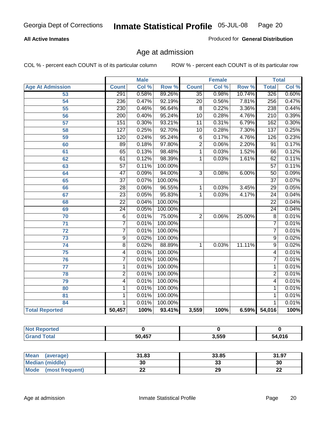#### **All Active Inmates**

Produced for **General Distribution**

# Age at admission

|                         | <b>Male</b>      |       | <b>Female</b> |                 |       | <b>Total</b> |                  |       |
|-------------------------|------------------|-------|---------------|-----------------|-------|--------------|------------------|-------|
| <b>Age At Admission</b> | <b>Count</b>     | Col % | Row %         | <b>Count</b>    | Col % | Row %        | <b>Total</b>     | Col % |
| 53                      | 291              | 0.58% | 89.26%        | $\overline{35}$ | 0.98% | 10.74%       | 326              | 0.60% |
| 54                      | 236              | 0.47% | 92.19%        | $\overline{20}$ | 0.56% | 7.81%        | 256              | 0.47% |
| $\overline{55}$         | 230              | 0.46% | 96.64%        | $\overline{8}$  | 0.22% | 3.36%        | 238              | 0.44% |
| $\overline{56}$         | $\overline{200}$ | 0.40% | 95.24%        | $\overline{10}$ | 0.28% | 4.76%        | $\overline{210}$ | 0.39% |
| $\overline{57}$         | 151              | 0.30% | 93.21%        | $\overline{11}$ | 0.31% | 6.79%        | 162              | 0.30% |
| 58                      | $\overline{127}$ | 0.25% | 92.70%        | 10              | 0.28% | 7.30%        | 137              | 0.25% |
| 59                      | 120              | 0.24% | 95.24%        | $\,6$           | 0.17% | 4.76%        | 126              | 0.23% |
| 60                      | $\overline{89}$  | 0.18% | 97.80%        | $\overline{2}$  | 0.06% | 2.20%        | $\overline{91}$  | 0.17% |
| 61                      | 65               | 0.13% | 98.48%        | 1               | 0.03% | 1.52%        | 66               | 0.12% |
| 62                      | 61               | 0.12% | 98.39%        | 1               | 0.03% | 1.61%        | 62               | 0.11% |
| 63                      | $\overline{57}$  | 0.11% | 100.00%       |                 |       |              | $\overline{57}$  | 0.11% |
| 64                      | $\overline{47}$  | 0.09% | 94.00%        | $\overline{3}$  | 0.08% | 6.00%        | $\overline{50}$  | 0.09% |
| 65                      | $\overline{37}$  | 0.07% | 100.00%       |                 |       |              | $\overline{37}$  | 0.07% |
| 66                      | $\overline{28}$  | 0.06% | 96.55%        | 1               | 0.03% | 3.45%        | $\overline{29}$  | 0.05% |
| 67                      | 23               | 0.05% | 95.83%        | 1               | 0.03% | 4.17%        | $\overline{24}$  | 0.04% |
| 68                      | $\overline{22}$  | 0.04% | 100.00%       |                 |       |              | $\overline{22}$  | 0.04% |
| 69                      | $\overline{24}$  | 0.05% | 100.00%       |                 |       |              | $\overline{24}$  | 0.04% |
| 70                      | $\overline{6}$   | 0.01% | 75.00%        | $\overline{2}$  | 0.06% | 25.00%       | $\overline{8}$   | 0.01% |
| 71                      | $\overline{7}$   | 0.01% | 100.00%       |                 |       |              | 7                | 0.01% |
| $\overline{72}$         | $\overline{7}$   | 0.01% | 100.00%       |                 |       |              | $\overline{7}$   | 0.01% |
| $\overline{73}$         | $\overline{9}$   | 0.02% | 100.00%       |                 |       |              | $\overline{9}$   | 0.02% |
| $\overline{74}$         | $\overline{8}$   | 0.02% | 88.89%        | 1               | 0.03% | 11.11%       | $\overline{9}$   | 0.02% |
| $\overline{75}$         | 4                | 0.01% | 100.00%       |                 |       |              | 4                | 0.01% |
| 76                      | $\overline{7}$   | 0.01% | 100.00%       |                 |       |              | 7                | 0.01% |
| 77                      | $\mathbf{1}$     | 0.01% | 100.00%       |                 |       |              | 1                | 0.01% |
| 78                      | $\overline{2}$   | 0.01% | 100.00%       |                 |       |              | $\overline{2}$   | 0.01% |
| 79                      | $\overline{4}$   | 0.01% | 100.00%       |                 |       |              | 4                | 0.01% |
| 80                      | $\mathbf{1}$     | 0.01% | 100.00%       |                 |       |              | 1                | 0.01% |
| $\overline{81}$         | $\mathbf{1}$     | 0.01% | 100.00%       |                 |       |              | 1                | 0.01% |
| 84                      | 1                | 0.01% | 100.00%       |                 |       |              | 1                | 0.01% |
| <b>Total Reported</b>   | 50,457           | 100%  | 93.41%        | 3,559           | 100%  | 6.59%        | 54,016           | 100%  |

| <b>Not Reported</b> |        |       |        |
|---------------------|--------|-------|--------|
| <b>Grand Total</b>  | 50,457 | 3,559 | 54,016 |

| <b>Mean</b><br>(average) | 31.83     | 33.85    | 31.97    |
|--------------------------|-----------|----------|----------|
| <b>Median (middle)</b>   | 30        | ^^<br>vu | 30       |
| Mode<br>(most frequent)  | <u>__</u> | 29       | ^^<br>LL |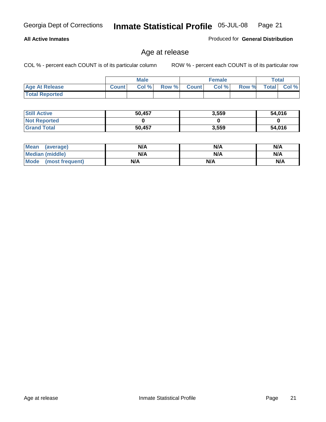#### **All Active Inmates**

Produced for **General Distribution**

# Age at release

|                       |              | <b>Male</b> |       |                | <b>Female</b> |       | <b>Total</b> |       |
|-----------------------|--------------|-------------|-------|----------------|---------------|-------|--------------|-------|
| <b>Age At Release</b> | <b>Count</b> | Col%        | Row % | <b>Count</b> Ⅰ | Col %         | Row % | <b>Total</b> | Col % |
| <b>Total Reported</b> |              |             |       |                |               |       |              |       |

| <b>Still Active</b> | 50,457 | 3,559 | 54,016 |
|---------------------|--------|-------|--------|
| <b>Not Reported</b> |        |       |        |
| <b>Grand Total</b>  | 50,457 | 3,559 | 54,016 |

| Mean (average)       | N/A | N/A | N/A |
|----------------------|-----|-----|-----|
| Median (middle)      | N/A | N/A | N/A |
| Mode (most frequent) | N/A | N/A | N/A |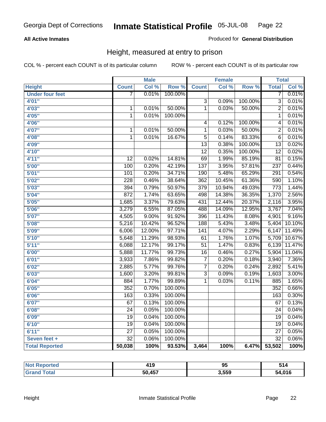#### **All Active Inmates**

#### Produced for **General Distribution**

# Height, measured at entry to prison

|                        |                  | <b>Male</b> |         |                  | <b>Female</b> |         | <b>Total</b>     |        |
|------------------------|------------------|-------------|---------|------------------|---------------|---------|------------------|--------|
| <b>Height</b>          | <b>Count</b>     | Col %       | Row %   | <b>Count</b>     | Col %         | Row %   | <b>Total</b>     | Col %  |
| <b>Under four feet</b> | 7                | 0.01%       | 100.00% |                  |               |         | 7                | 0.01%  |
| 4'01''                 |                  |             |         | $\overline{3}$   | 0.09%         | 100.00% | $\overline{3}$   | 0.01%  |
| 4'03''                 | $\mathbf 1$      | 0.01%       | 50.00%  | $\overline{1}$   | 0.03%         | 50.00%  | $\overline{2}$   | 0.01%  |
| 4'05''                 | $\overline{1}$   | 0.01%       | 100.00% |                  |               |         | $\overline{1}$   | 0.01%  |
| 4'06"                  |                  |             |         | 4                | 0.12%         | 100.00% | 4                | 0.01%  |
| 4'07"                  | $\mathbf 1$      | 0.01%       | 50.00%  | $\overline{1}$   | 0.03%         | 50.00%  | $\overline{2}$   | 0.01%  |
| 4'08"                  | 1                | 0.01%       | 16.67%  | $\overline{5}$   | 0.14%         | 83.33%  | $\overline{6}$   | 0.01%  |
| 4'09"                  |                  |             |         | $\overline{13}$  | 0.38%         | 100.00% | $\overline{13}$  | 0.02%  |
| 4'10''                 |                  |             |         | $\overline{12}$  | 0.35%         | 100.00% | $\overline{12}$  | 0.02%  |
| 4'11''                 | $\overline{12}$  | 0.02%       | 14.81%  | $\overline{69}$  | 1.99%         | 85.19%  | $\overline{81}$  | 0.15%  |
| 5'00''                 | 100              | 0.20%       | 42.19%  | $\overline{137}$ | 3.95%         | 57.81%  | 237              | 0.44%  |
| 5'01''                 | 101              | 0.20%       | 34.71%  | 190              | 5.48%         | 65.29%  | 291              | 0.54%  |
| 5'02''                 | $\overline{228}$ | 0.46%       | 38.64%  | 362              | 10.45%        | 61.36%  | 590              | 1.10%  |
| 5'03''                 | 394              | 0.79%       | 50.97%  | 379              | 10.94%        | 49.03%  | $\overline{773}$ | 1.44%  |
| 5'04''                 | 872              | 1.74%       | 63.65%  | 498              | 14.38%        | 36.35%  | 1,370            | 2.56%  |
| 5'05''                 | 1,685            | 3.37%       | 79.63%  | 431              | 12.44%        | 20.37%  | 2,116            | 3.95%  |
| 5'06''                 | 3,279            | 6.55%       | 87.05%  | 488              | 14.09%        | 12.95%  | 3,767            | 7.04%  |
| 5'07''                 | 4,505            | 9.00%       | 91.92%  | 396              | 11.43%        | 8.08%   | 4,901            | 9.16%  |
| 5'08''                 | 5,216            | 10.42%      | 96.52%  | 188              | 5.43%         | 3.48%   | 5,404            | 10.10% |
| 5'09''                 | 6,006            | 12.00%      | 97.71%  | $\overline{141}$ | 4.07%         | 2.29%   | 6,147            | 11.49% |
| 5'10''                 | 5,648            | 11.29%      | 98.93%  | 61               | 1.76%         | 1.07%   | 5,709            | 10.67% |
| 5'11''                 | 6,088            | 12.17%      | 99.17%  | $\overline{51}$  | 1.47%         | 0.83%   | 6,139            | 11.47% |
| 6'00''                 | 5,888            | 11.77%      | 99.73%  | $\overline{16}$  | 0.46%         | 0.27%   | 5,904            | 11.04% |
| 6'01''                 | 3,933            | 7.86%       | 99.82%  | $\overline{7}$   | 0.20%         | 0.18%   | 3,940            | 7.36%  |
| 6'02''                 | 2,885            | 5.77%       | 99.76%  | $\overline{7}$   | 0.20%         | 0.24%   | 2,892            | 5.41%  |
| 6'03''                 | 1,600            | 3.20%       | 99.81%  | $\overline{3}$   | 0.09%         | 0.19%   | 1,603            | 3.00%  |
| 6'04''                 | 884              | 1.77%       | 99.89%  | $\overline{1}$   | 0.03%         | 0.11%   | 885              | 1.65%  |
| 6'05''                 | 352              | 0.70%       | 100.00% |                  |               |         | $\overline{352}$ | 0.66%  |
| 6'06''                 | 163              | 0.33%       | 100.00% |                  |               |         | 163              | 0.30%  |
| 6'07''                 | 67               | 0.13%       | 100.00% |                  |               |         | 67               | 0.13%  |
| 6'08''                 | $\overline{24}$  | 0.05%       | 100.00% |                  |               |         | $\overline{24}$  | 0.04%  |
| 6'09''                 | $\overline{19}$  | 0.04%       | 100.00% |                  |               |         | $\overline{19}$  | 0.04%  |
| 6'10''                 | $\overline{19}$  | 0.04%       | 100.00% |                  |               |         | $\overline{19}$  | 0.04%  |
| 6'11''                 | $\overline{27}$  | 0.05%       | 100.00% |                  |               |         | $\overline{27}$  | 0.05%  |
| Seven feet +           | $\overline{32}$  | 0.06%       | 100.00% |                  |               |         | $\overline{32}$  | 0.06%  |
| <b>Total Reported</b>  | 50,038           | 100%        | 93.53%  | 3,464            | 100%          | 6.47%   | 53,502           | 100%   |

| <b>Reported</b> | 419    | - -<br>. .<br>◡ | 514    |
|-----------------|--------|-----------------|--------|
| <b>otal</b>     | 50,457 | 3,559           | 54,016 |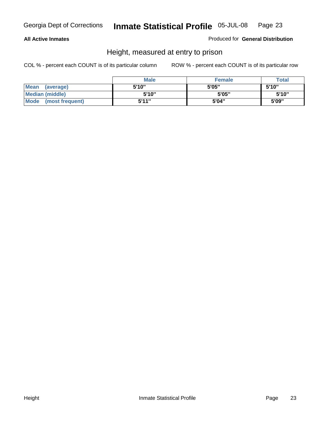#### **All Active Inmates**

Produced for **General Distribution**

# Height, measured at entry to prison

|                        | <b>Male</b> | <b>Female</b> | <b>Total</b> |
|------------------------|-------------|---------------|--------------|
| Mean (average)         | 5'10"       | 5'05"         | 5'10''       |
| <b>Median (middle)</b> | 5'10''      | 5'05"         | 5'10"        |
| Mode (most frequent)   | 5'11"       | 5'04"         | 5'09"        |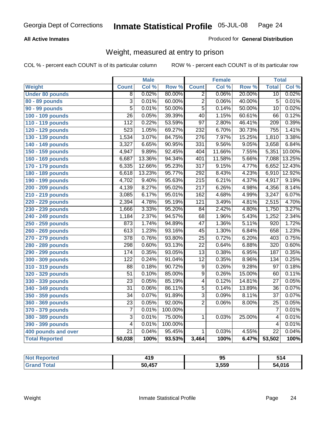#### **All Active Inmates**

#### Produced for **General Distribution**

# Weight, measured at entry to prison

|                        |                           | <b>Male</b> |         |                  | <b>Female</b> |        | <b>Total</b>    |        |
|------------------------|---------------------------|-------------|---------|------------------|---------------|--------|-----------------|--------|
| Weight                 | <b>Count</b>              | Col %       | Row %   | <b>Count</b>     | Col %         | Row %  | <b>Total</b>    | Col %  |
| <b>Under 80 pounds</b> | $\overline{8}$            | 0.02%       | 80.00%  | $\overline{2}$   | 0.06%         | 20.00% | $\overline{10}$ | 0.02%  |
| 80 - 89 pounds         | $\overline{\overline{3}}$ | 0.01%       | 60.00%  | $\overline{2}$   | 0.06%         | 40.00% | $\overline{5}$  | 0.01%  |
| 90 - 99 pounds         | $\overline{5}$            | 0.01%       | 50.00%  | $\overline{5}$   | 0.14%         | 50.00% | $\overline{10}$ | 0.02%  |
| 100 - 109 pounds       | $\overline{26}$           | 0.05%       | 39.39%  | $\overline{40}$  | 1.15%         | 60.61% | 66              | 0.12%  |
| 110 - 119 pounds       | $\overline{112}$          | 0.22%       | 53.59%  | $\overline{97}$  | 2.80%         | 46.41% | 209             | 0.39%  |
| 120 - 129 pounds       | 523                       | 1.05%       | 69.27%  | 232              | 6.70%         | 30.73% | 755             | 1.41%  |
| 130 - 139 pounds       | 1,534                     | 3.07%       | 84.75%  | $\overline{276}$ | 7.97%         | 15.25% | 1,810           | 3.38%  |
| 140 - 149 pounds       | 3,327                     | 6.65%       | 90.95%  | $\overline{331}$ | 9.56%         | 9.05%  | 3,658           | 6.84%  |
| 150 - 159 pounds       | 4,947                     | 9.89%       | 92.45%  | 404              | 11.66%        | 7.55%  | 5,351           | 10.00% |
| 160 - 169 pounds       | 6,687                     | 13.36%      | 94.34%  | 401              | 11.58%        | 5.66%  | 7,088           | 13.25% |
| 170 - 179 pounds       | 6,335                     | 12.66%      | 95.23%  | $\overline{317}$ | 9.15%         | 4.77%  | 6,652           | 12.43% |
| 180 - 189 pounds       | 6,618                     | 13.23%      | 95.77%  | 292              | 8.43%         | 4.23%  | 6,910           | 12.92% |
| 190 - 199 pounds       | 4,702                     | 9.40%       | 95.63%  | $\overline{215}$ | 6.21%         | 4.37%  | 4,917           | 9.19%  |
| 200 - 209 pounds       | 4,139                     | 8.27%       | 95.02%  | $\overline{217}$ | 6.26%         | 4.98%  | 4,356           | 8.14%  |
| 210 - 219 pounds       | 3,085                     | 6.17%       | 95.01%  | 162              | 4.68%         | 4.99%  | 3,247           | 6.07%  |
| 220 - 229 pounds       | 2,394                     | 4.78%       | 95.19%  | $\overline{121}$ | 3.49%         | 4.81%  | 2,515           | 4.70%  |
| 230 - 239 pounds       | 1,666                     | 3.33%       | 95.20%  | $\overline{84}$  | 2.42%         | 4.80%  | 1,750           | 3.27%  |
| 240 - 249 pounds       | 1,184                     | 2.37%       | 94.57%  | $\overline{68}$  | 1.96%         | 5.43%  | 1,252           | 2.34%  |
| 250 - 259 pounds       | 873                       | 1.74%       | 94.89%  | $\overline{47}$  | 1.36%         | 5.11%  | 920             | 1.72%  |
| 260 - 269 pounds       | $\overline{613}$          | 1.23%       | 93.16%  | $\overline{45}$  | 1.30%         | 6.84%  | 658             | 1.23%  |
| 270 - 279 pounds       | $\overline{378}$          | 0.76%       | 93.80%  | $\overline{25}$  | 0.72%         | 6.20%  | 403             | 0.75%  |
| 280 - 289 pounds       | 298                       | 0.60%       | 93.13%  | $\overline{22}$  | 0.64%         | 6.88%  | 320             | 0.60%  |
| 290 - 299 pounds       | 174                       | 0.35%       | 93.05%  | $\overline{13}$  | 0.38%         | 6.95%  | 187             | 0.35%  |
| 300 - 309 pounds       | $\overline{122}$          | 0.24%       | 91.04%  | $\overline{12}$  | 0.35%         | 8.96%  | 134             | 0.25%  |
| 310 - 319 pounds       | 88                        | 0.18%       | 90.72%  | $\overline{9}$   | 0.26%         | 9.28%  | $\overline{97}$ | 0.18%  |
| 320 - 329 pounds       | $\overline{51}$           | 0.10%       | 85.00%  | $\overline{9}$   | 0.26%         | 15.00% | 60              | 0.11%  |
| 330 - 339 pounds       | $\overline{23}$           | 0.05%       | 85.19%  | $\overline{4}$   | 0.12%         | 14.81% | $\overline{27}$ | 0.05%  |
| 340 - 349 pounds       | $\overline{31}$           | 0.06%       | 86.11%  | $\overline{5}$   | 0.14%         | 13.89% | $\overline{36}$ | 0.07%  |
| 350 - 359 pounds       | $\overline{34}$           | 0.07%       | 91.89%  | $\overline{3}$   | 0.09%         | 8.11%  | $\overline{37}$ | 0.07%  |
| 360 - 369 pounds       | $\overline{23}$           | 0.05%       | 92.00%  | $\overline{2}$   | 0.06%         | 8.00%  | $\overline{25}$ | 0.05%  |
| 370 - 379 pounds       | $\overline{7}$            | 0.01%       | 100.00% |                  |               |        | 7               | 0.01%  |
| 380 - 389 pounds       | 3                         | 0.01%       | 75.00%  | 1                | 0.03%         | 25.00% | 4               | 0.01%  |
| 390 - 399 pounds       | $\overline{4}$            | 0.01%       | 100.00% |                  |               |        | 4               | 0.01%  |
| 400 pounds and over    | $\overline{21}$           | 0.04%       | 95.45%  | 1                | 0.03%         | 4.55%  | $\overline{22}$ | 0.04%  |
| <b>Total Reported</b>  | 50,038                    | 100%        | 93.53%  | 3,464            | 100%          | 6.47%  | 53,502          | 100%   |

| <b>Reported</b><br>' Not | 419    | ΩĽ<br>ື | 514    |
|--------------------------|--------|---------|--------|
| <b>Total</b><br>'Gra     | 50,457 | 3,559   | 54,016 |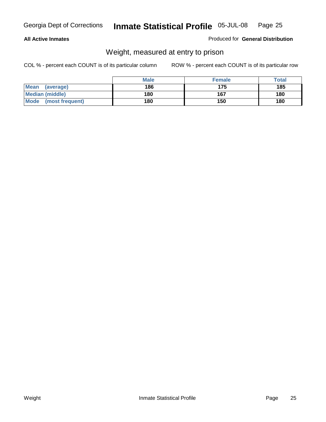#### **All Active Inmates**

#### Produced for **General Distribution**

# Weight, measured at entry to prison

|                          | <b>Male</b> | <b>Female</b> | <b>Total</b> |
|--------------------------|-------------|---------------|--------------|
| <b>Mean</b><br>(average) | 186         | 175           | 185          |
| <b>Median (middle)</b>   | 180         | 167           | 180          |
| Mode<br>(most frequent)  | 180         | 150           | 180          |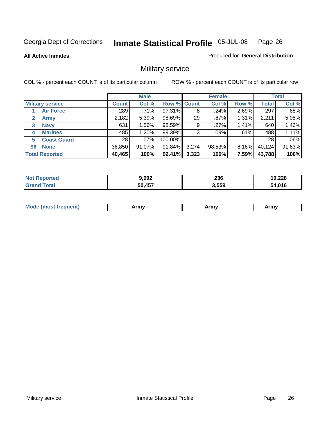#### **All Active Inmates**

#### Produced for **General Distribution**

# Military service

|                             |              | <b>Male</b> |             |       | <b>Female</b> |          |              | <b>Total</b> |
|-----------------------------|--------------|-------------|-------------|-------|---------------|----------|--------------|--------------|
| <b>Military service</b>     | <b>Count</b> | Col %       | Row % Count |       | Col %         | Row %    | <b>Total</b> | Col %        |
| <b>Air Force</b>            | 289          | .71%        | 97.31%      | 8     | .24%          | 2.69%    | 297          | .68%         |
| $\mathbf{2}$<br><b>Army</b> | 2,182        | 5.39%       | 98.69%      | 29    | $.87\%$       | 1.31%    | 2,211        | 5.05%        |
| <b>Navy</b><br>3            | 631          | 1.56%       | 98.59%      | 9     | .27%          | 1.41%    | 640          | 1.46%        |
| <b>Marines</b><br>4         | 485          | 1.20%       | 99.39%      | 3     | $.09\%$       | .61%     | 488          | 1.11%        |
| <b>Coast Guard</b><br>5     | 28           | $.07\%$     | 100.00%     |       |               |          | 28           | .06%         |
| <b>None</b><br>96           | 36,850       | 91.07%      | 91.84%      | 3,274 | 98.53%        | $8.16\%$ | 40,124       | 91.63%       |
| <b>Total Reported</b>       | 40,465       | 100%        | 92.41%      | 3,323 | 100%          | 7.59%    | 43,788       | 100%         |

| oorted<br><b>Not</b> | 9,992  | 236   | 10,228 |
|----------------------|--------|-------|--------|
| ⊺otal                | 50,457 | 3,559 | 54,016 |

|  | <b>Mou</b> | Army | Army | Army |
|--|------------|------|------|------|
|--|------------|------|------|------|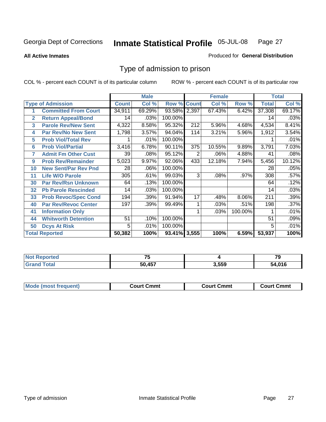#### **All Active Inmates**

#### Produced for **General Distribution**

# Type of admission to prison

|                |                             |              | <b>Male</b> |                    |     | <b>Female</b> |          |              | <b>Total</b> |
|----------------|-----------------------------|--------------|-------------|--------------------|-----|---------------|----------|--------------|--------------|
|                | <b>Type of Admission</b>    | <b>Count</b> | Col %       | <b>Row % Count</b> |     | Col %         | Row %    | <b>Total</b> | Col %        |
|                | <b>Committed From Court</b> | 34,911       | 69.29%      | 93.58% 2,397       |     | 67.43%        | 6.42%    | 37,308       | 69.17%       |
| $\overline{2}$ | <b>Return Appeal/Bond</b>   | 14           | .03%        | 100.00%            |     |               |          | 14           | .03%         |
| 3              | <b>Parole Rev/New Sent</b>  | 4,322        | 8.58%       | 95.32%             | 212 | 5.96%         | 4.68%    | 4,534        | 8.41%        |
| 4              | <b>Par Rev/No New Sent</b>  | 1,798        | 3.57%       | 94.04%             | 114 | 3.21%         | 5.96%    | 1,912        | 3.54%        |
| 5              | <b>Prob Viol/Total Rev</b>  |              | .01%        | 100.00%            |     |               |          |              | .01%         |
| 6              | <b>Prob Viol/Partial</b>    | 3,416        | 6.78%       | 90.11%             | 375 | 10.55%        | 9.89%    | 3,791        | 7.03%        |
| 7              | <b>Admit Fm Other Cust</b>  | 39           | .08%        | 95.12%             | 2   | .06%          | 4.88%    | 41           | .08%         |
| 9              | <b>Prob Rev/Remainder</b>   | 5,023        | 9.97%       | 92.06%             | 433 | 12.18%        | 7.94%    | 5,456        | 10.12%       |
| 10             | <b>New Sent/Par Rev Pnd</b> | 28           | .06%        | 100.00%            |     |               |          | 28           | .05%         |
| 11             | <b>Life W/O Parole</b>      | 305          | .61%        | 99.03%             | 3   | .08%          | .97%     | 308          | .57%         |
| 30             | <b>Par Rev/Rsn Unknown</b>  | 64           | .13%        | 100.00%            |     |               |          | 64           | .12%         |
| 32             | <b>Pb Parole Rescinded</b>  | 14           | .03%        | 100.00%            |     |               |          | 14           | .03%         |
| 33             | <b>Prob Revoc/Spec Cond</b> | 194          | .39%        | 91.94%             | 17  | .48%          | $8.06\%$ | 211          | .39%         |
| 40             | <b>Par Rev/Revoc Center</b> | 197          | .39%        | 99.49%             |     | .03%          | .51%     | 198          | .37%         |
| 41             | <b>Information Only</b>     |              |             |                    |     | .03%          | 100.00%  |              | .01%         |
| 44             | <b>Whitworth Detention</b>  | 51           | .10%        | 100.00%            |     |               |          | 51           | .09%         |
| 50             | <b>Dcys At Risk</b>         | 5            | .01%        | 100.00%            |     |               |          | 5            | .01%         |
|                | <b>Total Reported</b>       | 50,382       | 100%        | 93.41% 3,555       |     | 100%          | 6.59%    | 53,937       | 100%         |

| <b>Not Reported</b> | --     |       | 70<br>- -   |
|---------------------|--------|-------|-------------|
| ™otal               | 50 457 | 3,559 | 4,016<br>מר |

| <b>Mode (most frequent)</b><br><b>Court Cmmt</b><br>Court Cmmt | <b>Court Cmmt</b> |
|----------------------------------------------------------------|-------------------|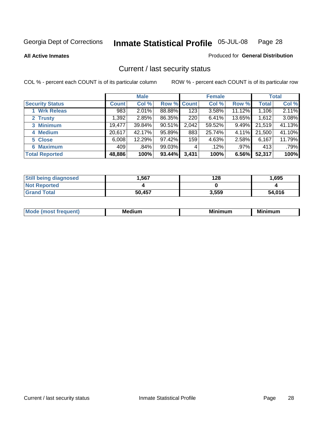**All Active Inmates**

#### Produced for **General Distribution**

# Current / last security status

|                        |              | <b>Male</b> |                    |       | <b>Female</b> |          |              | <b>Total</b> |
|------------------------|--------------|-------------|--------------------|-------|---------------|----------|--------------|--------------|
| <b>Security Status</b> | <b>Count</b> | Col %       | <b>Row % Count</b> |       | Col %         | Row %    | <b>Total</b> | Col %        |
| 1 Wrk Releas           | 983          | $2.01\%$    | 88.88%             | 123   | 3.58%         | 11.12%   | 1,106        | 2.11%        |
| 2 Trusty               | 1.3921       | 2.85%       | 86.35%             | 220   | 6.41%         | 13.65%   | 1,612        | 3.08%        |
| 3 Minimum              | 19,477       | 39.84%      | 90.51%             | 2,042 | 59.52%        | $9.49\%$ | 21,519       | 41.13%       |
| 4 Medium               | 20,617       | 42.17%      | 95.89%             | 883   | 25.74%        | 4.11%    | 21,500       | 41.10%       |
| 5 Close                | 6,008        | 12.29%      | 97.42%             | 159   | 4.63%         | 2.58%    | 6,167        | 11.79%       |
| 6 Maximum              | 409          | .84%        | 99.03%             | 4     | .12%          | $.97\%$  | 413          | .79%         |
| <b>Total Reported</b>  | 48,886       | 100%        | 93.44%             | 3,431 | 100%          | 6.56%    | 52,317       | 100%         |

| <b>Still being diagnosed</b> | .567   | 128   | 1,695  |
|------------------------------|--------|-------|--------|
| <b>Not Reported</b>          |        |       |        |
| <b>Grand Total</b>           | 50,457 | 3,559 | 54,016 |

| M | в.<br><br>--- | <b>B.A.</b><br>um<br>w | --<br>. |
|---|---------------|------------------------|---------|
|   |               |                        |         |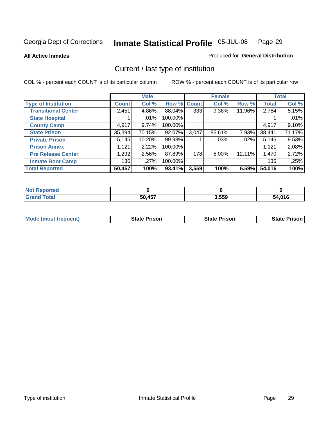**All Active Inmates**

#### Produced for **General Distribution**

# Current / last type of institution

|                            |              | <b>Male</b> |             |       | <b>Female</b> |        |              | <b>Total</b> |
|----------------------------|--------------|-------------|-------------|-------|---------------|--------|--------------|--------------|
| <b>Type of Institution</b> | <b>Count</b> | Col %       | Row % Count |       | Col %         | Row %  | <b>Total</b> | Col %        |
| <b>Transitional Center</b> | 2,451        | 4.86%       | 88.04%      | 333   | $9.36\%$      | 11.96% | 2,784        | 5.15%        |
| <b>State Hospital</b>      |              | $.01\%$     | 100.00%     |       |               |        |              | .01%         |
| <b>County Camp</b>         | 4,917        | 9.74%       | 100.00%     |       |               |        | 4,917        | 9.10%        |
| <b>State Prison</b>        | 35,394       | 70.15%      | 92.07%      | 3,047 | 85.61%        | 7.93%  | 38,441       | 71.17%       |
| <b>Private Prison</b>      | 5,145        | 10.20%      | 99.98%      |       | $.03\%$       | .02%   | 5,146        | 9.53%        |
| <b>Prison Annex</b>        | 1,121        | 2.22%       | 100.00%     |       |               |        | 1,121        | 2.08%        |
| <b>Pre Release Center</b>  | 1,292        | 2.56%       | 87.89%      | 178   | $5.00\%$      | 12.11% | 1,470        | 2.72%        |
| <b>Inmate Boot Camp</b>    | 136          | .27%        | 100.00%     |       |               |        | 136          | .25%         |
| <b>Total Reported</b>      | 50,457       | 100%        | 93.41%      | 3,559 | 100%          | 6.59%  | 54,016       | 100%         |

| <b>Not</b><br>Reported |        |       |        |
|------------------------|--------|-------|--------|
| <b>Grand Total</b>     | 50,457 | 3,559 | 54,016 |

| Mode (most frequent) | <b>State Prison</b> | <b>State Prison</b> | <b>State Prison I</b> |
|----------------------|---------------------|---------------------|-----------------------|
|                      |                     |                     |                       |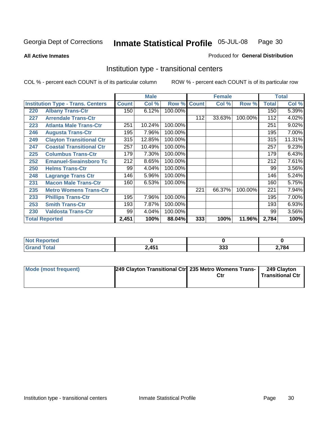**All Active Inmates**

#### Produced for **General Distribution**

# Institution type - transitional centers

|     |                                          |              | <b>Male</b> |         |              | <b>Female</b> |         |              | <b>Total</b> |
|-----|------------------------------------------|--------------|-------------|---------|--------------|---------------|---------|--------------|--------------|
|     | <b>Institution Type - Trans. Centers</b> | <b>Count</b> | Col %       | Row %   | <b>Count</b> | Col %         | Row %   | <b>Total</b> | Col %        |
| 220 | <b>Albany Trans-Ctr</b>                  | 150          | 6.12%       | 100.00% |              |               |         | 150          | 5.39%        |
| 227 | <b>Arrendale Trans-Ctr</b>               |              |             |         | 112          | 33.63%        | 100.00% | 112          | 4.02%        |
| 223 | <b>Atlanta Male Trans-Ctr</b>            | 251          | 10.24%      | 100.00% |              |               |         | 251          | 9.02%        |
| 246 | <b>Augusta Trans-Ctr</b>                 | 195          | 7.96%       | 100.00% |              |               |         | 195          | 7.00%        |
| 249 | <b>Clayton Transitional Ctr</b>          | 315          | 12.85%      | 100.00% |              |               |         | 315          | 11.31%       |
| 247 | <b>Coastal Transitional Ctr</b>          | 257          | 10.49%      | 100.00% |              |               |         | 257          | 9.23%        |
| 225 | <b>Columbus Trans-Ctr</b>                | 179          | 7.30%       | 100.00% |              |               |         | 179          | 6.43%        |
| 252 | <b>Emanuel-Swainsboro Tc</b>             | 212          | 8.65%       | 100.00% |              |               |         | 212          | 7.61%        |
| 250 | <b>Helms Trans-Ctr</b>                   | 99           | 4.04%       | 100.00% |              |               |         | 99           | 3.56%        |
| 248 | <b>Lagrange Trans Ctr</b>                | 146          | 5.96%       | 100.00% |              |               |         | 146          | 5.24%        |
| 231 | <b>Macon Male Trans-Ctr</b>              | 160          | 6.53%       | 100.00% |              |               |         | 160          | 5.75%        |
| 235 | <b>Metro Womens Trans-Ctr</b>            |              |             |         | 221          | 66.37%        | 100.00% | 221          | 7.94%        |
| 233 | <b>Phillips Trans-Ctr</b>                | 195          | 7.96%       | 100.00% |              |               |         | 195          | 7.00%        |
| 253 | <b>Smith Trans-Ctr</b>                   | 193          | 7.87%       | 100.00% |              |               |         | 193          | 6.93%        |
| 230 | <b>Valdosta Trans-Ctr</b>                | 99           | 4.04%       | 100.00% |              |               |         | 99           | $3.56\%$     |
|     | <b>Total Reported</b>                    | 2,451        | 100%        | 88.04%  | 333          | 100%          | 11.96%  | 2,784        | 100%         |

| TV 6<br>oortea |                        |            |      |
|----------------|------------------------|------------|------|
| <b>otal</b>    | 2.151<br>ا 10 <b>ب</b> | 000<br>ددد | ,784 |

| Mode (most frequent) | 249 Clayton Transitional Ctrl 235 Metro Womens Trans- | Ctr | 249 Clayton<br><b>Transitional Ctr</b> |
|----------------------|-------------------------------------------------------|-----|----------------------------------------|
|                      |                                                       |     |                                        |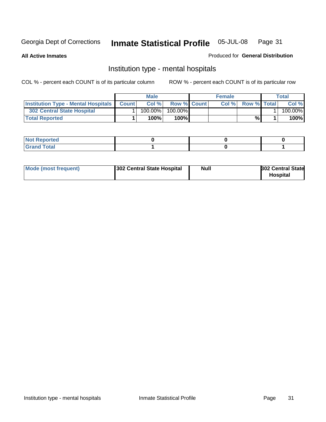**All Active Inmates**

#### Produced for **General Distribution**

# Institution type - mental hospitals

|                                                  | <b>Male</b> |                    | <b>Female</b> |                    | Total   |
|--------------------------------------------------|-------------|--------------------|---------------|--------------------|---------|
| <b>Institution Type - Mental Hospitals Count</b> | Col%        | <b>Row % Count</b> | Col%          | <b>Row % Total</b> | Col %   |
| <b>302 Central State Hospital</b>                | $100.00\%$  | 100.00%            |               |                    | 100.00% |
| <b>Total Reported</b>                            | 100%        | 100%               |               | %                  | 100%    |

| Not Reported |  |  |
|--------------|--|--|
| <b>otal</b>  |  |  |

| Mode (most frequent)<br>302 Central State Hospital | Null | <b>302 Central State</b><br><b>Hospital</b> |
|----------------------------------------------------|------|---------------------------------------------|
|----------------------------------------------------|------|---------------------------------------------|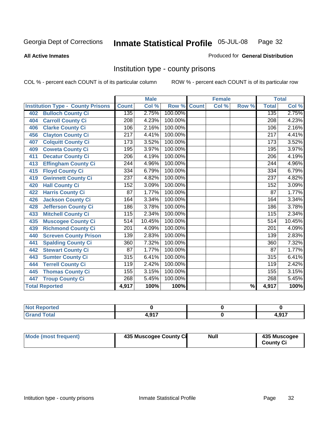#### **All Active Inmates**

#### Produced for **General Distribution**

# Institution type - county prisons

|                                          |                  | <b>Male</b> |         |              | <b>Female</b>             |                          |                  | <b>Total</b> |
|------------------------------------------|------------------|-------------|---------|--------------|---------------------------|--------------------------|------------------|--------------|
| <b>Institution Type - County Prisons</b> | <b>Count</b>     | Col %       | Row %   | <b>Count</b> | $\overline{\text{Col}}$ % | Row %                    | <b>Total</b>     | Col %        |
| <b>Bulloch County Ci</b><br>402          | 135              | 2.75%       | 100.00% |              |                           |                          | 135              | 2.75%        |
| <b>Carroll County Ci</b><br>404          | $\overline{208}$ | 4.23%       | 100.00% |              |                           |                          | $\overline{208}$ | 4.23%        |
| <b>Clarke County Ci</b><br>406           | 106              | 2.16%       | 100.00% |              |                           |                          | 106              | 2.16%        |
| <b>Clayton County Ci</b><br>456          | 217              | 4.41%       | 100.00% |              |                           |                          | $\overline{217}$ | 4.41%        |
| <b>Colquitt County Ci</b><br>407         | $\overline{173}$ | 3.52%       | 100.00% |              |                           |                          | 173              | 3.52%        |
| <b>Coweta County Ci</b><br>409           | 195              | 3.97%       | 100.00% |              |                           |                          | 195              | 3.97%        |
| <b>Decatur County Ci</b><br>411          | 206              | 4.19%       | 100.00% |              |                           |                          | 206              | 4.19%        |
| <b>Effingham County Ci</b><br>413        | 244              | 4.96%       | 100.00% |              |                           |                          | 244              | 4.96%        |
| <b>Floyd County Ci</b><br>415            | 334              | 6.79%       | 100.00% |              |                           |                          | 334              | 6.79%        |
| <b>Gwinnett County Ci</b><br>419         | $\overline{237}$ | 4.82%       | 100.00% |              |                           |                          | 237              | 4.82%        |
| <b>Hall County Ci</b><br>420             | 152              | 3.09%       | 100.00% |              |                           |                          | 152              | 3.09%        |
| <b>Harris County Ci</b><br>422           | 87               | 1.77%       | 100.00% |              |                           |                          | 87               | 1.77%        |
| <b>Jackson County Ci</b><br>426          | 164              | 3.34%       | 100.00% |              |                           |                          | 164              | 3.34%        |
| <b>Jefferson County Ci</b><br>428        | 186              | 3.78%       | 100.00% |              |                           |                          | 186              | 3.78%        |
| <b>Mitchell County Ci</b><br>433         | 115              | 2.34%       | 100.00% |              |                           |                          | 115              | 2.34%        |
| <b>Muscogee County Ci</b><br>435         | 514              | 10.45%      | 100.00% |              |                           |                          | $\overline{5}14$ | 10.45%       |
| <b>Richmond County Ci</b><br>439         | 201              | 4.09%       | 100.00% |              |                           |                          | 201              | 4.09%        |
| <b>Screven County Prison</b><br>440      | 139              | 2.83%       | 100.00% |              |                           |                          | 139              | 2.83%        |
| <b>Spalding County Ci</b><br>441         | 360              | 7.32%       | 100.00% |              |                           |                          | 360              | 7.32%        |
| <b>Stewart County Ci</b><br>442          | 87               | 1.77%       | 100.00% |              |                           |                          | 87               | 1.77%        |
| <b>Sumter County Ci</b><br>443           | 315              | 6.41%       | 100.00% |              |                           |                          | $\overline{315}$ | 6.41%        |
| <b>Terrell County Ci</b><br>444          | 119              | 2.42%       | 100.00% |              |                           |                          | 119              | 2.42%        |
| <b>Thomas County Ci</b><br>445           | 155              | 3.15%       | 100.00% |              |                           |                          | 155              | 3.15%        |
| <b>Troup County Ci</b><br>447            | 268              | 5.45%       | 100.00% |              |                           |                          | 268              | 5.45%        |
| <b>Total Reported</b>                    | 4,917            | 100%        | 100%    |              |                           | $\overline{\frac{9}{6}}$ | 4,917            | 100%         |

| τeα                                                                   |          |     |
|-----------------------------------------------------------------------|----------|-----|
| $n \leftrightarrow n$<br>$\sim$<br>$\sim$ $\sim$ $\sim$ $\sim$ $\sim$ | <b>A</b> | 017 |

| Mode (most frequent) | 435 Muscogee County Ci | <b>Null</b> | 435 Muscogee     |
|----------------------|------------------------|-------------|------------------|
|                      |                        |             | <b>County Ci</b> |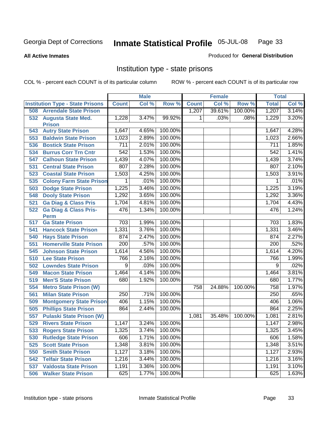#### **All Active Inmates**

#### Produced for **General Distribution**

# Institution type - state prisons

|     |                                         |                  | <b>Male</b> |         |              | <b>Female</b> |         | <b>Total</b>     |       |
|-----|-----------------------------------------|------------------|-------------|---------|--------------|---------------|---------|------------------|-------|
|     | <b>Institution Type - State Prisons</b> | <b>Count</b>     | Col %       | Row %   | <b>Count</b> | Col %         | Row %   | <b>Total</b>     | Col % |
| 508 | <b>Arrendale State Prison</b>           |                  |             |         | 1,207        | 39.61%        | 100.00% | 1,207            | 3.14% |
| 532 | <b>Augusta State Med.</b>               | 1,228            | 3.47%       | 99.92%  | 1            | .03%          | .08%    | 1,229            | 3.20% |
|     | <b>Prison</b>                           | 1,647            | 4.65%       | 100.00% |              |               |         | 1,647            | 4.28% |
| 543 | <b>Autry State Prison</b>               |                  |             | 100.00% |              |               |         |                  |       |
| 553 | <b>Baldwin State Prison</b>             | 1,023            | 2.89%       |         |              |               |         | 1,023            | 2.66% |
| 536 | <b>Bostick State Prison</b>             | 711              | 2.01%       | 100.00% |              |               |         | 711              | 1.85% |
| 534 | <b>Burrus Corr Trn Cntr</b>             | 542              | 1.53%       | 100.00% |              |               |         | 542              | 1.41% |
| 547 | <b>Calhoun State Prison</b>             | 1,439            | 4.07%       | 100.00% |              |               |         | 1,439            | 3.74% |
| 531 | <b>Central State Prison</b>             | 807              | 2.28%       | 100.00% |              |               |         | 807              | 2.10% |
| 523 | <b>Coastal State Prison</b>             | 1,503            | 4.25%       | 100.00% |              |               |         | 1,503            | 3.91% |
| 535 | <b>Colony Farm State Prison</b>         | 1                | .01%        | 100.00% |              |               |         | 1                | .01%  |
| 503 | <b>Dodge State Prison</b>               | 1,225            | 3.46%       | 100.00% |              |               |         | 1,225            | 3.19% |
| 548 | <b>Dooly State Prison</b>               | 1,292            | 3.65%       | 100.00% |              |               |         | 1,292            | 3.36% |
| 521 | <b>Ga Diag &amp; Class Pris</b>         | 1,704            | 4.81%       | 100.00% |              |               |         | 1,704            | 4.43% |
| 522 | <b>Ga Diag &amp; Class Pris-</b>        | 476              | 1.34%       | 100.00% |              |               |         | 476              | 1.24% |
|     | <b>Perm</b>                             |                  |             |         |              |               |         |                  |       |
| 517 | <b>Ga State Prison</b>                  | 703              | 1.99%       | 100.00% |              |               |         | 703              | 1.83% |
| 541 | <b>Hancock State Prison</b>             | 1,331            | 3.76%       | 100.00% |              |               |         | 1,331            | 3.46% |
| 540 | <b>Hays State Prison</b>                | 874              | 2.47%       | 100.00% |              |               |         | 874              | 2.27% |
| 551 | <b>Homerville State Prison</b>          | $\overline{200}$ | .57%        | 100.00% |              |               |         | 200              | .52%  |
| 545 | <b>Johnson State Prison</b>             | 1,614            | 4.56%       | 100.00% |              |               |         | 1,614            | 4.20% |
| 510 | <b>Lee State Prison</b>                 | 766              | 2.16%       | 100.00% |              |               |         | 766              | 1.99% |
| 502 | <b>Lowndes State Prison</b>             | $\overline{9}$   | .03%        | 100.00% |              |               |         | 9                | .02%  |
| 549 | <b>Macon State Prison</b>               | 1,464            | 4.14%       | 100.00% |              |               |         | 1,464            | 3.81% |
| 519 | <b>Men'S State Prison</b>               | 680              | 1.92%       | 100.00% |              |               |         | 680              | 1.77% |
| 554 | <b>Metro State Prison (W)</b>           |                  |             |         | 758          | 24.88%        | 100.00% | 758              | 1.97% |
| 561 | <b>Milan State Prison</b>               | $\overline{250}$ | .71%        | 100.00% |              |               |         | $\overline{250}$ | .65%  |
| 509 | <b>Montgomery State Prison</b>          | 406              | 1.15%       | 100.00% |              |               |         | 406              | 1.06% |
| 505 | <b>Phillips State Prison</b>            | 864              | 2.44%       | 100.00% |              |               |         | 864              | 2.25% |
| 557 | <b>Pulaski State Prison (W)</b>         |                  |             |         | 1,081        | 35.48%        | 100.00% | 1,081            | 2.81% |
| 529 | <b>Rivers State Prison</b>              | 1,147            | 3.24%       | 100.00% |              |               |         | 1,147            | 2.98% |
| 533 | <b>Rogers State Prison</b>              | 1,325            | 3.74%       | 100.00% |              |               |         | 1,325            | 3.45% |
| 530 | <b>Rutledge State Prison</b>            | 606              | 1.71%       | 100.00% |              |               |         | 606              | 1.58% |
| 525 | <b>Scott State Prison</b>               | 1,348            | 3.81%       | 100.00% |              |               |         | 1,348            | 3.51% |
| 550 | <b>Smith State Prison</b>               | 1,127            | 3.18%       | 100.00% |              |               |         | 1,127            | 2.93% |
| 542 | <b>Telfair State Prison</b>             | 1,216            | 3.44%       | 100.00% |              |               |         | 1,216            | 3.16% |
| 537 | <b>Valdosta State Prison</b>            | 1,191            | 3.36%       | 100.00% |              |               |         | 1,191            | 3.10% |
| 506 | <b>Walker State Prison</b>              | 625              | 1.77%       | 100.00% |              |               |         | 625              | 1.63% |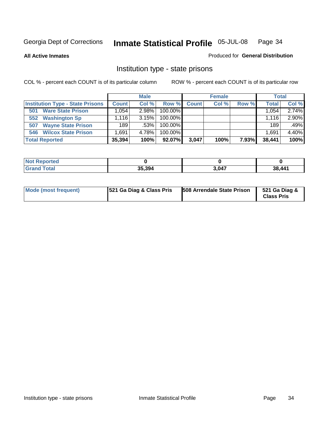**All Active Inmates**

#### Produced for **General Distribution**

# Institution type - state prisons

|                                         |                    | <b>Male</b> |            |              | <b>Female</b> |       | <b>Total</b> |       |
|-----------------------------------------|--------------------|-------------|------------|--------------|---------------|-------|--------------|-------|
| <b>Institution Type - State Prisons</b> | <b>Count</b>       | Col %       | Row %      | <b>Count</b> | Col %         | Row % | <b>Total</b> | Col % |
| <b>Ware State Prison</b><br>501         | .054               | 2.98%       | 100.00%    |              |               |       | 1,054        | 2.74% |
| <b>Washington Sp</b><br>552             | $.116$ $^{\prime}$ | 3.15%       | $100.00\%$ |              |               |       | 1.116        | 2.90% |
| <b>Wayne State Prison</b><br>507        | 189                | .53%        | 100.00%    |              |               |       | 189          | .49%  |
| <b>Wilcox State Prison</b><br>546       | .691               | 4.78%       | 100.00%    |              |               |       | 1.691        | 4.40% |
| <b>Total Reported</b>                   | 35,394             | 100%        | 92.07%     | 3.047        | 100%          | 7.93% | 38,441       | 100%  |

| <b>Not</b><br><b>Reported</b> |        |       |        |
|-------------------------------|--------|-------|--------|
| <b>Grand Total</b>            | 35,394 | 3,047 | 38,441 |

| <b>Mode (most frequent)</b> | <b>521 Ga Diag &amp; Class Pris</b> | <b>508 Arrendale State Prison</b> | 521 Ga Diag &<br><b>Class Pris</b> |
|-----------------------------|-------------------------------------|-----------------------------------|------------------------------------|
|-----------------------------|-------------------------------------|-----------------------------------|------------------------------------|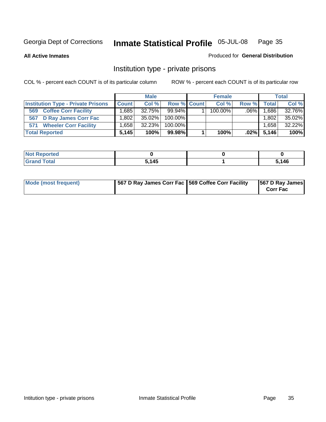**All Active Inmates**

#### Produced for **General Distribution**

# Institution type - private prisons

|                                           |                   | <b>Male</b> |             | <b>Female</b> |         |              | <b>Total</b> |
|-------------------------------------------|-------------------|-------------|-------------|---------------|---------|--------------|--------------|
| <b>Institution Type - Private Prisons</b> | <b>Count</b>      | Col %       | Row % Count | Col %         | Row %   | <b>Total</b> | Col %        |
| <b>Coffee Corr Facility</b><br>569        | .685              | $32.75\%$   | $99.94\%$   | $100.00\%$    | $.06\%$ | .686         | 32.76%       |
| 567 D Ray James Corr Fac                  | ا 802. ا          | $35.02\%$   | 100.00%     |               |         | $1,802 +$    | 35.02%       |
| <b>Wheeler Corr Facility</b><br>571       | .658 <sup>1</sup> | 32.23%      | 100.00%     |               |         | 658. ا       | 32.22%       |
| <b>Total Reported</b>                     | 5.145             | 100%        | 99.98%      | 100%          | $.02\%$ | 5,146        | 100%         |

| <b>ported</b><br><b>NOT</b><br>uar |       |      |
|------------------------------------|-------|------|
| <b>Total</b><br>$\mathbf{v}$ and   | 5,145 | .146 |

| Mode (most frequent) | 1567 D Ray James Corr Fac 1569 Coffee Corr Facility |  | 567 D Ray James<br><b>Corr Fac</b> |
|----------------------|-----------------------------------------------------|--|------------------------------------|
|----------------------|-----------------------------------------------------|--|------------------------------------|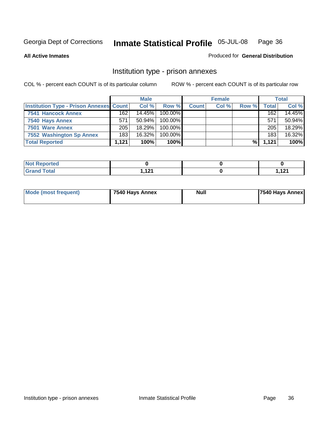**All Active Inmates**

Produced for **General Distribution**

# Institution type - prison annexes

|                                         |       | <b>Male</b> |            |              | <b>Female</b> |       |       | <b>Total</b> |
|-----------------------------------------|-------|-------------|------------|--------------|---------------|-------|-------|--------------|
| Institution Type - Prison Annexes Count |       | Col %       | Row %      | <b>Count</b> | Col %         | Row % | Total | Col %        |
| <b>7541 Hancock Annex</b>               | 162   | 14.45%      | $100.00\%$ |              |               |       | 162   | 14.45%       |
| 7540 Hays Annex                         | 571   | $50.94\%$   | $100.00\%$ |              |               |       | 571   | 50.94%       |
| 7501 Ware Annex                         | 205   | 18.29%      | $100.00\%$ |              |               |       | 205   | 18.29%       |
| 7552 Washington Sp Annex                | 183   | 16.32%      | $100.00\%$ |              |               |       | 183   | 16.32%       |
| <b>Total Reported</b>                   | 1,121 | 100%        | 100%l      |              |               | %।    | 1,121 | 100%         |

| <b>Reported</b><br>NOI<br>$\sim$ |                   |                   |
|----------------------------------|-------------------|-------------------|
| <b>Total</b>                     | $\overline{42}$   | 101               |
| -                                | $\cdot$ – $\cdot$ | $\cdot$ – $\cdot$ |

| Mode (most frequent) | 7540 Hays Annex | <b>Null</b> | 7540 Hays Annex |
|----------------------|-----------------|-------------|-----------------|
|                      |                 |             |                 |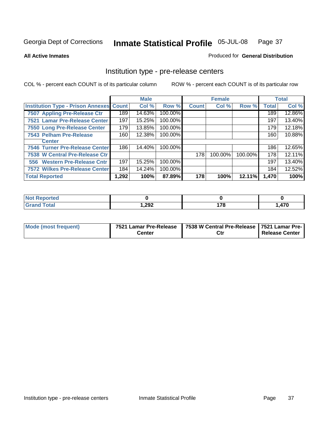### **All Active Inmates**

### Produced for **General Distribution**

## Institution type - pre-release centers

|                                                |       | <b>Male</b> |         |              | <b>Female</b> |         |              | <b>Total</b> |
|------------------------------------------------|-------|-------------|---------|--------------|---------------|---------|--------------|--------------|
| <b>Institution Type - Prison Annexes Count</b> |       | Col %       | Row %   | <b>Count</b> | Col %         | Row %   | <b>Total</b> | Col %        |
| 7507 Appling Pre-Release Ctr                   | 189   | 14.63%      | 100.00% |              |               |         | 189          | 12.86%       |
| 7521 Lamar Pre-Release Center                  | 197   | 15.25%      | 100.00% |              |               |         | 197          | 13.40%       |
| 7550 Long Pre-Release Center                   | 179   | 13.85%      | 100.00% |              |               |         | 179          | 12.18%       |
| 7543 Pelham Pre-Release                        | 160   | 12.38%      | 100.00% |              |               |         | 160          | 10.88%       |
| <b>Center</b>                                  |       |             |         |              |               |         |              |              |
| 7546 Turner Pre-Release Center                 | 186   | 14.40%      | 100.00% |              |               |         | 186          | 12.65%       |
| 7538 W Central Pre-Release Ctr                 |       |             |         | 178          | 100.00%       | 100.00% | 178          | 12.11%       |
| 556 Western Pre-Release Cntr                   | 197   | 15.25%      | 100.00% |              |               |         | 197          | 13.40%       |
| <b>7572 Wilkes Pre-Release Center</b>          | 184   | 14.24%      | 100.00% |              |               |         | 184          | 12.52%       |
| <b>Total Reported</b>                          | 1,292 | 100%        | 87.89%  | 178          | 100%          | 12.11%  | 1,470        | 100%         |

| N <sub>0</sub><br>Reported |        |          |     |
|----------------------------|--------|----------|-----|
| <b>Total</b>               | 292, ا | היי<br>. | A7C |

| Mode (most frequent) | 7521 Lamar Pre-Release | 7538 W Central Pre-Release   7521 Lamar Pre- |                |
|----------------------|------------------------|----------------------------------------------|----------------|
|                      | Center                 | Ctr                                          | Release Center |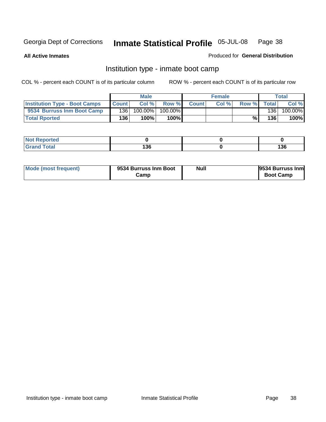**All Active Inmates**

Produced for **General Distribution**

## Institution type - inmate boot camp

|                                      |              | <b>Male</b> |               |              | <b>Female</b> |       |       | <b>Total</b> |
|--------------------------------------|--------------|-------------|---------------|--------------|---------------|-------|-------|--------------|
| <b>Institution Type - Boot Camps</b> | <b>Count</b> | Col %       | Row %         | <b>Count</b> | Col%          | Row % | Total | Col %        |
| 9534 Burruss Inm Boot Camp           | 136          | 100.00%     | 100.00%       |              |               |       | 136   | 100.00%      |
| <b>Total Rported</b>                 | 136          | 100%        | 100% <b>I</b> |              |               | %।    | 136   | 100%         |

| N<br><b>keportea</b><br>$\sim$<br>. |                |             |
|-------------------------------------|----------------|-------------|
| Code"                               | ,<br>. .<br>__ | 136<br>$ -$ |

| Mode (most frequent) | 9534 Burruss Inm Boot | Null | 9534 Burruss Inm |
|----------------------|-----------------------|------|------------------|
|                      | Camp                  |      | <b>Boot Camp</b> |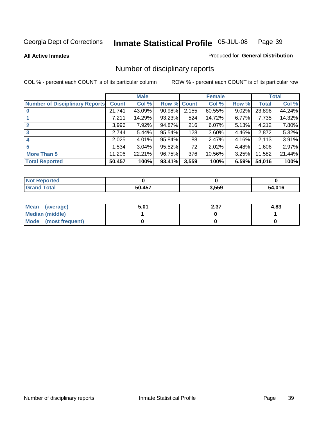### **All Active Inmates**

### Produced for **General Distribution**

## Number of disciplinary reports

|                                       |              | <b>Male</b> |        |              | <b>Female</b> |          |              | <b>Total</b> |
|---------------------------------------|--------------|-------------|--------|--------------|---------------|----------|--------------|--------------|
| <b>Number of Disciplinary Reports</b> | <b>Count</b> | Col %       | Row %  | <b>Count</b> | Col %         | Row %    | <b>Total</b> | Col %        |
|                                       | 21,741       | 43.09%      | 90.98% | 2,155        | 60.55%        | 9.02%    | 23,896       | 44.24%       |
|                                       | 7,211        | 14.29%      | 93.23% | 524          | 14.72%        | 6.77%    | 7,735        | 14.32%       |
|                                       | 3,996        | 7.92%       | 94.87% | 216          | 6.07%         | 5.13%    | 4,212        | 7.80%        |
| 3                                     | 2,744        | 5.44%       | 95.54% | 128          | 3.60%         | 4.46%    | 2,872        | 5.32%        |
|                                       | 2,025        | 4.01%       | 95.84% | 88           | 2.47%         | $4.16\%$ | 2,113        | 3.91%        |
| 5                                     | 1,534        | $3.04\%$    | 95.52% | 72           | 2.02%         | 4.48%    | 1,606        | 2.97%        |
| <b>More Than 5</b>                    | 11,206       | 22.21%      | 96.75% | 376          | 10.56%        | $3.25\%$ | 11,582       | 21.44%       |
| <b>Total Reported</b>                 | 50,457       | 100%        | 93.41% | 3,559        | 100%          | 6.59%    | 54,016       | 100%         |

| N         |               |       |              |
|-----------|---------------|-------|--------------|
| $\sim$ 10 | <b>50 457</b> | 3,559 | $\mathbf{A}$ |

| Mean (average)       | 5.01 | 2.37 | 4.83 |
|----------------------|------|------|------|
| Median (middle)      |      |      |      |
| Mode (most frequent) |      |      |      |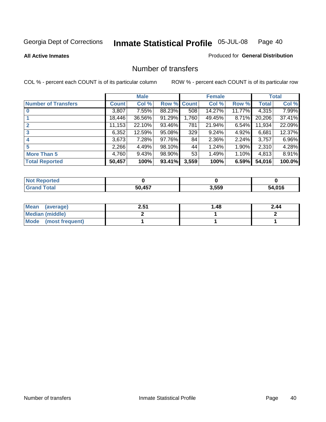**All Active Inmates**

### Produced for **General Distribution**

## Number of transfers

|                            |         | <b>Male</b> |        |              | <b>Female</b> |                 |        | <b>Total</b> |
|----------------------------|---------|-------------|--------|--------------|---------------|-----------------|--------|--------------|
| <b>Number of Transfers</b> | Count l | Col %       | Row %  | <b>Count</b> | Col %         | Row %           | Total  | Col %        |
|                            | 3,807   | 7.55%       | 88.23% | 508          | 14.27%        | 11.77% <b> </b> | 4,315  | 7.99%        |
|                            | 18,446  | 36.56%      | 91.29% | 1,760        | 49.45%        | $8.71\%$        | 20,206 | 37.41%       |
|                            | 11,153  | 22.10%      | 93.46% | 781          | 21.94%        | 6.54%           | 11,934 | 22.09%       |
| 3                          | 6,352   | 12.59%      | 95.08% | 329          | 9.24%         | $4.92\%$        | 6,681  | 12.37%       |
|                            | 3,673   | 7.28%       | 97.76% | 84           | 2.36%         | $2.24\%$        | 3,757  | $6.96\%$     |
| 5                          | 2,266   | 4.49%       | 98.10% | 44           | 1.24%         | $1.90\%$        | 2,310  | 4.28%        |
| <b>More Than 5</b>         | 4,760   | 9.43%       | 98.90% | 53           | 1.49%         | $1.10\%$        | 4,813  | 8.91%        |
| <b>Total Reported</b>      | 50,457  | 100%        | 93.41% | 3,559        | 100%          | 6.59%           | 54,016 | 100.0%       |

| <b>Not</b><br><b>Reported</b> |        |       |             |
|-------------------------------|--------|-------|-------------|
| <b>Total</b>                  | 50 457 | 3,559 | 4,016<br>54 |

| Mean (average)       | 2.51 | ∣.48 | 2.44 |
|----------------------|------|------|------|
| Median (middle)      |      |      |      |
| Mode (most frequent) |      |      |      |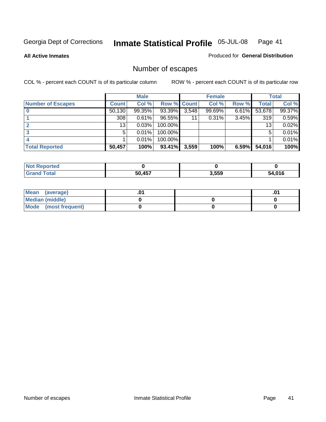**All Active Inmates**

### Produced for **General Distribution**

## Number of escapes

|                          |              | <b>Male</b> |                    |       | <b>Female</b> |          |        | <b>Total</b> |
|--------------------------|--------------|-------------|--------------------|-------|---------------|----------|--------|--------------|
| <b>Number of Escapes</b> | <b>Count</b> | Col %       | <b>Row % Count</b> |       | Col %         | Row %    | Total  | Col %        |
|                          | 50,130       | 99.35%      | 93.39%             | 3,548 | 99.69%        | $6.61\%$ | 53,678 | 99.37%       |
|                          | 308          | 0.61%       | 96.55%             | 11    | 0.31%         | 3.45%    | 319    | 0.59%        |
|                          | 13           | 0.03%       | 100.00%            |       |               |          | 13     | 0.02%        |
|                          | 5            | 0.01%       | 100.00%            |       |               |          | 5      | 0.01%        |
|                          |              | 0.01%       | $100.00\%$         |       |               |          |        | 0.01%        |
| <b>Total Reported</b>    | 50,457       | 100%        | 93.41%             | 3,559 | 100%          | 6.59%    | 54,016 | 100%         |

| Reported<br>Not. |        |       |      |
|------------------|--------|-------|------|
| intal            | 50 457 | 3,559 | ,016 |

| Mean (average)       |  | ו ש. |
|----------------------|--|------|
| Median (middle)      |  |      |
| Mode (most frequent) |  |      |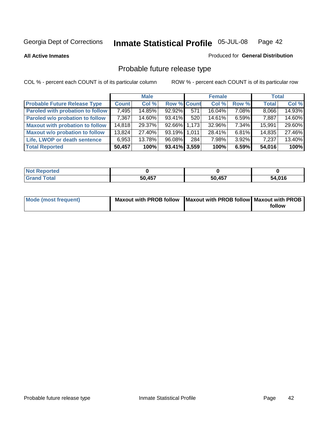**All Active Inmates**

### Produced for **General Distribution**

## Probable future release type

|                                         |              | <b>Male</b> |                    |     | <b>Female</b> |          | <b>Total</b> |        |
|-----------------------------------------|--------------|-------------|--------------------|-----|---------------|----------|--------------|--------|
| <b>Probable Future Release Type</b>     | <b>Count</b> | Col %       | <b>Row % Count</b> |     | Col %         | Row %    | <b>Total</b> | Col %  |
| <b>Paroled with probation to follow</b> | 7,495        | 14.85%      | 92.92%             | 571 | 16.04%        | 7.08%    | 8,066        | 14.93% |
| Paroled w/o probation to follow         | 7,367        | 14.60%      | 93.41%             | 520 | 14.61%        | $6.59\%$ | 7,887        | 14.60% |
| <b>Maxout with probation to follow</b>  | 14,818       | 29.37%      | 92.66% 1.173       |     | 32.96%        | 7.34%    | 15,991       | 29.60% |
| <b>Maxout w/o probation to follow</b>   | 13,824       | 27.40%      | 93.19% 1.011       |     | 28.41%        | $6.81\%$ | 14,835       | 27.46% |
| Life, LWOP or death sentence            | 6,953        | 13.78%      | 96.08%             | 284 | 7.98%         | $3.92\%$ | 7,237        | 13.40% |
| <b>Total Reported</b>                   | 50,457       | 100%        | $93.41\%$ 3,559    |     | 100%          | 6.59%    | 54,016       | 100%   |

| <b>Not</b><br>Reported |        |        |        |
|------------------------|--------|--------|--------|
| <b>Total</b><br>Gra    | 50,457 | 50,457 | 54,016 |

| Mode (most frequent) | Maxout with PROB follow   Maxout with PROB follow   Maxout with PROB |        |
|----------------------|----------------------------------------------------------------------|--------|
|                      |                                                                      | follow |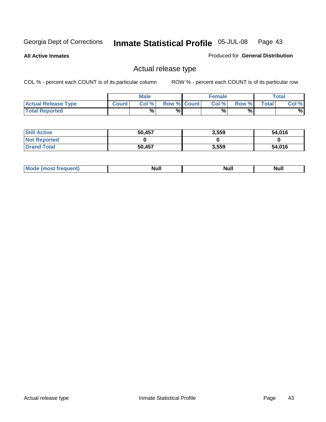**All Active Inmates**

Produced for **General Distribution**

## Actual release type

|                            |              | <b>Male</b> |                    | <b>Female</b> |        |       | Total |
|----------------------------|--------------|-------------|--------------------|---------------|--------|-------|-------|
| <b>Actual Release Type</b> | <b>Count</b> | Col %       | <b>Row % Count</b> | Col %         | Row %I | Total | Col % |
| <b>Total Reported</b>      |              | $\%$        | %                  | %             | %      |       | %     |

| <b>Still Active</b> | 50,457 | 3,559 | 54,016 |
|---------------------|--------|-------|--------|
| <b>Not Reported</b> |        |       |        |
| <b>Grand Total</b>  | 50,457 | 3,559 | 54,016 |

| M<br>____<br>_____ | NI | Null | $\cdots$ |
|--------------------|----|------|----------|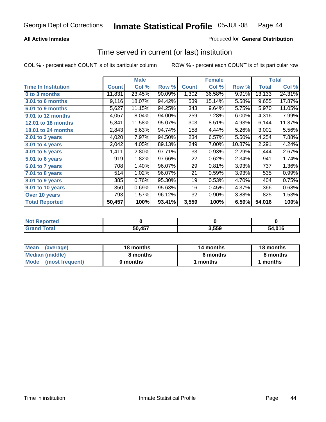### **All Active Inmates**

### Produced for **General Distribution**

## Time served in current (or last) institution

|                            |              | <b>Male</b> |        |              | <b>Female</b> |        |        | <b>Total</b> |
|----------------------------|--------------|-------------|--------|--------------|---------------|--------|--------|--------------|
| <b>Time In Institution</b> | <b>Count</b> | Col %       | Row %  | <b>Count</b> | Col %         | Row %  | Total  | Col %        |
| 0 to 3 months              | 11,831       | 23.45%      | 90.09% | 1,302        | 36.58%        | 9.91%  | 13,133 | 24.31%       |
| 3.01 to 6 months           | 9,116        | 18.07%      | 94.42% | 539          | 15.14%        | 5.58%  | 9,655  | 17.87%       |
| 6.01 to 9 months           | 5,627        | 11.15%      | 94.25% | 343          | 9.64%         | 5.75%  | 5,970  | 11.05%       |
| 9.01 to 12 months          | 4,057        | 8.04%       | 94.00% | 259          | 7.28%         | 6.00%  | 4,316  | 7.99%        |
| 12.01 to 18 months         | 5,841        | 11.58%      | 95.07% | 303          | 8.51%         | 4.93%  | 6,144  | 11.37%       |
| <b>18.01 to 24 months</b>  | 2,843        | 5.63%       | 94.74% | 158          | 4.44%         | 5.26%  | 3,001  | 5.56%        |
| 2.01 to 3 years            | 4,020        | 7.97%       | 94.50% | 234          | 6.57%         | 5.50%  | 4,254  | 7.88%        |
| 3.01 to 4 years            | 2,042        | 4.05%       | 89.13% | 249          | 7.00%         | 10.87% | 2,291  | 4.24%        |
| 4.01 to 5 years            | 1,411        | 2.80%       | 97.71% | 33           | 0.93%         | 2.29%  | 1,444  | 2.67%        |
| 5.01 to 6 years            | 919          | 1.82%       | 97.66% | 22           | 0.62%         | 2.34%  | 941    | 1.74%        |
| 6.01 to 7 years            | 708          | 1.40%       | 96.07% | 29           | 0.81%         | 3.93%  | 737    | 1.36%        |
| 7.01 to 8 years            | 514          | 1.02%       | 96.07% | 21           | 0.59%         | 3.93%  | 535    | 0.99%        |
| 8.01 to 9 years            | 385          | 0.76%       | 95.30% | 19           | 0.53%         | 4.70%  | 404    | 0.75%        |
| 9.01 to 10 years           | 350          | 0.69%       | 95.63% | 16           | 0.45%         | 4.37%  | 366    | 0.68%        |
| Over 10 years              | 793          | 1.57%       | 96.12% | 32           | 0.90%         | 3.88%  | 825    | 1.53%        |
| <b>Total Reported</b>      | 50,457       | 100%        | 93.41% | 3,559        | 100%          | 6.59%  | 54,016 | 100%         |

| orteo<br>N     |        |      |      |
|----------------|--------|------|------|
| `ofai<br>_____ | 50 457 | ,559 | .01c |

| <b>Mean</b><br>(average) | 18 months | 14 months | 18 months |  |
|--------------------------|-----------|-----------|-----------|--|
| Median (middle)          | 8 months  | 6 months  | 8 months  |  |
| Mode<br>(most frequent)  | 0 months  | months    | months    |  |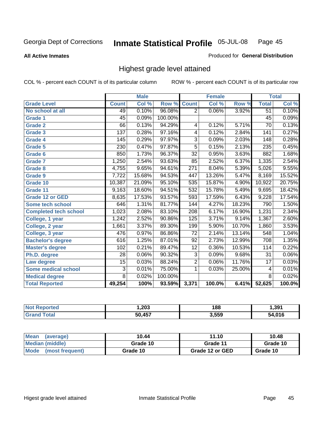**All Active Inmates**

### Produced for **General Distribution**

## Highest grade level attained

|                              |                  | <b>Male</b> |         |                  | <b>Female</b> |        |                 | <b>Total</b> |
|------------------------------|------------------|-------------|---------|------------------|---------------|--------|-----------------|--------------|
| <b>Grade Level</b>           | <b>Count</b>     | Col %       | Row %   | <b>Count</b>     | Col %         | Row %  | <b>Total</b>    | Col %        |
| No school at all             | 49               | 0.10%       | 96.08%  | $\overline{2}$   | 0.06%         | 3.92%  | $\overline{51}$ | 0.10%        |
| <b>Grade 1</b>               | $\overline{45}$  | 0.09%       | 100.00% |                  |               |        | $\overline{45}$ | 0.09%        |
| <b>Grade 2</b>               | 66               | 0.13%       | 94.29%  | 4                | 0.12%         | 5.71%  | $\overline{70}$ | 0.13%        |
| <b>Grade 3</b>               | 137              | 0.28%       | 97.16%  | 4                | 0.12%         | 2.84%  | 141             | 0.27%        |
| <b>Grade 4</b>               | 145              | 0.29%       | 97.97%  | $\overline{3}$   | 0.09%         | 2.03%  | 148             | 0.28%        |
| Grade 5                      | 230              | 0.47%       | 97.87%  | $\overline{5}$   | 0.15%         | 2.13%  | 235             | 0.45%        |
| Grade 6                      | 850              | 1.73%       | 96.37%  | $\overline{32}$  | 0.95%         | 3.63%  | 882             | 1.68%        |
| <b>Grade 7</b>               | 1,250            | 2.54%       | 93.63%  | 85               | 2.52%         | 6.37%  | 1,335           | 2.54%        |
| <b>Grade 8</b>               | 4,755            | 9.65%       | 94.61%  | $\overline{271}$ | 8.04%         | 5.39%  | 5,026           | 9.55%        |
| Grade 9                      | 7,722            | 15.68%      | 94.53%  | 447              | 13.26%        | 5.47%  | 8,169           | 15.52%       |
| Grade 10                     | 10,387           | 21.09%      | 95.10%  | 535              | 15.87%        | 4.90%  | 10,922          | 20.75%       |
| Grade 11                     | 9,163            | 18.60%      | 94.51%  | 532              | 15.78%        | 5.49%  | 9,695           | 18.42%       |
| <b>Grade 12 or GED</b>       | 8,635            | 17.53%      | 93.57%  | 593              | 17.59%        | 6.43%  | 9,228           | 17.54%       |
| <b>Some tech school</b>      | 646              | 1.31%       | 81.77%  | $\overline{144}$ | 4.27%         | 18.23% | 790             | 1.50%        |
| <b>Completed tech school</b> | 1,023            | 2.08%       | 83.10%  | 208              | 6.17%         | 16.90% | 1,231           | 2.34%        |
| College, 1 year              | 1,242            | 2.52%       | 90.86%  | 125              | 3.71%         | 9.14%  | 1,367           | 2.60%        |
| College, 2 year              | 1,661            | 3.37%       | 89.30%  | 199              | 5.90%         | 10.70% | 1,860           | 3.53%        |
| College, 3 year              | $\overline{476}$ | 0.97%       | 86.86%  | $\overline{72}$  | 2.14%         | 13.14% | 548             | 1.04%        |
| <b>Bachelor's degree</b>     | 616              | 1.25%       | 87.01%  | 92               | 2.73%         | 12.99% | 708             | 1.35%        |
| <b>Master's degree</b>       | 102              | 0.21%       | 89.47%  | $\overline{12}$  | 0.36%         | 10.53% | 114             | 0.22%        |
| Ph.D. degree                 | 28               | 0.06%       | 90.32%  | $\overline{3}$   | 0.09%         | 9.68%  | 31              | 0.06%        |
| Law degree                   | $\overline{15}$  | 0.03%       | 88.24%  | $\overline{2}$   | 0.06%         | 11.76% | $\overline{17}$ | 0.03%        |
| <b>Some medical school</b>   | 3                | 0.01%       | 75.00%  | 1                | 0.03%         | 25.00% | 4               | 0.01%        |
| <b>Medical degree</b>        | $\overline{8}$   | 0.02%       | 100.00% |                  |               |        | $\overline{8}$  | 0.02%        |
| <b>Total Reported</b>        | 49,254           | 100%        | 93.59%  | 3,371            | 100.0%        | 6.41%  | 52,625          | 100.0%       |

| ,203   | 188<br>__ | . 391        |
|--------|-----------|--------------|
| -- --- | 3.559     | $\mathbf{A}$ |

| <b>Mean</b><br>(average)       | 10.44    | 11.10           | 10.48    |
|--------------------------------|----------|-----------------|----------|
| Median (middle)                | Grade 10 | Grade 11        | Grade 10 |
| <b>Mode</b><br>(most frequent) | Grade 10 | Grade 12 or GED | Grade 10 |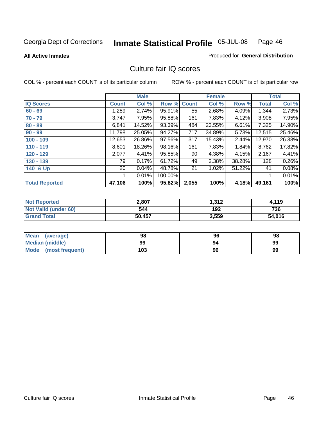### **All Active Inmates**

### Produced for **General Distribution**

## Culture fair IQ scores

|                       |              | <b>Male</b> |         |              | <b>Female</b> |        |              | <b>Total</b> |
|-----------------------|--------------|-------------|---------|--------------|---------------|--------|--------------|--------------|
| <b>IQ Scores</b>      | <b>Count</b> | Col %       | Row %   | <b>Count</b> | Col %         | Row %  | <b>Total</b> | Col %        |
| $60 - 69$             | 1,289        | 2.74%       | 95.91%  | 55           | 2.68%         | 4.09%  | 1,344        | 2.73%        |
| $70 - 79$             | 3,747        | 7.95%       | 95.88%  | 161          | 7.83%         | 4.12%  | 3,908        | 7.95%        |
| $80 - 89$             | 6,841        | 14.52%      | 93.39%  | 484          | 23.55%        | 6.61%  | 7,325        | 14.90%       |
| $90 - 99$             | 11,798       | 25.05%      | 94.27%  | 717          | 34.89%        | 5.73%  | 12,515       | 25.46%       |
| $100 - 109$           | 12,653       | 26.86%      | 97.56%  | 317          | 15.43%        | 2.44%  | 12,970       | 26.38%       |
| $110 - 119$           | 8,601        | 18.26%      | 98.16%  | 161          | 7.83%         | 1.84%  | 8,762        | 17.82%       |
| 120 - 129             | 2,077        | 4.41%       | 95.85%  | 90           | 4.38%         | 4.15%  | 2,167        | 4.41%        |
| 130 - 139             | 79           | 0.17%       | 61.72%  | 49           | 2.38%         | 38.28% | 128          | 0.26%        |
| 140 & Up              | 20           | 0.04%       | 48.78%  | 21           | 1.02%         | 51.22% | 41           | 0.08%        |
|                       |              | 0.01%       | 100.00% |              |               |        |              | 0.01%        |
| <b>Total Reported</b> | 47,106       | 100%        | 95.82%  | 2,055        | 100%          | 4.18%  | 49,161       | 100%         |

| <b>Not Reported</b>  | 2,807  | 312, ا | 4,119  |
|----------------------|--------|--------|--------|
| Not Valid (under 60) | 544    | 192    | 736    |
| <b>Grand Total</b>   | 50,457 | 3,559  | 54,016 |

| <b>Mean</b><br>(average) | 98  | 96 | 98 |
|--------------------------|-----|----|----|
| <b>Median (middle)</b>   | 99  | 94 | 99 |
| Mode (most frequent)     | 103 | 96 | 99 |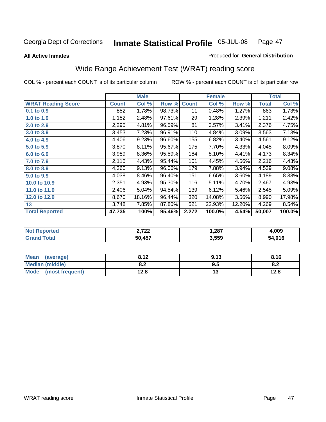**All Active Inmates**

### Produced for **General Distribution**

## Wide Range Achievement Test (WRAT) reading score

| <b>WRAT Reading Score</b> |              |        |        |              |        |        |              | <b>Total</b> |
|---------------------------|--------------|--------|--------|--------------|--------|--------|--------------|--------------|
|                           | <b>Count</b> | Col %  | Row %  | <b>Count</b> | Col %  | Row %  | <b>Total</b> | Col %        |
| 0.1 to 0.9                | 852          | 1.78%  | 98.73% | 11           | 0.48%  | 1.27%  | 863          | 1.73%        |
| 1.0 to 1.9                | 1,182        | 2.48%  | 97.61% | 29           | 1.28%  | 2.39%  | 1,211        | 2.42%        |
| 2.0 to 2.9                | 2,295        | 4.81%  | 96.59% | 81           | 3.57%  | 3.41%  | 2,376        | 4.75%        |
| 3.0 to 3.9                | 3,453        | 7.23%  | 96.91% | 110          | 4.84%  | 3.09%  | 3,563        | 7.13%        |
| 4.0 to 4.9                | 4,406        | 9.23%  | 96.60% | 155          | 6.82%  | 3.40%  | 4,561        | 9.12%        |
| 5.0 to 5.9                | 3,870        | 8.11%  | 95.67% | 175          | 7.70%  | 4.33%  | 4,045        | 8.09%        |
| 6.0 to 6.9                | 3,989        | 8.36%  | 95.59% | 184          | 8.10%  | 4.41%  | 4,173        | 8.34%        |
| 7.0 to 7.9                | 2,115        | 4.43%  | 95.44% | 101          | 4.45%  | 4.56%  | 2,216        | 4.43%        |
| 8.0 to 8.9                | 4,360        | 9.13%  | 96.06% | 179          | 7.88%  | 3.94%  | 4,539        | 9.08%        |
| 9.0 to 9.9                | 4,038        | 8.46%  | 96.40% | 151          | 6.65%  | 3.60%  | 4,189        | 8.38%        |
| 10.0 to 10.9              | 2,351        | 4.93%  | 95.30% | 116          | 5.11%  | 4.70%  | 2,467        | 4.93%        |
| 11.0 to 11.9              | 2,406        | 5.04%  | 94.54% | 139          | 6.12%  | 5.46%  | 2,545        | 5.09%        |
| 12.0 to 12.9              | 8,670        | 18.16% | 96.44% | 320          | 14.08% | 3.56%  | 8,990        | 17.98%       |
| 13                        | 3,748        | 7.85%  | 87.80% | 521          | 22.93% | 12.20% | 4,269        | 8.54%        |
| <b>Total Reported</b>     | 47,735       | 100%   | 95.46% | 2,272        | 100.0% | 4.54%  | 50,007       | 100.0%       |

| <b>Reported</b><br>"Not - | רמי מ<br>2.I 22 | 1,287 | +,009  |
|---------------------------|-----------------|-------|--------|
| <b>Total</b><br>'Grano    | 50,457          | 3,559 | 54,016 |

| Mean (average)       | 8.12       | 9.13                 | 8.16 |
|----------------------|------------|----------------------|------|
| Median (middle)      | ה ה<br>o.z | 9.5                  | o.z  |
| Mode (most frequent) | 12.8       | $\ddot{\phantom{0}}$ | 12.8 |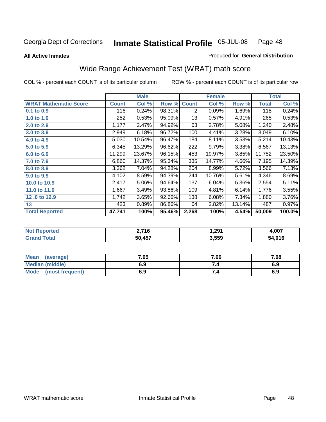**All Active Inmates**

### Produced for **General Distribution**

## Wide Range Achievement Test (WRAT) math score

|                              |              | <b>Male</b> |        |              | <b>Female</b> |        |              | <b>Total</b> |
|------------------------------|--------------|-------------|--------|--------------|---------------|--------|--------------|--------------|
| <b>WRAT Mathematic Score</b> | <b>Count</b> | Col %       | Row %  | <b>Count</b> | Col %         | Row %  | <b>Total</b> | Col %        |
| 0.1 to 0.9                   | 116          | 0.24%       | 98.31% | 2            | 0.09%         | 1.69%  | 118          | 0.24%        |
| 1.0 to 1.9                   | 252          | 0.53%       | 95.09% | 13           | 0.57%         | 4.91%  | 265          | 0.53%        |
| 2.0 to 2.9                   | 1,177        | 2.47%       | 94.92% | 63           | 2.78%         | 5.08%  | 1,240        | 2.48%        |
| 3.0 to 3.9                   | 2,949        | 6.18%       | 96.72% | 100          | 4.41%         | 3.28%  | 3,049        | 6.10%        |
| 4.0 to 4.9                   | 5,030        | 10.54%      | 96.47% | 184          | 8.11%         | 3.53%  | 5,214        | 10.43%       |
| 5.0 to 5.9                   | 6,345        | 13.29%      | 96.62% | 222          | 9.79%         | 3.38%  | 6,567        | 13.13%       |
| 6.0 to 6.9                   | 11,299       | 23.67%      | 96.15% | 453          | 19.97%        | 3.85%  | 11,752       | 23.50%       |
| 7.0 to 7.9                   | 6,860        | 14.37%      | 95.34% | 335          | 14.77%        | 4.66%  | 7,195        | 14.39%       |
| 8.0 to 8.9                   | 3,362        | 7.04%       | 94.28% | 204          | 8.99%         | 5.72%  | 3,566        | 7.13%        |
| 9.0 to 9.9                   | 4,102        | 8.59%       | 94.39% | 244          | 10.76%        | 5.61%  | 4,346        | 8.69%        |
| 10.0 to 10.9                 | 2,417        | 5.06%       | 94.64% | 137          | 6.04%         | 5.36%  | 2,554        | 5.11%        |
| 11.0 to 11.9                 | 1,667        | 3.49%       | 93.86% | 109          | 4.81%         | 6.14%  | 1,776        | 3.55%        |
| 12.0 to 12.9                 | 1,742        | 3.65%       | 92.66% | 138          | 6.08%         | 7.34%  | 1,880        | 3.76%        |
| 13                           | 423          | 0.89%       | 86.86% | 64           | 2.82%         | 13.14% | 487          | 0.97%        |
| <b>Total Reported</b>        | 47,741       | 100%        | 95.46% | 2,268        | 100%          | 4.54%  | 50,009       | 100.0%       |

| NO | ?.716      | 1,291 | .007   |
|----|------------|-------|--------|
|    | AET<br>50. | 3,559 | 54,016 |

| <b>Mean</b><br>(average) | 7.05 | 7.66 | 7.08 |
|--------------------------|------|------|------|
| Median (middle)          | 6.9  |      | 6.9  |
| Mode<br>(most frequent)  | 6.9  | 7.4  | 6.9  |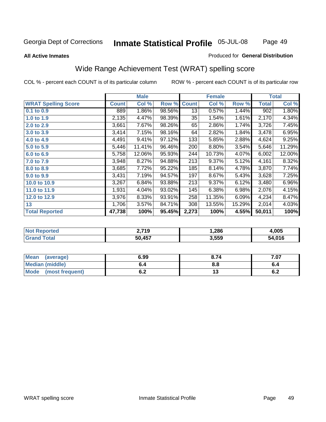Page 49

### **All Active Inmates**

### Produced for **General Distribution**

## Wide Range Achievement Test (WRAT) spelling score

|                            |              | <b>Male</b> |        |                 | <b>Female</b> |        |              | <b>Total</b> |
|----------------------------|--------------|-------------|--------|-----------------|---------------|--------|--------------|--------------|
| <b>WRAT Spelling Score</b> | <b>Count</b> | Col %       | Row %  | <b>Count</b>    | Col %         | Row %  | <b>Total</b> | Col %        |
| $0.1$ to $0.9$             | 889          | $1.86\%$    | 98.56% | $\overline{13}$ | 0.57%         | 1.44%  | 902          | 1.80%        |
| 1.0 to 1.9                 | 2,135        | 4.47%       | 98.39% | 35              | 1.54%         | 1.61%  | 2,170        | 4.34%        |
| 2.0 to 2.9                 | 3,661        | 7.67%       | 98.26% | 65              | 2.86%         | 1.74%  | 3,726        | 7.45%        |
| 3.0 to 3.9                 | 3,414        | 7.15%       | 98.16% | 64              | 2.82%         | 1.84%  | 3,478        | 6.95%        |
| 4.0 to 4.9                 | 4,491        | 9.41%       | 97.12% | 133             | 5.85%         | 2.88%  | 4,624        | 9.25%        |
| 5.0 to 5.9                 | 5,446        | 11.41%      | 96.46% | 200             | 8.80%         | 3.54%  | 5,646        | 11.29%       |
| 6.0 to 6.9                 | 5,758        | 12.06%      | 95.93% | 244             | 10.73%        | 4.07%  | 6,002        | 12.00%       |
| 7.0 to 7.9                 | 3,948        | 8.27%       | 94.88% | 213             | 9.37%         | 5.12%  | 4,161        | 8.32%        |
| 8.0 to 8.9                 | 3,685        | 7.72%       | 95.22% | 185             | 8.14%         | 4.78%  | 3,870        | 7.74%        |
| 9.0 to 9.9                 | 3,431        | 7.19%       | 94.57% | 197             | 8.67%         | 5.43%  | 3,628        | 7.25%        |
| 10.0 to 10.9               | 3,267        | 6.84%       | 93.88% | 213             | 9.37%         | 6.12%  | 3,480        | $6.96\%$     |
| 11.0 to 11.9               | 1,931        | 4.04%       | 93.02% | 145             | 6.38%         | 6.98%  | 2,076        | 4.15%        |
| 12.0 to 12.9               | 3,976        | 8.33%       | 93.91% | 258             | 11.35%        | 6.09%  | 4,234        | 8.47%        |
| 13                         | 1,706        | 3.57%       | 84.71% | 308             | 13.55%        | 15.29% | 2,014        | 4.03%        |
| <b>Total Reported</b>      | 47,738       | 100%        | 95.45% | 2,273           | 100%          | 4.55%  | 50,011       | 100%         |

| 719.יִ<br>. | 286، ، | .005   |
|-------------|--------|--------|
| 50 AEZ      | 3,559  | 54.016 |

| <b>Mean</b><br>(average)       | 6.99       | 8.74 | ∕.07 |
|--------------------------------|------------|------|------|
| Median (middle)                | o.4        | 8.8  |      |
| <b>Mode</b><br>(most frequent) | . .<br>U.Z | . J  | ν.∠  |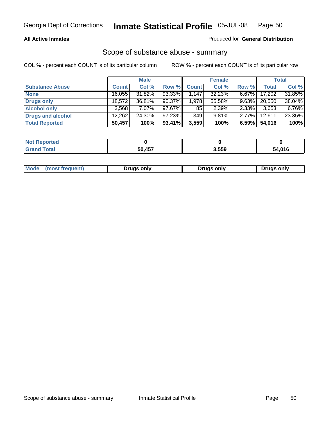### **All Active Inmates**

### Produced for **General Distribution**

### Scope of substance abuse - summary

|                        |              | <b>Male</b> |           |              | <b>Female</b> |          |              | <b>Total</b> |
|------------------------|--------------|-------------|-----------|--------------|---------------|----------|--------------|--------------|
| <b>Substance Abuse</b> | <b>Count</b> | Col %       | Row %     | <b>Count</b> | Col %         | Row %    | <b>Total</b> | Col %        |
| <b>None</b>            | 16,055       | 31.82%      | 93.33%    | $\sqrt{147}$ | 32.23%        | $6.67\%$ | 17,202       | 31.85%       |
| <b>Drugs only</b>      | 18.572       | 36.81%      | 90.37%    | 1.978        | 55.58%        | $9.63\%$ | 20,550       | 38.04%       |
| <b>Alcohol only</b>    | 3.568        | $7.07\%$    | $97.67\%$ | 85           | 2.39%         | $2.33\%$ | 3,653        | 6.76%        |
| Drugs and alcohol      | 12,262       | $24.30\%$   | 97.23%    | 349          | 9.81%         | $2.77\%$ | 12,611       | 23.35%       |
| <b>Total Reported</b>  | 50,457       | 100%        | 93.41%    | 3,559        | 100%          | 6.59%    | 54,016       | 100%         |

| <b>Not</b><br><b>Reported</b> |                |       |        |
|-------------------------------|----------------|-------|--------|
| <b>Total</b>                  | 50 457<br>TJ 1 | 3,559 | 54,016 |

| Mode<br>(most frequent)<br>Drugs only<br>Drugs only<br><b>Drugs only</b> |
|--------------------------------------------------------------------------|
|--------------------------------------------------------------------------|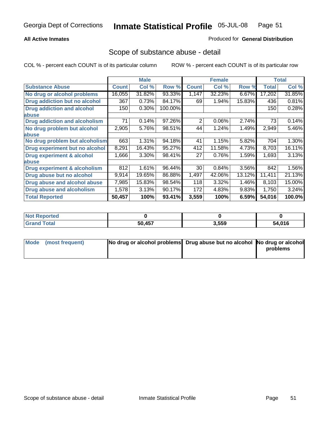### **All Active Inmates**

### Produced for **General Distribution**

## Scope of substance abuse - detail

|                                      |              | <b>Male</b> |         |              | <b>Female</b> |        |              | <b>Total</b> |
|--------------------------------------|--------------|-------------|---------|--------------|---------------|--------|--------------|--------------|
| <b>Substance Abuse</b>               | <b>Count</b> | Col %       | Row %   | <b>Count</b> | Col %         | Row %  | <b>Total</b> | Col %        |
| No drug or alcohol problems          | 16,055       | 31.82%      | 93.33%  | 1,147        | 32.23%        | 6.67%  | 17,202       | 31.85%       |
| Drug addiction but no alcohol        | 367          | 0.73%       | 84.17%  | 69           | 1.94%         | 15.83% | 436          | 0.81%        |
| <b>Drug addiction and alcohol</b>    | 150          | 0.30%       | 100.00% |              |               |        | 150          | 0.28%        |
| <b>labuse</b>                        |              |             |         |              |               |        |              |              |
| <b>Drug addiction and alcoholism</b> | 71           | 0.14%       | 97.26%  | 2            | 0.06%         | 2.74%  | 73           | 0.14%        |
| No drug problem but alcohol          | 2,905        | 5.76%       | 98.51%  | 44           | 1.24%         | 1.49%  | 2,949        | 5.46%        |
| abuse                                |              |             |         |              |               |        |              |              |
| No drug problem but alcoholism       | 663          | 1.31%       | 94.18%  | 41           | 1.15%         | 5.82%  | 704          | 1.30%        |
| Drug experiment but no alcohol       | 8,291        | 16.43%      | 95.27%  | 412          | 11.58%        | 4.73%  | 8,703        | 16.11%       |
| <b>Drug experiment &amp; alcohol</b> | 1,666        | 3.30%       | 98.41%  | 27           | 0.76%         | 1.59%  | 1,693        | 3.13%        |
| <b>labuse</b>                        |              |             |         |              |               |        |              |              |
| Drug experiment & alcoholism         | 812          | 1.61%       | 96.44%  | 30           | 0.84%         | 3.56%  | 842          | 1.56%        |
| Drug abuse but no alcohol            | 9,914        | 19.65%      | 86.88%  | 1,497        | 42.06%        | 13.12% | 11,411       | 21.13%       |
| Drug abuse and alcohol abuse         | 7,985        | 15.83%      | 98.54%  | 118          | 3.32%         | 1.46%  | 8,103        | 15.00%       |
| <b>Drug abuse and alcoholism</b>     | 1,578        | 3.13%       | 90.17%  | 172          | 4.83%         | 9.83%  | 1,750        | 3.24%        |
| <b>Total Reported</b>                | 50,457       | 100%        | 93.41%  | 3,559        | 100%          | 6.59%  | 54,016       | 100.0%       |

| <b>Not Reported</b> |               |       |      |
|---------------------|---------------|-------|------|
| <b>otal</b>         | <b>50 157</b> | 3.559 | .016 |

| Mode (most frequent) | No drug or alcohol problems Drug abuse but no alcohol No drug or alcohol |          |
|----------------------|--------------------------------------------------------------------------|----------|
|                      |                                                                          | problems |
|                      |                                                                          |          |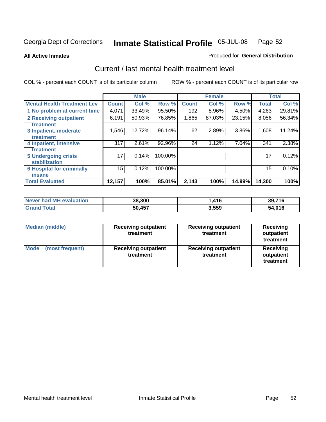**All Active Inmates**

### Produced for **General Distribution**

## Current / last mental health treatment level

|                                    |                 | <b>Male</b> |         |              | <b>Female</b> |        |              | <b>Total</b> |
|------------------------------------|-----------------|-------------|---------|--------------|---------------|--------|--------------|--------------|
| <b>Mental Health Treatment Lev</b> | <b>Count</b>    | Col %       | Row %   | <b>Count</b> | Col%          | Row %  | <b>Total</b> | Col %        |
| 1 No problem at current time       | 4,071           | 33.49%      | 95.50%  | 192          | 8.96%         | 4.50%  | 4,263        | 29.81%       |
| <b>2 Receiving outpatient</b>      | 6,191           | 50.93%      | 76.85%  | 1,865        | 87.03%        | 23.15% | 8,056        | 56.34%       |
| treatment                          |                 |             |         |              |               |        |              |              |
| 3 Inpatient, moderate              | 1,546           | 12.72%      | 96.14%  | 62           | 2.89%         | 3.86%  | 1,608        | 11.24%       |
| treatment                          |                 |             |         |              |               |        |              |              |
| 4 Inpatient, intensive             | 317             | 2.61%       | 92.96%  | 24           | 1.12%         | 7.04%  | 341          | 2.38%        |
| treatment                          |                 |             |         |              |               |        |              |              |
| <b>5 Undergoing crisis</b>         | 17 <sub>1</sub> | 0.14%       | 100.00% |              |               |        | 17           | 0.12%        |
| stabilization                      |                 |             |         |              |               |        |              |              |
| <b>6 Hospital for criminally</b>   | 15              | 0.12%       | 100.00% |              |               |        | 15           | 0.10%        |
| insane                             |                 |             |         |              |               |        |              |              |
| <b>Total Evaluated</b>             | 12,157          | 100%        | 85.01%  | 2,143        | 100%          | 14.99% | 14,300       | 100%         |

| Never had MH evaluation | 38,300 | 416،، | 39,716 |
|-------------------------|--------|-------|--------|
| <b>Grand Total</b>      | 50,457 | 3,559 | 54,016 |

| <b>Median (middle)</b>         | <b>Receiving outpatient</b><br>treatment | <b>Receiving outpatient</b><br>treatment | <b>Receiving</b><br>outpatient<br>treatment |  |
|--------------------------------|------------------------------------------|------------------------------------------|---------------------------------------------|--|
| <b>Mode</b><br>(most frequent) | <b>Receiving outpatient</b><br>treatment | <b>Receiving outpatient</b><br>treatment | <b>Receiving</b><br>outpatient<br>treatment |  |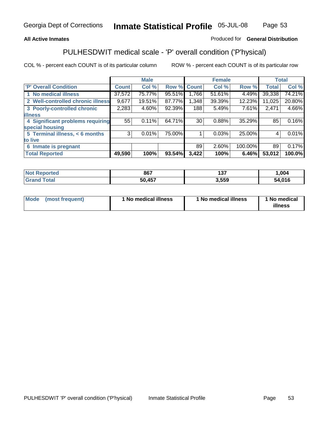### **All Active Inmates**

### Produced for **General Distribution**

## PULHESDWIT medical scale - 'P' overall condition ('P'hysical)

|                                   |              | <b>Male</b> |        |              | <b>Female</b> |         |              | <b>Total</b> |
|-----------------------------------|--------------|-------------|--------|--------------|---------------|---------|--------------|--------------|
| 'P' Overall Condition             | <b>Count</b> | Col %       | Row %  | <b>Count</b> | Col %         | Row %   | <b>Total</b> | Col %        |
| 1 No medical illness              | 37,572       | 75.77%      | 95.51% | ا 766. ا     | 51.61%        | 4.49%   | 39,338       | 74.21%       |
| 2 Well-controlled chronic illness | 9,677        | 19.51%      | 87.77% | 1,348        | 39.39%        | 12.23%  | 11,025       | 20.80%       |
| 3 Poorly-controlled chronic       | 2,283        | 4.60%       | 92.39% | 188          | 5.49%         | 7.61%   | 2,471        | 4.66%        |
| <b>illness</b>                    |              |             |        |              |               |         |              |              |
| 4 Significant problems requiring  | 55           | 0.11%       | 64.71% | 30           | 0.88%         | 35.29%  | 85           | 0.16%        |
| special housing                   |              |             |        |              |               |         |              |              |
| 5 Terminal illness, < 6 months    | 3            | 0.01%       | 75.00% |              | 0.03%         | 25.00%  | 4            | 0.01%        |
| to live                           |              |             |        |              |               |         |              |              |
| Inmate is pregnant<br>6           |              |             |        | 89           | 2.60%         | 100.00% | 89           | 0.17%        |
| <b>Total Reported</b>             | 49,590       | 100%        | 93.54% | 3,422        | 100%          | 6.46%   | 53,012       | 100.0%       |

| <b>Not</b><br>Reported       | 867    | 127<br>וטו | 004, ا |
|------------------------------|--------|------------|--------|
| <b>Total</b><br><b>Grand</b> | 50,457 | 3,559      | 54,016 |

| Mode (most frequent) | 1 No medical illness | 1 No medical illness | 1 No medical |
|----------------------|----------------------|----------------------|--------------|
|                      |                      |                      | illness      |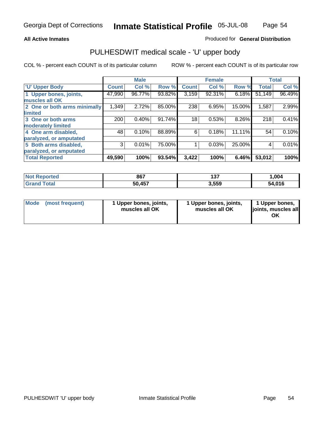### **All Active Inmates**

### Produced for **General Distribution**

## PULHESDWIT medical scale - 'U' upper body

|                              |              | <b>Male</b> |        |              | <b>Female</b> |        |              | <b>Total</b> |
|------------------------------|--------------|-------------|--------|--------------|---------------|--------|--------------|--------------|
| <b>U' Upper Body</b>         | <b>Count</b> | Col %       | Row %  | <b>Count</b> | Col %         | Row %  | <b>Total</b> | Col %        |
| 1 Upper bones, joints,       | 47,990       | 96.77%      | 93.82% | 3,159        | 92.31%        | 6.18%  | 51,149       | 96.49%       |
| muscles all OK               |              |             |        |              |               |        |              |              |
| 2 One or both arms minimally | 1,349        | 2.72%       | 85.00% | 238          | 6.95%         | 15.00% | 1,587        | 2.99%        |
| limited                      |              |             |        |              |               |        |              |              |
| 3 One or both arms           | 200          | 0.40%       | 91.74% | 18           | 0.53%         | 8.26%  | 218          | 0.41%        |
| moderately limited           |              |             |        |              |               |        |              |              |
| 4 One arm disabled,          | 48           | 0.10%       | 88.89% | 6            | 0.18%         | 11.11% | 54           | 0.10%        |
| paralyzed, or amputated      |              |             |        |              |               |        |              |              |
| 5 Both arms disabled,        | 3            | 0.01%       | 75.00% |              | 0.03%         | 25.00% | 4            | 0.01%        |
| paralyzed, or amputated      |              |             |        |              |               |        |              |              |
| <b>Total Reported</b>        | 49,590       | 100%        | 93.54% | 3,422        | 100%          | 6.46%  | 53,012       | 100%         |

| <b>Not Reported</b> | 867    | ィクフ<br>וטו | .004   |
|---------------------|--------|------------|--------|
| ™otal<br>'Grano     | 50,457 | 3,559      | 54,016 |

|  | Mode (most frequent) | 1 Upper bones, joints,<br>muscles all OK | 1 Upper bones, joints,<br>muscles all OK | 1 Upper bones,<br>joints, muscles all<br>ΟK |
|--|----------------------|------------------------------------------|------------------------------------------|---------------------------------------------|
|--|----------------------|------------------------------------------|------------------------------------------|---------------------------------------------|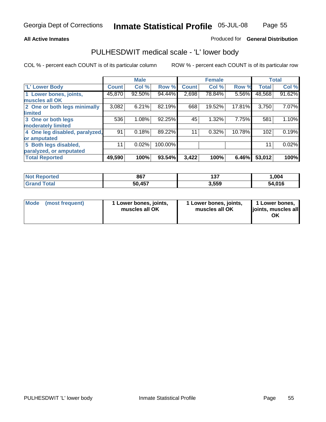### **All Active Inmates**

### Produced for **General Distribution**

## PULHESDWIT medical scale - 'L' lower body

|                                |        | <b>Male</b> |         |              | <b>Female</b> |        |              | <b>Total</b> |
|--------------------------------|--------|-------------|---------|--------------|---------------|--------|--------------|--------------|
| <b>L' Lower Body</b>           | Count! | Col %       | Row %   | <b>Count</b> | Col %         | Row %  | <b>Total</b> | Col %        |
| 1 Lower bones, joints,         | 45,870 | 92.50%      | 94.44%  | 2,698        | 78.84%        | 5.56%  | 48,568       | 91.62%       |
| muscles all OK                 |        |             |         |              |               |        |              |              |
| 2 One or both legs minimally   | 3,082  | 6.21%       | 82.19%  | 668          | 19.52%        | 17.81% | 3,750        | 7.07%        |
| limited                        |        |             |         |              |               |        |              |              |
| 3 One or both legs             | 536    | 1.08%       | 92.25%  | 45           | 1.32%         | 7.75%  | 581          | 1.10%        |
| moderately limited             |        |             |         |              |               |        |              |              |
| 4 One leg disabled, paralyzed, | 91     | 0.18%       | 89.22%  | 11           | 0.32%         | 10.78% | 102          | 0.19%        |
| or amputated                   |        |             |         |              |               |        |              |              |
| 5 Both legs disabled,          | 11     | 0.02%       | 100.00% |              |               |        | 11           | 0.02%        |
| paralyzed, or amputated        |        |             |         |              |               |        |              |              |
| <b>Total Reported</b>          | 49,590 | 100%        | 93.54%  | 3,422        | 100%          | 6.46%  | 53,012       | 100%         |

| <b>Not Reported</b>  | 867    | ィクフ<br>וטו | .004   |
|----------------------|--------|------------|--------|
| $\tau$ otal<br>Grand | 50,457 | 3,559      | 54,016 |

|  | Mode (most frequent) | 1 Lower bones, joints,<br>muscles all OK | 1 Lower bones, joints,<br>muscles all OK | 1 Lower bones,<br>joints, muscles all<br>OK |
|--|----------------------|------------------------------------------|------------------------------------------|---------------------------------------------|
|--|----------------------|------------------------------------------|------------------------------------------|---------------------------------------------|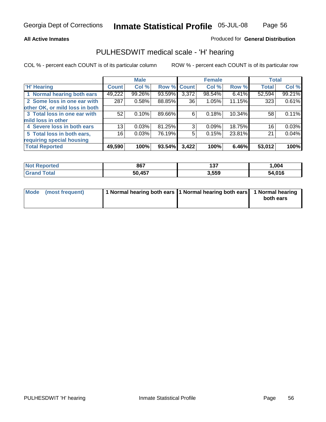### **All Active Inmates**

### Produced for **General Distribution**

## PULHESDWIT medical scale - 'H' hearing

COL % - percent each COUNT is of its particular column ROW % - percent each COUNT is of its particular row

|                                |              | <b>Male</b> |             |       | <b>Female</b> |        | <b>Total</b> |        |
|--------------------------------|--------------|-------------|-------------|-------|---------------|--------|--------------|--------|
| <b>H'</b> Hearing              | <b>Count</b> | Col %       | Row % Count |       | Col %         | Row %  | <b>Total</b> | Col %  |
| 1 Normal hearing both ears     | 49,222       | 99.26%      | 93.59%      | 3,372 | 98.54%        | 6.41%  | 52,594       | 99.21% |
| 2 Some loss in one ear with    | 287          | 0.58%       | 88.85%      | 36    | 1.05%         | 11.15% | 323          | 0.61%  |
| other OK, or mild loss in both |              |             |             |       |               |        |              |        |
| 3 Total loss in one ear with   | 52           | 0.10%       | 89.66%      | 6     | 0.18%         | 10.34% | 58           | 0.11%  |
| mild loss in other             |              |             |             |       |               |        |              |        |
| 4 Severe loss in both ears     | 13           | 0.03%       | 81.25%      | 3     | 0.09%         | 18.75% | 16           | 0.03%  |
| 5 Total loss in both ears,     | 16           | 0.03%       | 76.19%      | 5     | 0.15%         | 23.81% | 21           | 0.04%  |
| requiring special housing      |              |             |             |       |               |        |              |        |
| <b>Total Reported</b>          | 49,590       | 100%        | 93.54%      | 3,422 | 100%          | 6.46%  | 53,012       | 100%   |

| rteo | 867              | ---<br>,,, | .004       |
|------|------------------|------------|------------|
|      | A57<br>50<br>⊶ . | 3,559      | .016<br>54 |

| Mode (most frequent) | 1 Normal hearing both ears   1 Normal hearing both ears   1 Normal hearing |           |
|----------------------|----------------------------------------------------------------------------|-----------|
|                      |                                                                            | both ears |
|                      |                                                                            |           |

Page 56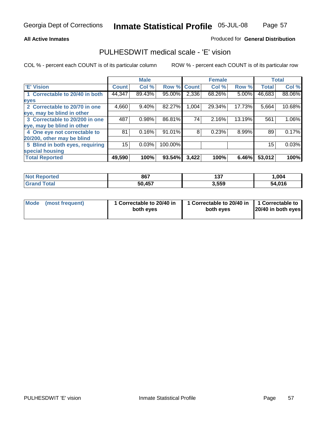### Produced for **General Distribution**

## PULHESDWIT medical scale - 'E' vision

|                                 |              | <b>Male</b> |             |       | <b>Female</b> |          |              | <b>Total</b> |
|---------------------------------|--------------|-------------|-------------|-------|---------------|----------|--------------|--------------|
| 'E' Vision                      | <b>Count</b> | Col %       | Row % Count |       | Col %         | Row %    | <b>Total</b> | Col %        |
| 1 Correctable to 20/40 in both  | 44,347       | 89.43%      | 95.00%      | 2,336 | 68.26%        | 5.00%    | 46,683       | 88.06%       |
| eyes                            |              |             |             |       |               |          |              |              |
| 2 Correctable to 20/70 in one   | 4,660        | 9.40%       | 82.27%      | 1,004 | 29.34%        | 17.73%   | 5,664        | 10.68%       |
| eye, may be blind in other      |              |             |             |       |               |          |              |              |
| 3 Correctable to 20/200 in one  | 487          | 0.98%       | 86.81%      | 74    | 2.16%         | 13.19%   | 561          | $1.06\%$     |
| eye, may be blind in other      |              |             |             |       |               |          |              |              |
| 4 One eye not correctable to    | 81           | 0.16%       | 91.01%      | 8     | 0.23%         | $8.99\%$ | 89           | 0.17%        |
| 20/200, other may be blind      |              |             |             |       |               |          |              |              |
| 5 Blind in both eyes, requiring | 15           | 0.03%       | 100.00%     |       |               |          | 15           | 0.03%        |
| special housing                 |              |             |             |       |               |          |              |              |
| <b>Total Reported</b>           | 49,590       | 100%        | 93.54%      | 3,422 | 100%          | 6.46%    | 53,012       | 100%         |

| <b>Not</b><br><b>ported</b> | 867              | ィヘラ<br>וטו | 004. ا |
|-----------------------------|------------------|------------|--------|
| $tau$                       | <b>A57</b><br>50 | 3,559      | 54.016 |

|  | Mode (most frequent) | 1 Correctable to 20/40 in<br>both eves | 1 Correctable to 20/40 in   1 Correctable to<br>both eves | 20/40 in both eyes |
|--|----------------------|----------------------------------------|-----------------------------------------------------------|--------------------|
|--|----------------------|----------------------------------------|-----------------------------------------------------------|--------------------|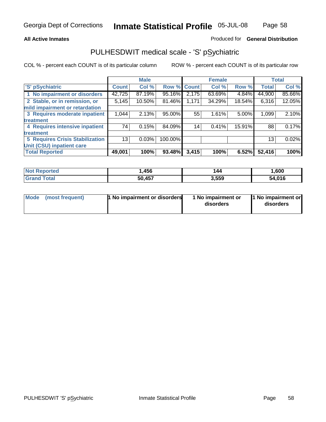### **All Active Inmates**

### Produced for **General Distribution**

## PULHESDWIT medical scale - 'S' pSychiatric

|                                        |              | <b>Male</b> |             |       | <b>Female</b> |        |              | <b>Total</b> |
|----------------------------------------|--------------|-------------|-------------|-------|---------------|--------|--------------|--------------|
| 'S' pSychiatric                        | <b>Count</b> | Col %       | Row % Count |       | Col %         | Row %  | <b>Total</b> | Col %        |
| 1 No impairment or disorders           | 42,725       | 87.19%      | 95.16%      | 2,175 | 63.69%        | 4.84%  | 44,900       | 85.66%       |
| 2 Stable, or in remission, or          | 5,145        | 10.50%      | 81.46%      | 1,171 | 34.29%        | 18.54% | 6,316        | 12.05%       |
| mild impairment or retardation         |              |             |             |       |               |        |              |              |
| 3 Requires moderate inpatient          | 1,044        | 2.13%       | 95.00%      | 55    | 1.61%         | 5.00%  | 1,099        | 2.10%        |
| treatment                              |              |             |             |       |               |        |              |              |
| 4 Requires intensive inpatient         | 74           | 0.15%       | 84.09%      | 14    | 0.41%         | 15.91% | 88           | 0.17%        |
| treatment                              |              |             |             |       |               |        |              |              |
| <b>5 Requires Crisis Stabilization</b> | 13           | 0.03%       | 100.00%     |       |               |        | 13           | 0.02%        |
| Unit (CSU) inpatient care              |              |             |             |       |               |        |              |              |
| <b>Total Reported</b>                  | 49,001       | 100%        | 93.48%      | 3,415 | 100%          | 6.52%  | 52,416       | 100%         |

| <b>Not Reported</b> | .456،  | 144   | ,600   |
|---------------------|--------|-------|--------|
| <b>Grand Total</b>  | 50,457 | 3,559 | 54,016 |

| Mode (most frequent) | <b>1</b> No impairment or disorders | 1 No impairment or<br>disorders | 1 No impairment or<br>disorders |
|----------------------|-------------------------------------|---------------------------------|---------------------------------|
|                      |                                     |                                 |                                 |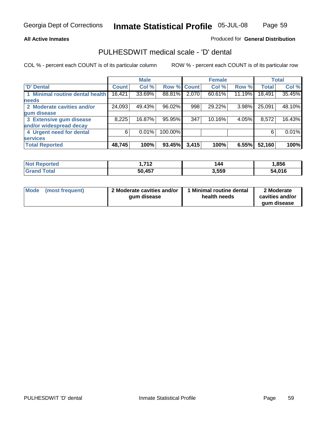**All Active Inmates**

### Produced for **General Distribution**

## PULHESDWIT medical scale - 'D' dental

|                                 |              | <b>Male</b> |             |       | <b>Female</b> |        |              | <b>Total</b> |
|---------------------------------|--------------|-------------|-------------|-------|---------------|--------|--------------|--------------|
| <b>D' Dental</b>                | <b>Count</b> | Col %       | Row % Count |       | Col %         | Row %  | <b>Total</b> | Col %        |
| 1 Minimal routine dental health | 16,421       | 33.69%      | 88.81%      | 2,070 | 60.61%        | 11.19% | 18,491       | 35.45%       |
| <b>needs</b>                    |              |             |             |       |               |        |              |              |
| 2 Moderate cavities and/or      | 24,093       | 49.43%      | 96.02%      | 998   | 29.22%        | 3.98%  | 25,091       | 48.10%       |
| gum disease                     |              |             |             |       |               |        |              |              |
| 3 Extensive gum disease         | 8,225        | 16.87%      | 95.95%      | 347   | 10.16%        | 4.05%  | 8,572        | 16.43%       |
| and/or widespread decay         |              |             |             |       |               |        |              |              |
| 4 Urgent need for dental        | 6            | 0.01%       | 100.00%     |       |               |        | 6            | 0.01%        |
| <b>services</b>                 |              |             |             |       |               |        |              |              |
| <b>Total Reported</b>           | 48,745       | 100%        | 93.45%      | 3,415 | 100%          | 6.55%  | 52,160       | 100%         |

| <b>orted</b><br>N0 | 74c         | 144   | ,856   |
|--------------------|-------------|-------|--------|
| <b>ota</b>         | .457<br>50. | 3,559 | 54.016 |

| <b>Mode</b> | (most frequent) | 2 Moderate cavities and/or<br>qum disease | Minimal routine dental<br>health needs | 2 Moderate<br>cavities and/or |
|-------------|-----------------|-------------------------------------------|----------------------------------------|-------------------------------|
|             |                 |                                           |                                        | qum disease                   |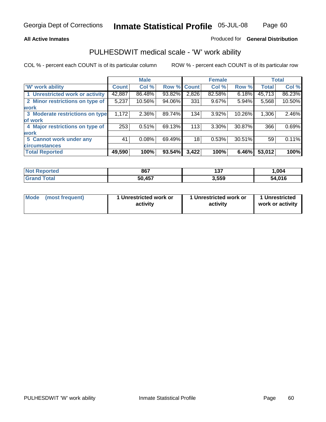### **All Active Inmates**

### Produced for **General Distribution**

## PULHESDWIT medical scale - 'W' work ability

|                                 |              | <b>Male</b> |        |                 | <b>Female</b> |        |              | <b>Total</b> |
|---------------------------------|--------------|-------------|--------|-----------------|---------------|--------|--------------|--------------|
| 'W' work ability                | <b>Count</b> | Col %       | Row %  | <b>Count</b>    | Col %         | Row %  | <b>Total</b> | Col %        |
| 1 Unrestricted work or activity | 42,887       | 86.48%      | 93.82% | 2,826           | 82.58%        | 6.18%  | 45,713       | 86.23%       |
| 2 Minor restrictions on type of | 5,237        | 10.56%      | 94.06% | 331             | 9.67%         | 5.94%  | 5,568        | 10.50%       |
| <b>work</b>                     |              |             |        |                 |               |        |              |              |
| 3 Moderate restrictions on type | 1,172        | $2.36\%$    | 89.74% | 134             | 3.92%         | 10.26% | 1,306        | 2.46%        |
| of work                         |              |             |        |                 |               |        |              |              |
| 4 Major restrictions on type of | 253          | 0.51%       | 69.13% | 113             | 3.30%         | 30.87% | 366          | 0.69%        |
| <b>work</b>                     |              |             |        |                 |               |        |              |              |
| 5 Cannot work under any         | 41           | 0.08%       | 69.49% | 18 <sub>1</sub> | 0.53%         | 30.51% | 59           | 0.11%        |
| <b>circumstances</b>            |              |             |        |                 |               |        |              |              |
| <b>Total Reported</b>           | 49,590       | 100%        | 93.54% | 3,422           | 100%          | 6.46%  | 53,012       | 100%         |

| <b>Not Reported</b>          | 867    | $40 -$<br>וטו | ,004   |
|------------------------------|--------|---------------|--------|
| <b>Total</b><br><b>Grand</b> | 50,457 | 3,559         | 54,016 |

| Mode (most frequent) | 1 Unrestricted work or | 1 Unrestricted work or | 1 Unrestricted   |
|----------------------|------------------------|------------------------|------------------|
|                      | activity               | activity               | work or activity |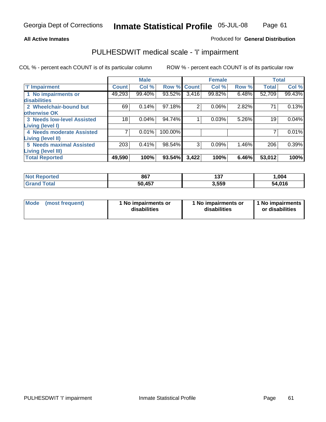### **All Active Inmates**

### Produced for **General Distribution**

## PULHESDWIT medical scale - 'I' impairment

|                                   |              | <b>Male</b> |         |              | <b>Female</b> |       |              | <b>Total</b> |
|-----------------------------------|--------------|-------------|---------|--------------|---------------|-------|--------------|--------------|
| T' Impairment                     | <b>Count</b> | Col %       | Row %   | <b>Count</b> | Col %         | Row % | <b>Total</b> | Col %        |
| 1 No impairments or               | 49,293       | 99.40%      | 93.52%  | 3,416        | 99.82%        | 6.48% | 52,709       | 99.43%       |
| disabilities                      |              |             |         |              |               |       |              |              |
| 2 Wheelchair-bound but            | 69           | 0.14%       | 97.18%  | 2            | 0.06%         | 2.82% | 71           | 0.13%        |
| otherwise OK                      |              |             |         |              |               |       |              |              |
| <b>3 Needs low-level Assisted</b> | 18           | 0.04%       | 94.74%  |              | 0.03%         | 5.26% | 19           | 0.04%        |
| Living (level I)                  |              |             |         |              |               |       |              |              |
| 4 Needs moderate Assisted         |              | 0.01%       | 100.00% |              |               |       |              | 0.01%        |
| Living (level II)                 |              |             |         |              |               |       |              |              |
| <b>5 Needs maximal Assisted</b>   | 203          | 0.41%       | 98.54%  | 3            | 0.09%         | 1.46% | 206          | 0.39%        |
| Living (level III)                |              |             |         |              |               |       |              |              |
| <b>Total Reported</b>             | 49,590       | 100%        | 93.54%  | 3,422        | 100%          | 6.46% | 53,012       | 100%         |

| Not F<br><b>Reported</b> | 867    | ィクフ<br>1 J I | ,004   |
|--------------------------|--------|--------------|--------|
| <b>Grand Total</b>       | 50,457 | 3,559        | 54,016 |

| Mode            | 1 No impairments or | 1 No impairments or | 1 No impairments |
|-----------------|---------------------|---------------------|------------------|
| (most frequent) | disabilities        | disabilities        | or disabilities  |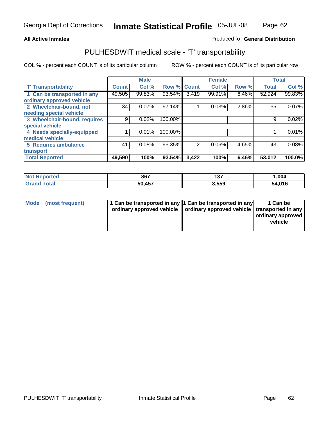### **Inmate Statistical Profile** 05-JUL-08 Page Page 62

### **All Active Inmates Allowski** Produced fo **General Distribution**

## PULHESDWIT medical scale - 'T' transportability

|                              |              | <b>Male</b> |             |                | <b>Female</b> |       | <b>Total</b> |        |
|------------------------------|--------------|-------------|-------------|----------------|---------------|-------|--------------|--------|
| <b>T' Transportability</b>   | <b>Count</b> | Col %       | Row % Count |                | Col %         | Row % | <b>Total</b> | Col %  |
| 1 Can be transported in any  | 49,505       | 99.83%      | 93.54%      | 3,419          | 99.91%        | 6.46% | 52,924       | 99.83% |
| ordinary approved vehicle    |              |             |             |                |               |       |              |        |
| 2 Wheelchair-bound, not      | 34           | 0.07%       | 97.14%      |                | 0.03%         | 2.86% | 35           | 0.07%  |
| needing special vehicle      |              |             |             |                |               |       |              |        |
| 3 Wheelchair-bound, requires | 9            | 0.02%       | 100.00%     |                |               |       | 9            | 0.02%  |
| special vehicle              |              |             |             |                |               |       |              |        |
| 4 Needs specially-equipped   |              | 0.01%       | 100.00%     |                |               |       |              | 0.01%  |
| medical vehicle              |              |             |             |                |               |       |              |        |
| 5 Requires ambulance         | 41           | 0.08%       | 95.35%      | $\overline{2}$ | 0.06%         | 4.65% | 43           | 0.08%  |
| transport                    |              |             |             |                |               |       |              |        |
| <b>Total Reported</b>        | 49,590       | 100%        | 93.54%      | 3,422          | 100%          | 6.46% | 53,012       | 100.0% |

| <b>Not Reported</b> | 867    | 137   | 004, ا |
|---------------------|--------|-------|--------|
| <b>Grand Total</b>  | 50,457 | 3,559 | 54,016 |

| Mode (most frequent) | 1 Can be transported in any 1 Can be transported in any | ordinary approved vehicle   ordinary approved vehicle   transported in any | 1 Can be<br>  ordinary approved  <br>vehicle |
|----------------------|---------------------------------------------------------|----------------------------------------------------------------------------|----------------------------------------------|
|                      |                                                         |                                                                            |                                              |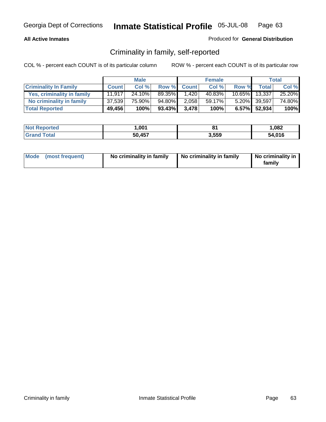### **All Active Inmates**

### Produced for **General Distribution**

## Criminality in family, self-reported

|                              |              | <b>Male</b> |           |              | <b>Female</b> |           |                    | Total  |
|------------------------------|--------------|-------------|-----------|--------------|---------------|-----------|--------------------|--------|
| <b>Criminality In Family</b> | <b>Count</b> | Col %       | Row %     | <b>Count</b> | Col %         | Row %     | Total <sub>1</sub> | Col %  |
| Yes, criminality in family   | 11.917       | 24.10%      | 89.35%    | 1,420        | 40.83%        | $10.65\%$ | 13,337             | 25.20% |
| No criminality in family     | 37,539       | 75.90%      | 94.80%    | 2,058        | 59.17%        |           | 5.20% 39,597       | 74.80% |
| <b>Total Reported</b>        | 49,456       | 100%        | $93.43\%$ | 3,478        | 100%          |           | 6.57% 52,934       | 100%   |

| <b>Not Reported</b> | ,001   |       | 082. ا |
|---------------------|--------|-------|--------|
| <b>Tota</b>         | 50,457 | 3,559 | 54.016 |

|  | Mode (most frequent) | No criminality in family | No criminality in family | No criminality in<br>familv |
|--|----------------------|--------------------------|--------------------------|-----------------------------|
|--|----------------------|--------------------------|--------------------------|-----------------------------|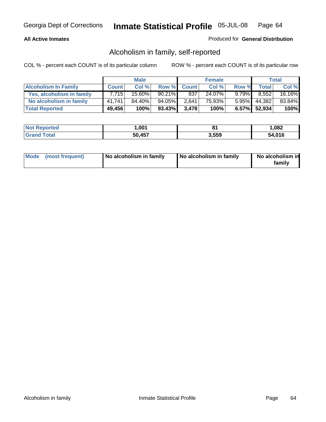### **All Active Inmates**

### Produced for **General Distribution**

## Alcoholism in family, self-reported

|                             |              | <b>Male</b> |           |              | <b>Female</b> |          |              | <b>Total</b> |
|-----------------------------|--------------|-------------|-----------|--------------|---------------|----------|--------------|--------------|
| <b>Alcoholism In Family</b> | <b>Count</b> | Col %       | Row %     | <b>Count</b> | Col %         | Row %    | <b>Total</b> | Col %        |
| Yes, alcoholism in family   | 7.715        | 15.60%      | $90.21\%$ | 837          | 24.07%        | $9.79\%$ | 8.552        | 16.16%       |
| No alcoholism in family     | 41.741       | 84.40%      | 94.05%    | 2,641        | 75.93%        | $5.95\%$ | 44,382       | 83.84%       |
| <b>Total Reported</b>       | 49,456       | 100%        | $93.43\%$ | 3.478        | 100%          |          | 6.57% 52,934 | 100%         |

| <b>Not Reported</b>     | .001   |       | 082. ا |
|-------------------------|--------|-------|--------|
| <b>Total</b><br>l Grand | 50,457 | 3,559 | 54.016 |

|  | Mode (most frequent) | No alcoholism in family | No alcoholism in family | No alcoholism in<br>familv |
|--|----------------------|-------------------------|-------------------------|----------------------------|
|--|----------------------|-------------------------|-------------------------|----------------------------|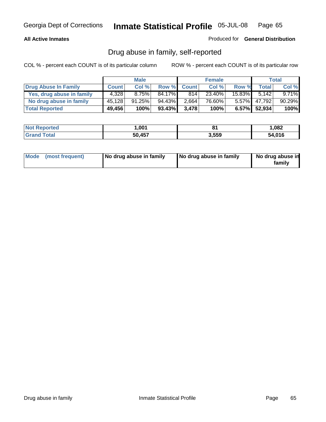### **All Active Inmates**

Produced for **General Distribution**

## Drug abuse in family, self-reported

|                           |              | <b>Male</b> |        |              | <b>Female</b> |           |              | <b>Total</b> |
|---------------------------|--------------|-------------|--------|--------------|---------------|-----------|--------------|--------------|
| Drug Abuse In Family      | <b>Count</b> | Col %       | Row %  | <b>Count</b> | Col %         | Row %     | Total        | Col %        |
| Yes, drug abuse in family | 4.328        | 8.75%       | 84.17% | 814          | 23.40%        | $15.83\%$ | 5.142        | $9.71\%$     |
| No drug abuse in family   | 45,128       | 91.25%      | 94.43% | 2,664        | 76.60%        | $5.57\%$  | 47,792       | 90.29%       |
| <b>Total Reported</b>     | 49,456       | 100%        | 93.43% | 3.478        | 100%          |           | 6.57% 52,934 | 100%         |

| <b>Not Reported</b>     | .001   |       | 082. ا |
|-------------------------|--------|-------|--------|
| <b>Total</b><br>l Grand | 50,457 | 3,559 | 54.016 |

|  | Mode (most frequent) | No drug abuse in family | No drug abuse in family | No drug abuse in<br>family |
|--|----------------------|-------------------------|-------------------------|----------------------------|
|--|----------------------|-------------------------|-------------------------|----------------------------|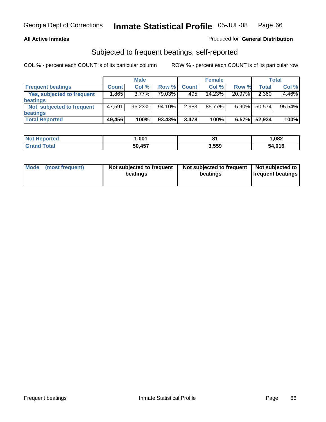### **All Active Inmates**

### Produced for **General Distribution**

## Subjected to frequent beatings, self-reported

|                            |              | <b>Male</b> |        |              | <b>Female</b> |          |        | <b>Total</b> |
|----------------------------|--------------|-------------|--------|--------------|---------------|----------|--------|--------------|
| <b>Frequent beatings</b>   | <b>Count</b> | Col%        | Row %  | <b>Count</b> | Col%          | Row %    | Total  | Col %        |
| Yes, subjected to frequent | .865         | $3.77\%$    | 79.03% | 495          | $14.23\%$     | 20.97%   | 2,360  | 4.46%        |
| beatings                   |              |             |        |              |               |          |        |              |
| Not subjected to frequent  | 47,591       | 96.23%      | 94.10% | 2,983        | 85.77%        | $5.90\%$ | 50,574 | 95.54%       |
| beatings                   |              |             |        |              |               |          |        |              |
| <b>Total Reported</b>      | 49,456       | 100%        | 93.43% | 3,478        | 100%          | 6.57%    | 52,934 | 100%         |

| <b>orted</b><br><b>NO</b> t | ,001   |       | 082, ا |
|-----------------------------|--------|-------|--------|
| ⊺otal<br>"Gra <sub>r</sub>  | 50,457 | 3.559 | 54.016 |

| Mode | (most frequent) | Not subjected to frequent<br>beatings | Not subjected to frequent   Not subjected to  <br>beatings | <b>frequent beatings</b> |
|------|-----------------|---------------------------------------|------------------------------------------------------------|--------------------------|
|      |                 |                                       |                                                            |                          |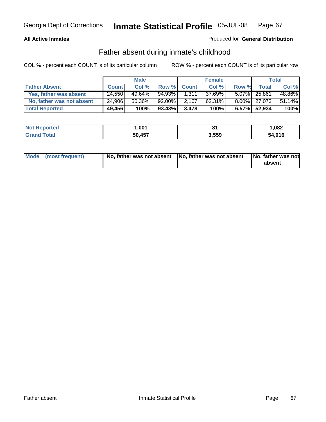### **All Active Inmates**

### Produced for **General Distribution**

## Father absent during inmate's childhood

|                           |              | <b>Male</b> |        |              | <b>Female</b> |       |              | <b>Total</b> |
|---------------------------|--------------|-------------|--------|--------------|---------------|-------|--------------|--------------|
| <b>Father Absent</b>      | <b>Count</b> | Col %       | Row %  | <b>Count</b> | Col %         | Row % | Total        | Col %        |
| Yes, father was absent    | 24,550       | 49.64%      | 94.93% | 1.311        | 37.69%        |       | 5.07% 25,861 | 48.86%       |
| No, father was not absent | 24,906       | $50.36\%$   | 92.00% | 2.167        | $62.31\%$     |       | 8.00% 27,073 | 51.14%       |
| <b>Total Reported</b>     | 49,456       | 100%        | 93.43% | 3,478        | 100%          |       | 6.57% 52,934 | 100%         |

| <b>Not Reported</b> | .00 <sup>2</sup> |       | .082   |
|---------------------|------------------|-------|--------|
| <b>Srand Total</b>  | 50,457           | 3,559 | 54,016 |

| Mode (most frequent) |  | absent |
|----------------------|--|--------|
|----------------------|--|--------|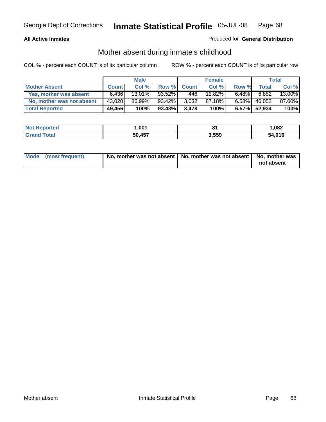### **All Active Inmates**

### Produced for **General Distribution**

## Mother absent during inmate's childhood

|                           |              | <b>Male</b> |           |              | <b>Female</b> |          |              | Total  |
|---------------------------|--------------|-------------|-----------|--------------|---------------|----------|--------------|--------|
| <b>Mother Absent</b>      | <b>Count</b> | Col %       | Row %     | <b>Count</b> | Col %         | Row %    | Total,       | Col %  |
| Yes, mother was absent    | 6.436        | $13.01\%$   | $93.52\%$ | 446          | 12.82%        | $6.48\%$ | 6,882        | 13.00% |
| No, mother was not absent | 43,020       | 86.99%      | $93.42\%$ | 3,032        | 87.18%        | $6.58\%$ | 46,052       | 87.00% |
| <b>Total Reported</b>     | 49,456       | 100%        | 93.43%    | 3.478        | 100%          |          | 6.57% 52,934 | 100%   |

| <b>Not Reported</b> | 001, ا | O4    | .082   |
|---------------------|--------|-------|--------|
| <b>Grand Total</b>  | 50,457 | 3,559 | 54,016 |

| Mode (most frequent) | No, mother was not absent   No, mother was not absent   No, mother was | not absent |
|----------------------|------------------------------------------------------------------------|------------|
|----------------------|------------------------------------------------------------------------|------------|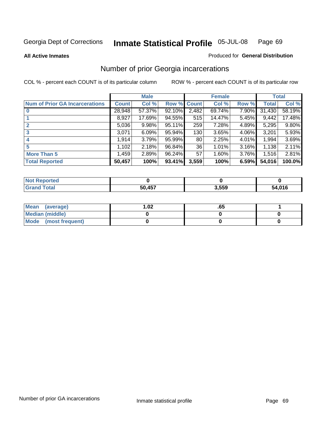### **All Active Inmates**

### Produced for **General Distribution**

## Number of prior Georgia incarcerations

|                                       |              | <b>Male</b> |                    |       | <b>Female</b> |       |        | <b>Total</b> |
|---------------------------------------|--------------|-------------|--------------------|-------|---------------|-------|--------|--------------|
| <b>Num of Prior GA Incarcerations</b> | <b>Count</b> | Col %       | <b>Row % Count</b> |       | Col %         | Row % | Total  | Col %        |
| $\bf{0}$                              | 28,948       | 57.37%      | 92.10%             | 2,482 | 69.74%        | 7.90% | 31,430 | 58.19%       |
|                                       | 8,927        | 17.69%      | 94.55%             | 515   | 14.47%        | 5.45% | 9,442  | 17.48%       |
|                                       | 5,036        | 9.98%       | 95.11%             | 259   | 7.28%         | 4.89% | 5,295  | 9.80%        |
| 3                                     | 3,071        | 6.09%       | 95.94%             | 130   | 3.65%         | 4.06% | 3,201  | 5.93%        |
|                                       | 1,914        | 3.79%       | 95.99%             | 80    | 2.25%         | 4.01% | 1,994  | 3.69%        |
| 5                                     | 1,102        | 2.18%       | 96.84%             | 36    | 1.01%         | 3.16% | 1,138  | 2.11%        |
| <b>More Than 5</b>                    | 1,459        | 2.89%       | 96.24%             | 57    | 1.60%         | 3.76% | 1,516  | 2.81%        |
| <b>Total Reported</b>                 | 50,457       | 100%        | 93.41%             | 3,559 | 100%          | 6.59% | 54,016 | 100.0%       |

| N<br>тег |        |       |        |
|----------|--------|-------|--------|
|          | 50 157 | 3,559 | 54 01C |

| Mean (average)       | l.O2 | .оз |  |
|----------------------|------|-----|--|
| Median (middle)      |      |     |  |
| Mode (most frequent) |      |     |  |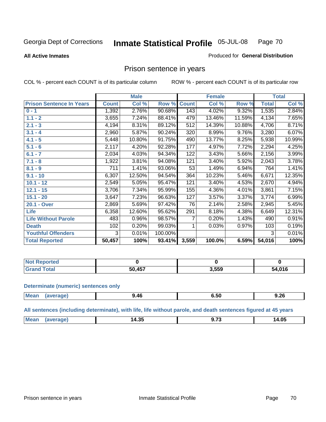### **All Active Inmates**

### Produced for **General Distribution**

## Prison sentence in years

COL % - percent each COUNT is of its particular column ROW % - percent each COUNT is of its particular row

|                                 |              | <b>Male</b> |         |              | <b>Female</b> |        |                    | <b>Total</b> |
|---------------------------------|--------------|-------------|---------|--------------|---------------|--------|--------------------|--------------|
| <b>Prison Sentence In Years</b> | <b>Count</b> | Col %       | Row %   | <b>Count</b> | Col %         | Row %  | <b>Total</b>       | Col %        |
| $0 - 1$                         | 1,392        | 2.76%       | 90.68%  | 143          | 4.02%         | 9.32%  | 1,535              | 2.84%        |
| $1.1 - 2$                       | 3,655        | 7.24%       | 88.41%  | 479          | 13.46%        | 11.59% | 4,134              | 7.65%        |
| $2.1 - 3$                       | 4,194        | 8.31%       | 89.12%  | 512          | 14.39%        | 10.88% | 4,706              | 8.71%        |
| $3.1 - 4$                       | 2,960        | 5.87%       | 90.24%  | 320          | 8.99%         | 9.76%  | 3,280              | 6.07%        |
| $4.1 - 5$                       | 5,448        | 10.80%      | 91.75%  | 490          | 13.77%        | 8.25%  | 5,938              | 10.99%       |
| $5.1 - 6$                       | 2,117        | 4.20%       | 92.28%  | 177          | 4.97%         | 7.72%  | 2,294              | 4.25%        |
| $6.1 - 7$                       | 2,034        | 4.03%       | 94.34%  | 122          | 3.43%         | 5.66%  | 2,156              | 3.99%        |
| $7.1 - 8$                       | 1,922        | 3.81%       | 94.08%  | 121          | 3.40%         | 5.92%  | 2,043              | 3.78%        |
| $8.1 - 9$                       | 711          | 1.41%       | 93.06%  | 53           | 1.49%         | 6.94%  | 764                | 1.41%        |
| $9.1 - 10$                      | 6,307        | 12.50%      | 94.54%  | 364          | 10.23%        | 5.46%  | 6,671              | 12.35%       |
| $10.1 - 12$                     | 2,549        | 5.05%       | 95.47%  | 121          | 3.40%         | 4.53%  | $\overline{2,}670$ | 4.94%        |
| $12.1 - 15$                     | 3,706        | 7.34%       | 95.99%  | 155          | 4.36%         | 4.01%  | 3,861              | 7.15%        |
| $15.1 - 20$                     | 3,647        | 7.23%       | 96.63%  | 127          | 3.57%         | 3.37%  | 3,774              | 6.99%        |
| 20.1 - Over                     | 2,869        | 5.69%       | 97.42%  | 76           | 2.14%         | 2.58%  | 2,945              | 5.45%        |
| <b>Life</b>                     | 6,358        | 12.60%      | 95.62%  | 291          | 8.18%         | 4.38%  | 6,649              | 12.31%       |
| <b>Life Without Parole</b>      | 483          | 0.96%       | 98.57%  | 7            | 0.20%         | 1.43%  | 490                | 0.91%        |
| <b>Death</b>                    | 102          | 0.20%       | 99.03%  |              | 0.03%         | 0.97%  | 103                | 0.19%        |
| <b>Youthful Offenders</b>       | 3            | 0.01%       | 100.00% |              |               |        | 3                  | 0.01%        |
| <b>Total Reported</b>           | 50,457       | 100%        | 93.41%  | 3,559        | 100.0%        | 6.59%  | 54,016             | 100%         |

| Reported<br><b>NOT</b> |                         |       |        |
|------------------------|-------------------------|-------|--------|
| <b>otal</b><br>. Gr    | $\overline{157}$<br>-50 | 3,559 | 54,016 |

### **Determinate (numeric) sentences only**

| Mean |     |     |      | 9.26 |
|------|-----|-----|------|------|
|      | ane | 46. | o.ɔu |      |
|      |     |     |      |      |

**All sentences (including determinate), with life, life without parole, and death sentences figured at 45 years**

| 14.35<br>$M\Omega$ :<br>14.05<br>$- \cdot$<br>-<br>-------<br>___ |  |  |  |
|-------------------------------------------------------------------|--|--|--|
|                                                                   |  |  |  |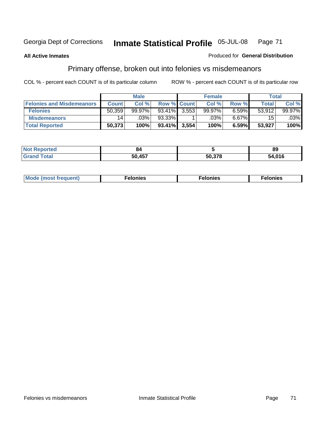### **All Active Inmates**

### Produced for **General Distribution**

## Primary offense, broken out into felonies vs misdemeanors

|                                  |              | <b>Male</b> |                    |       | <b>Female</b> |       | Total        |         |
|----------------------------------|--------------|-------------|--------------------|-------|---------------|-------|--------------|---------|
| <b>Felonies and Misdemeanors</b> | <b>Count</b> | Col %       | <b>Row % Count</b> |       | Col %         | Row % | <b>Total</b> | Col %   |
| <b>Felonies</b>                  | 50,359       | $99.97\%$   | 93.41%             | 3.553 | 99.97%        | 6.59% | 53.912       | 99.97%  |
| <b>Misdemeanors</b>              | 14           | $.03\%$     | $93.33\%$          |       | .03%          | 6.67% | 15           | $.03\%$ |
| <b>Total Reported</b>            | 50,373       | 100%        | $93.41\%$          | 3,554 | 100%          | 6.59% | 53,927       | 100%    |

| <b>Not</b><br>ted <sup>-</sup><br>$\sim$ | xΔ           |        | 89          |
|------------------------------------------|--------------|--------|-------------|
| <b>Gran</b>                              | 50 157<br>יי | 50 378 | 4.016<br>54 |

| M | . | . | . |
|---|---|---|---|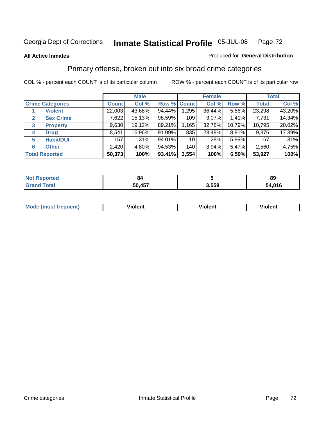### **All Active Inmates**

### Produced for **General Distribution**

## Primary offense, broken out into six broad crime categories

|                                  |              | <b>Male</b> |             |       | <b>Female</b> |        |              | <b>Total</b> |
|----------------------------------|--------------|-------------|-------------|-------|---------------|--------|--------------|--------------|
| <b>Crime Categories</b>          | <b>Count</b> | Col %       | Row % Count |       | Col %         | Row %  | <b>Total</b> | Col %        |
| <b>Violent</b>                   | 22,003       | 43.68%      | 94.44%      | 1,295 | 36.44%        | 5.56%  | 23,298       | 43.20%       |
| <b>Sex Crime</b><br>$\mathbf{2}$ | 7,622        | 15.13%      | 98.59%      | 109   | 3.07%         | 1.41%  | 7,731        | 14.34%       |
| $\mathbf{3}$<br><b>Property</b>  | 9,630        | 19.12%      | 89.21%      | 1,165 | 32.78%        | 10.79% | 10,795       | 20.02%       |
| <b>Drug</b><br>4                 | 8,541        | 16.96%      | 91.09%      | 835   | 23.49%        | 8.91%  | 9,376        | 17.39%       |
| <b>Habit/DUI</b><br>5            | 157          | .31%        | 94.01%      | 10    | .28%          | 5.99%  | 167          | .31%         |
| <b>Other</b><br>6                | 2,420        | 4.80%       | 94.53%      | 140   | $3.94\%$      | 5.47%  | 2,560        | 4.75%        |
| <b>Total Reported</b>            | 50,373       | 100%        | 93.41%      | 3,554 | 100%          | 6.59%  | 53,927       | 100%         |

| N | 84          |       | 89         |
|---|-------------|-------|------------|
|   | .457<br>50. | . 550 | ,016<br>54 |

| <b>Mou</b> | .<br>วient | วlent | ent |
|------------|------------|-------|-----|
|            |            |       |     |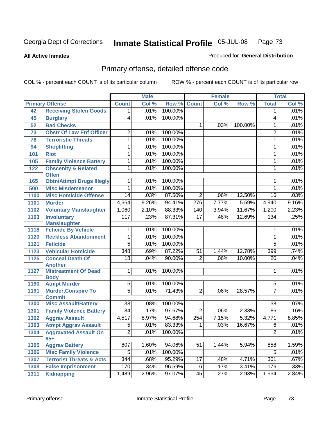**All Active Inmates**

#### Produced for **General Distribution**

# Primary offense, detailed offense code

|                   |                                                |                 | <b>Male</b> |         |                  | <b>Female</b> |         |                 | <b>Total</b> |
|-------------------|------------------------------------------------|-----------------|-------------|---------|------------------|---------------|---------|-----------------|--------------|
|                   | <b>Primary Offense</b>                         | <b>Count</b>    | Col %       | Row %   | <b>Count</b>     | Col %         | Row %   | <b>Total</b>    | Col %        |
| 42                | <b>Receiving Stolen Goods</b>                  | $\mathbf 1$     | .01%        | 100.00% |                  |               |         | $\mathbf{1}$    | .01%         |
| 45                | <b>Burglary</b>                                | 4               | .01%        | 100.00% |                  |               |         | 4               | .01%         |
| 52                | <b>Bad Checks</b>                              |                 |             |         | 1                | .03%          | 100.00% | 1               | .01%         |
| 73                | <b>Obstr Of Law Enf Officer</b>                | $\overline{2}$  | .01%        | 100.00% |                  |               |         | 2               | .01%         |
| 78                | <b>Terroristic Threats</b>                     | 1               | .01%        | 100.00% |                  |               |         | 1               | .01%         |
| 94                | <b>Shoplifting</b>                             | 1               | .01%        | 100.00% |                  |               |         | 1               | .01%         |
| 101               | <b>Riot</b>                                    | 1               | .01%        | 100.00% |                  |               |         | 1               | .01%         |
| 105               | <b>Family Violence Battery</b>                 | 1               | .01%        | 100.00% |                  |               |         | 1               | .01%         |
| 122               | <b>Obscenity &amp; Related</b><br><b>Offen</b> | 1               | .01%        | 100.00% |                  |               |         | 1               | .01%         |
| 165               | <b>Obtn/Attmpt Drugs Illegly</b>               | 1               | .01%        | 100.00% |                  |               |         | 1               | .01%         |
| 500               | <b>Misc Misdemeanor</b>                        | 1               | .01%        | 100.00% |                  |               |         | 1               | .01%         |
| 1100              | <b>Misc Homicide Offense</b>                   | $\overline{14}$ | .03%        | 87.50%  | $\overline{2}$   | .06%          | 12.50%  | $\overline{16}$ | .03%         |
| 1101              | <b>Murder</b>                                  | 4,664           | 9.26%       | 94.41%  | $\overline{276}$ | 7.77%         | 5.59%   | 4,940           | 9.16%        |
| 1102              | <b>Voluntary Manslaughter</b>                  | 1,060           | 2.10%       | 88.33%  | 140              | 3.94%         | 11.67%  | 1,200           | 2.23%        |
| 1103              | <b>Involuntary</b>                             | 117             | .23%        | 87.31%  | 17               | .48%          | 12.69%  | 134             | .25%         |
|                   | <b>Manslaughter</b>                            |                 |             |         |                  |               |         |                 |              |
| 1118              | <b>Feticide By Vehicle</b>                     | 1               | .01%        | 100.00% |                  |               |         | 1               | .01%         |
| 1120              | <b>Reckless Abandonment</b>                    | 1               | .01%        | 100.00% |                  |               |         | 1               | .01%         |
| $\overline{1121}$ | <b>Feticide</b>                                | $\overline{5}$  | .01%        | 100.00% |                  |               |         | $\overline{5}$  | .01%         |
| 1123              | <b>Vehicular Homicide</b>                      | 348             | .69%        | 87.22%  | 51               | 1.44%         | 12.78%  | 399             | .74%         |
| 1125              | <b>Conceal Death Of</b>                        | $\overline{18}$ | .04%        | 90.00%  | $\overline{2}$   | .06%          | 10.00%  | $\overline{20}$ | .04%         |
|                   | <b>Another</b>                                 |                 |             |         |                  |               |         |                 |              |
| 1127              | <b>Mistreatment Of Dead</b><br><b>Body</b>     | 1               | .01%        | 100.00% |                  |               |         | 1               | .01%         |
| 1190              | <b>Atmpt Murder</b>                            | $\overline{5}$  | .01%        | 100.00% |                  |               |         | $\overline{5}$  | .01%         |
| 1191              | <b>Murder, Conspire To</b>                     | $\overline{5}$  | .01%        | 71.43%  | $\overline{2}$   | .06%          | 28.57%  | $\overline{7}$  | .01%         |
|                   | <b>Commit</b>                                  |                 |             |         |                  |               |         |                 |              |
| 1300              | <b>Misc Assault/Battery</b>                    | $\overline{38}$ | .08%        | 100.00% |                  |               |         | 38              | .07%         |
| 1301              | <b>Family Violence Battery</b>                 | 84              | .17%        | 97.67%  | $\overline{2}$   | .06%          | 2.33%   | $\overline{86}$ | .16%         |
| 1302              | <b>Aggrav Assault</b>                          | 4,517           | 8.97%       | 94.68%  | 254              | 7.15%         | 5.32%   | 4,771           | 8.85%        |
| 1303              | <b>Atmpt Aggrav Assault</b>                    | 5               | .01%        | 83.33%  | 1                | .03%          | 16.67%  | 6               | .01%         |
| 1304              | <b>Aggravated Assault On</b><br>$65+$          | $\overline{2}$  | .01%        | 100.00% |                  |               |         | $\overline{2}$  | .01%         |
| 1305              | <b>Aggrav Battery</b>                          | 807             | 1.60%       | 94.06%  | 51               | 1.44%         | 5.94%   | 858             | 1.59%        |
| 1306              | <b>Misc Family Violence</b>                    | 5               | .01%        | 100.00% |                  |               |         | 5               | .01%         |
| 1307              | <b>Terrorist Threats &amp; Acts</b>            | 344             | .68%        | 95.29%  | 17               | .48%          | 4.71%   | 361             | .67%         |
| 1308              | <b>False Imprisonment</b>                      | 170             | .34%        | 96.59%  | 6                | .17%          | 3.41%   | 176             | .33%         |
| 1311              | <b>Kidnapping</b>                              | 1,489           | 2.96%       | 97.07%  | 45               | 1.27%         | 2.93%   | 1,534           | 2.84%        |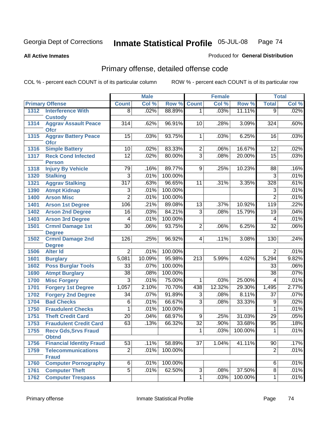**All Active Inmates**

#### Produced for **General Distribution**

# Primary offense, detailed offense code

|      |                                            |                         | <b>Male</b> |         | <b>Female</b>    |        |         | <b>Total</b>     |       |
|------|--------------------------------------------|-------------------------|-------------|---------|------------------|--------|---------|------------------|-------|
|      | <b>Primary Offense</b>                     | <b>Count</b>            | Col %       | Row %   | <b>Count</b>     | Col %  | Row %   | <b>Total</b>     | Col % |
| 1312 | <b>Interference With</b>                   | $\overline{8}$          | .02%        | 88.89%  | $\overline{1}$   | .03%   | 11.11%  | $\overline{9}$   | .02%  |
|      | <b>Custody</b>                             |                         |             |         |                  |        |         |                  |       |
| 1314 | <b>Aggrav Assault Peace</b><br><b>Ofcr</b> | $\overline{314}$        | .62%        | 96.91%  | 10               | .28%   | 3.09%   | $\overline{324}$ | .60%  |
| 1315 | <b>Aggrav Battery Peace</b><br><b>Ofcr</b> | 15                      | .03%        | 93.75%  | $\mathbf{1}$     | .03%   | 6.25%   | 16               | .03%  |
| 1316 | <b>Simple Battery</b>                      | 10                      | .02%        | 83.33%  | $\overline{2}$   | .06%   | 16.67%  | $\overline{12}$  | .02%  |
| 1317 | <b>Reck Cond Infected</b><br><b>Person</b> | $\overline{12}$         | .02%        | 80.00%  | $\overline{3}$   | .08%   | 20.00%  | $\overline{15}$  | .03%  |
| 1318 | <b>Injury By Vehicle</b>                   | 79                      | .16%        | 89.77%  | 9                | .25%   | 10.23%  | 88               | .16%  |
| 1320 | <b>Stalking</b>                            | $\overline{3}$          | .01%        | 100.00% |                  |        |         | $\overline{3}$   | .01%  |
| 1321 | <b>Aggrav Stalking</b>                     | $\overline{317}$        | .63%        | 96.65%  | 11               | .31%   | 3.35%   | 328              | .61%  |
| 1390 | <b>Atmpt Kidnap</b>                        | 3                       | .01%        | 100.00% |                  |        |         | 3                | .01%  |
| 1400 | <b>Arson Misc</b>                          | $\overline{2}$          | .01%        | 100.00% |                  |        |         | $\overline{2}$   | .01%  |
| 1401 | <b>Arson 1st Degree</b>                    | 106                     | .21%        | 89.08%  | $\overline{13}$  | .37%   | 10.92%  | 119              | .22%  |
| 1402 | <b>Arson 2nd Degree</b>                    | $\overline{16}$         | .03%        | 84.21%  | 3                | .08%   | 15.79%  | 19               | .04%  |
| 1403 | <b>Arson 3rd Degree</b>                    | 4                       | .01%        | 100.00% |                  |        |         | 4                | .01%  |
| 1501 | <b>Crmnl Damage 1st</b>                    | $\overline{30}$         | .06%        | 93.75%  | $\overline{2}$   | .06%   | 6.25%   | $\overline{32}$  | .06%  |
|      | <b>Degree</b>                              |                         |             |         |                  |        |         |                  |       |
| 1502 | <b>Crmnl Damage 2nd</b><br><b>Degree</b>   | 126                     | .25%        | 96.92%  | $\overline{4}$   | .11%   | 3.08%   | 130              | .24%  |
| 1506 | <b>Alter Id</b>                            | $\overline{2}$          | .01%        | 100.00% |                  |        |         | 2                | .01%  |
| 1601 | <b>Burglary</b>                            | 5,081                   | 10.09%      | 95.98%  | $\overline{213}$ | 5.99%  | 4.02%   | 5,294            | 9.82% |
| 1602 | <b>Poss Burglar Tools</b>                  | $\overline{33}$         | .07%        | 100.00% |                  |        |         | $\overline{33}$  | .06%  |
| 1690 | <b>Atmpt Burglary</b>                      | $\overline{38}$         | .08%        | 100.00% |                  |        |         | $\overline{38}$  | .07%  |
| 1700 | <b>Misc Forgery</b>                        | $\overline{\mathbf{3}}$ | .01%        | 75.00%  | 1                | .03%   | 25.00%  | $\overline{4}$   | .01%  |
| 1701 | <b>Forgery 1st Degree</b>                  | 1,057                   | 2.10%       | 70.70%  | 438              | 12.32% | 29.30%  | 1,495            | 2.77% |
| 1702 | <b>Forgery 2nd Degree</b>                  | $\overline{34}$         | .07%        | 91.89%  | $\overline{3}$   | .08%   | 8.11%   | $\overline{37}$  | .07%  |
| 1704 | <b>Bad Checks</b>                          | $\overline{6}$          | .01%        | 66.67%  | $\overline{3}$   | .08%   | 33.33%  | $\overline{9}$   | .02%  |
| 1750 | <b>Fraudulent Checks</b>                   | 1                       | .01%        | 100.00% |                  |        |         | 1                | .01%  |
| 1751 | <b>Theft Credit Card</b>                   | $\overline{20}$         | .04%        | 68.97%  | $\overline{9}$   | .25%   | 31.03%  | $\overline{29}$  | .05%  |
| 1753 | <b>Fraudulent Credit Card</b>              | 63                      | .13%        | 66.32%  | $\overline{32}$  | .90%   | 33.68%  | 95               | .18%  |
| 1755 | <b>Recv Gds, Srvs Fraud</b>                |                         |             |         | $\overline{1}$   | .03%   | 100.00% | 1                | .01%  |
|      | <b>Obtnd</b>                               |                         |             |         |                  |        |         |                  |       |
| 1756 | <b>Financial Identity Fraud</b>            | 53                      | .11%        | 58.89%  | $\overline{37}$  | 1.04%  | 41.11%  | $\overline{90}$  | .17%  |
| 1759 | <b>Telecommunications</b><br><b>Fraud</b>  | $\overline{2}$          | .01%        | 100.00% |                  |        |         | $\overline{2}$   | .01%  |
| 1760 | <b>Computer Pornography</b>                | $\overline{6}$          | .01%        | 100.00% |                  |        |         | 6                | .01%  |
| 1761 | <b>Computer Theft</b>                      | $\overline{5}$          | .01%        | 62.50%  | 3                | .08%   | 37.50%  | 8                | .01%  |
| 1762 | <b>Computer Trespass</b>                   |                         |             |         | $\overline{1}$   | .03%   | 100.00% | $\mathbf{1}$     | .01%  |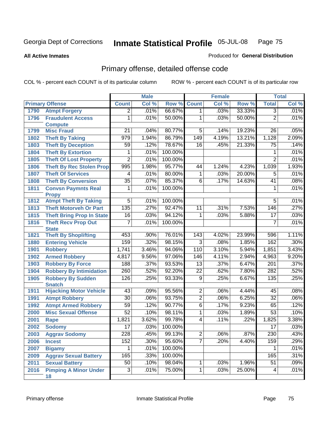**All Active Inmates**

#### Produced for **General Distribution**

# Primary offense, detailed offense code

|      |                                                    |                 | <b>Male</b> |         |                 | <b>Female</b> |        |                  | <b>Total</b> |
|------|----------------------------------------------------|-----------------|-------------|---------|-----------------|---------------|--------|------------------|--------------|
|      | <b>Primary Offense</b>                             | <b>Count</b>    | Col %       | Row %   | <b>Count</b>    | Col %         | Row %  | <b>Total</b>     | Col %        |
| 1790 | <b>Atmpt Forgery</b>                               | $\overline{2}$  | .01%        | 66.67%  | $\overline{1}$  | .03%          | 33.33% | $\overline{3}$   | .01%         |
| 1796 | <b>Fraudulent Access</b>                           | 1               | .01%        | 50.00%  | 1               | .03%          | 50.00% | $\overline{2}$   | .01%         |
|      | <b>Compute</b>                                     |                 |             |         |                 |               |        |                  |              |
| 1799 | <b>Misc Fraud</b>                                  | 21              | .04%        | 80.77%  | $\overline{5}$  | .14%          | 19.23% | 26               | .05%         |
| 1802 | <b>Theft By Taking</b>                             | 979             | 1.94%       | 86.79%  | 149             | 4.19%         | 13.21% | 1,128            | 2.09%        |
| 1803 | <b>Theft By Deception</b>                          | 59              | .12%        | 78.67%  | $\overline{16}$ | .45%          | 21.33% | 75               | .14%         |
| 1804 | <b>Theft By Extortion</b>                          | 1               | .01%        | 100.00% |                 |               |        | 1                | .01%         |
| 1805 | <b>Theft Of Lost Property</b>                      | $\overline{2}$  | .01%        | 100.00% |                 |               |        | $\overline{2}$   | .01%         |
| 1806 | <b>Theft By Rec Stolen Prop</b>                    | 995             | 1.98%       | 95.77%  | 44              | 1.24%         | 4.23%  | 1,039            | 1.93%        |
| 1807 | <b>Theft Of Services</b>                           | 4               | .01%        | 80.00%  | 1               | .03%          | 20.00% | 5                | .01%         |
| 1808 | <b>Theft By Conversion</b>                         | $\overline{35}$ | .07%        | 85.37%  | $\overline{6}$  | .17%          | 14.63% | 41               | .08%         |
| 1811 | <b>Convsn Paymnts Real</b>                         | 1               | .01%        | 100.00% |                 |               |        | 1                | .01%         |
|      | <b>Propy</b>                                       |                 |             |         |                 |               |        |                  |              |
| 1812 | <b>Atmpt Theft By Taking</b>                       | $\overline{5}$  | .01%        | 100.00% |                 |               |        | 5                | .01%         |
| 1813 | <b>Theft Motorveh Or Part</b>                      | 135             | .27%        | 92.47%  | 11              | .31%          | 7.53%  | 146              | .27%         |
| 1815 | <b>Theft Bring Prop In State</b>                   | 16              | .03%        | 94.12%  | 1               | .03%          | 5.88%  | $\overline{17}$  | .03%         |
| 1816 | <b>Theft Recv Prop Out</b>                         | $\overline{7}$  | .01%        | 100.00% |                 |               |        | $\overline{7}$   | .01%         |
|      | <b>State</b>                                       |                 |             |         |                 |               |        |                  |              |
| 1821 | <b>Theft By Shoplifting</b>                        | 453             | .90%        | 76.01%  | 143             | 4.02%         | 23.99% | 596              | 1.11%        |
| 1880 | <b>Entering Vehicle</b>                            | 159             | .32%        | 98.15%  | $\overline{3}$  | .08%          | 1.85%  | 162              | .30%         |
| 1901 | <b>Robbery</b>                                     | 1,741           | 3.46%       | 94.06%  | 110             | 3.10%         | 5.94%  | 1,851            | 3.43%        |
| 1902 | <b>Armed Robbery</b>                               | 4,817           | 9.56%       | 97.06%  | 146             | 4.11%         | 2.94%  | 4,963            | 9.20%        |
| 1903 | <b>Robbery By Force</b>                            | 188             | .37%        | 93.53%  | $\overline{13}$ | .37%          | 6.47%  | 201              | .37%         |
| 1904 | <b>Robbery By Intimidation</b>                     | 260             | .52%        | 92.20%  | $\overline{22}$ | .62%          | 7.80%  | $\overline{282}$ | .52%         |
| 1905 | <b>Robbery By Sudden</b>                           | 126             | .25%        | 93.33%  | $\overline{9}$  | .25%          | 6.67%  | 135              | .25%         |
| 1911 | <b>Snatch</b><br><b>Hijacking Motor Vehicle</b>    | $\overline{43}$ | .09%        | 95.56%  | $\overline{2}$  | .06%          | 4.44%  | 45               | .08%         |
| 1991 |                                                    | $\overline{30}$ | .06%        | 93.75%  | $\overline{2}$  | .06%          | 6.25%  | $\overline{32}$  | .06%         |
|      | <b>Atmpt Robbery</b><br><b>Atmpt Armed Robbery</b> | 59              | .12%        | 90.77%  | $\overline{6}$  | .17%          | 9.23%  | 65               | .12%         |
| 1992 |                                                    | $\overline{52}$ | .10%        | 98.11%  | $\overline{1}$  | .03%          | 1.89%  | $\overline{53}$  | .10%         |
| 2000 | <b>Misc Sexual Offense</b>                         |                 |             |         | $\overline{4}$  |               |        |                  | 3.38%        |
| 2001 | Rape                                               | 1,821           | 3.62%       | 99.78%  |                 | .11%          | .22%   | 1,825            |              |
| 2002 | <b>Sodomy</b>                                      | $\overline{17}$ | .03%        | 100.00% |                 |               |        | $\overline{17}$  | .03%         |
| 2003 | <b>Aggrav Sodomy</b>                               | 228             | .45%        | 99.13%  | $\overline{c}$  | .06%          | .87%   | 230              | .43%         |
| 2006 | <b>Incest</b>                                      | 152             | .30%        | 95.60%  | $\overline{7}$  | .20%          | 4.40%  | 159              | .29%         |
| 2007 | <b>Bigamy</b>                                      | 1               | .01%        | 100.00% |                 |               |        | 1                | .01%         |
| 2009 | <b>Aggrav Sexual Battery</b>                       | 165             | .33%        | 100.00% |                 |               |        | 165              | .31%         |
| 2011 | <b>Sexual Battery</b>                              | 50              | .10%        | 98.04%  | $\mathbf{1}$    | .03%          | 1.96%  | $\overline{51}$  | .09%         |
| 2016 | <b>Pimping A Minor Under</b><br>18                 | 3               | .01%        | 75.00%  | $\overline{1}$  | .03%          | 25.00% | 4                | .01%         |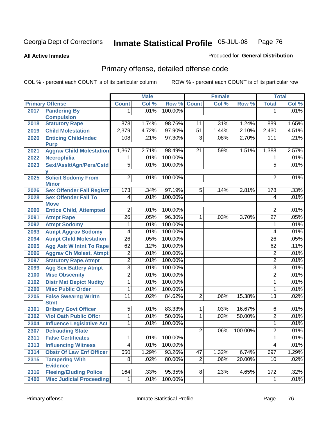**All Active Inmates**

#### Produced for **General Distribution**

# Primary offense, detailed offense code

|      |                                  |                  | <b>Male</b> |         |                 | <b>Female</b> |         |                  | <b>Total</b> |
|------|----------------------------------|------------------|-------------|---------|-----------------|---------------|---------|------------------|--------------|
|      | <b>Primary Offense</b>           | <b>Count</b>     | Col %       | Row %   | <b>Count</b>    | Col %         | Row %   | <b>Total</b>     | Col %        |
| 2017 | <b>Pandering By</b>              | 1.               | .01%        | 100.00% |                 |               |         | 1                | .01%         |
|      | <b>Compulsion</b>                |                  |             |         |                 |               |         |                  |              |
| 2018 | <b>Statutory Rape</b>            | $\overline{878}$ | 1.74%       | 98.76%  | 11              | .31%          | 1.24%   | 889              | 1.65%        |
| 2019 | <b>Child Molestation</b>         | 2,379            | 4.72%       | 97.90%  | $\overline{51}$ | 1.44%         | 2.10%   | 2,430            | 4.51%        |
| 2020 | <b>Enticing Child-Indec</b>      | 108              | .21%        | 97.30%  | 3               | .08%          | 2.70%   | 111              | .21%         |
|      | <b>Purp</b>                      |                  |             |         |                 |               |         |                  |              |
| 2021 | <b>Aggrav Child Molestation</b>  | 1,367            | 2.71%       | 98.49%  | $\overline{21}$ | .59%          | 1.51%   | 1,388            | 2.57%        |
| 2022 | Necrophilia                      | 1.               | .01%        | 100.00% |                 |               |         | 1                | .01%         |
| 2023 | Sexl/Asslt/Agn/Pers/Cstd         | $\overline{5}$   | .01%        | 100.00% |                 |               |         | $\overline{5}$   | .01%         |
| 2025 | <b>Solicit Sodomy From</b>       | $\overline{2}$   | .01%        | 100.00% |                 |               |         | $\overline{2}$   | .01%         |
|      | <b>Minor</b>                     |                  |             |         |                 |               |         |                  |              |
| 2026 | <b>Sex Offender Fail Registr</b> | 173              | .34%        | 97.19%  | $\overline{5}$  | .14%          | 2.81%   | 178              | .33%         |
| 2028 | <b>Sex Offender Fail To</b>      | 4                | .01%        | 100.00% |                 |               |         | $\overline{4}$   | .01%         |
|      | <b>Move</b>                      |                  |             |         |                 |               |         |                  |              |
| 2090 | <b>Entice Child, Attempted</b>   | $\overline{2}$   | .01%        | 100.00% |                 |               |         | $\overline{2}$   | .01%         |
| 2091 | <b>Atmpt Rape</b>                | $\overline{26}$  | .05%        | 96.30%  | 1               | .03%          | 3.70%   | $\overline{27}$  | .05%         |
| 2092 | <b>Atmpt Sodomy</b>              | 1                | .01%        | 100.00% |                 |               |         | 1                | .01%         |
| 2093 | <b>Atmpt Aggrav Sodomy</b>       | 4                | .01%        | 100.00% |                 |               |         | 4                | .01%         |
| 2094 | <b>Atmpt Child Molestation</b>   | $\overline{26}$  | .05%        | 100.00% |                 |               |         | $\overline{26}$  | .05%         |
| 2095 | <b>Agg Aslt W Intnt To Rape</b>  | 62               | .12%        | 100.00% |                 |               |         | 62               | .11%         |
| 2096 | <b>Aggrav Ch Molest, Atmpt</b>   | $\overline{2}$   | .01%        | 100.00% |                 |               |         | $\overline{2}$   | .01%         |
| 2097 | <b>Statutory Rape, Atmpt</b>     | $\overline{2}$   | .01%        | 100.00% |                 |               |         | $\overline{2}$   | .01%         |
| 2099 | <b>Agg Sex Battery Atmpt</b>     | $\overline{3}$   | .01%        | 100.00% |                 |               |         | $\overline{3}$   | .01%         |
| 2100 | <b>Misc Obscenity</b>            | $\overline{2}$   | .01%        | 100.00% |                 |               |         | $\overline{2}$   | .01%         |
| 2102 | <b>Distr Mat Depict Nudity</b>   | $\overline{1}$   | .01%        | 100.00% |                 |               |         | $\overline{1}$   | .01%         |
| 2200 | <b>Misc Public Order</b>         | 1                | .01%        | 100.00% |                 |               |         | 1                | .01%         |
| 2205 | <b>False Swearng Writtn</b>      | $\overline{11}$  | .02%        | 84.62%  | $\overline{2}$  | .06%          | 15.38%  | 13               | .02%         |
|      | <b>Stmt</b>                      |                  |             |         |                 |               |         |                  |              |
| 2301 | <b>Bribery Govt Officer</b>      | $\overline{5}$   | .01%        | 83.33%  | 1               | .03%          | 16.67%  | $\overline{6}$   | .01%         |
| 2302 | <b>Viol Oath Public Offcr</b>    | $\overline{1}$   | .01%        | 50.00%  | $\overline{1}$  | .03%          | 50.00%  | $\overline{2}$   | .01%         |
| 2304 | <b>Influence Legislative Act</b> | 1                | .01%        | 100.00% |                 |               |         | 1                | .01%         |
| 2307 | <b>Defrauding State</b>          |                  |             |         | $\overline{2}$  | .06%          | 100.00% | $\overline{2}$   | .01%         |
| 2311 | <b>False Certificates</b>        | 1                | .01%        | 100.00% |                 |               |         | 1                | .01%         |
| 2313 | <b>Influencing Witness</b>       | $\overline{4}$   | .01%        | 100.00% |                 |               |         | 4                | .01%         |
| 2314 | <b>Obstr Of Law Enf Officer</b>  | 650              | 1.29%       | 93.26%  | 47              | 1.32%         | 6.74%   | 697              | 1.29%        |
| 2315 | <b>Tampering With</b>            | $\overline{8}$   | .02%        | 80.00%  | $\overline{2}$  | .06%          | 20.00%  | $\overline{10}$  | .02%         |
|      | <b>Evidence</b>                  |                  |             |         |                 |               |         |                  |              |
| 2316 | <b>Fleeing/Eluding Police</b>    | 164              | .33%        | 95.35%  | 8               | .23%          | 4.65%   | $\overline{172}$ | .32%         |
| 2400 | <b>Misc Judicial Proceeding</b>  | 1                | .01%        | 100.00% |                 |               |         | 1                | .01%         |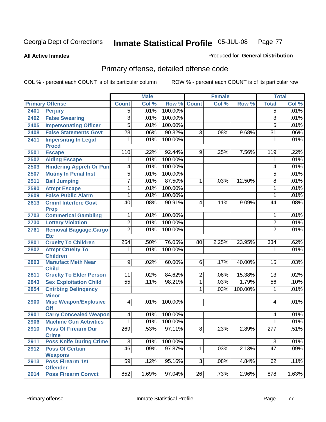**All Active Inmates**

#### Produced for **General Distribution**

# Primary offense, detailed offense code

|      |                                            |                  | <b>Male</b> |         |                 | <b>Female</b> |         |                 | <b>Total</b> |
|------|--------------------------------------------|------------------|-------------|---------|-----------------|---------------|---------|-----------------|--------------|
|      | <b>Primary Offense</b>                     | <b>Count</b>     | Col %       | Row %   | <b>Count</b>    | Col %         | Row %   | <b>Total</b>    | Col %        |
| 2401 | <b>Perjury</b>                             | $\overline{5}$   | .01%        | 100.00% |                 |               |         | $\overline{5}$  | .01%         |
| 2402 | <b>False Swearing</b>                      | $\overline{3}$   | .01%        | 100.00% |                 |               |         | $\overline{3}$  | .01%         |
| 2405 | <b>Impersonating Officer</b>               | $\overline{5}$   | .01%        | 100.00% |                 |               |         | $\overline{5}$  | .01%         |
| 2408 | <b>False Statements Govt</b>               | $\overline{28}$  | .06%        | 90.32%  | $\overline{3}$  | .08%          | 9.68%   | $\overline{31}$ | .06%         |
| 2411 | <b>Impersntng In Legal</b>                 | 1                | .01%        | 100.00% |                 |               |         | 1               | .01%         |
|      | <b>Procd</b>                               |                  |             |         |                 |               |         |                 |              |
| 2501 | <b>Escape</b>                              | 110              | .22%        | 92.44%  | 9               | .25%          | 7.56%   | 119             | .22%         |
| 2502 | <b>Aiding Escape</b>                       | 1                | .01%        | 100.00% |                 |               |         | 1               | .01%         |
| 2503 | <b>Hindering Appreh Or Pun</b>             | 4                | .01%        | 100.00% |                 |               |         | 4               | .01%         |
| 2507 | <b>Mutiny In Penal Inst</b>                | $\overline{5}$   | .01%        | 100.00% |                 |               |         | $\overline{5}$  | .01%         |
| 2511 | <b>Bail Jumping</b>                        | 7                | .01%        | 87.50%  | 1               | .03%          | 12.50%  | 8               | .01%         |
| 2590 | <b>Atmpt Escape</b>                        | 1                | .01%        | 100.00% |                 |               |         | 1               | .01%         |
| 2609 | <b>False Public Alarm</b>                  | 1                | .01%        | 100.00% |                 |               |         | 1               | .01%         |
| 2613 | <b>Crmnl Interfere Govt</b>                | 40               | .08%        | 90.91%  | 4               | .11%          | 9.09%   | 44              | .08%         |
|      | <b>Prop</b>                                |                  |             |         |                 |               |         |                 |              |
| 2703 | <b>Commerical Gambling</b>                 | 1                | .01%        | 100.00% |                 |               |         | 1               | .01%         |
| 2730 | <b>Lottery Violation</b>                   | $\overline{2}$   | .01%        | 100.00% |                 |               |         | $\overline{2}$  | .01%         |
| 2761 | <b>Removal Baggage, Cargo</b>              | $\overline{2}$   | .01%        | 100.00% |                 |               |         | $\overline{2}$  | .01%         |
|      | <b>Etc</b>                                 |                  |             | 76.05%  |                 |               |         |                 | .62%         |
| 2801 | <b>Cruelty To Children</b>                 | 254              | .50%        | 100.00% | 80              | 2.25%         | 23.95%  | 334             |              |
| 2802 | <b>Atmpt Cruelty To</b><br><b>Children</b> | 1                | .01%        |         |                 |               |         | 1               | .01%         |
| 2803 | <b>Manufact Meth Near</b>                  | $\overline{9}$   | .02%        | 60.00%  | 6               | .17%          | 40.00%  | 15              | .03%         |
|      | <b>Child</b>                               |                  |             |         |                 |               |         |                 |              |
| 2811 | <b>Cruelty To Elder Person</b>             | 11               | .02%        | 84.62%  | $\overline{2}$  | .06%          | 15.38%  | 13              | .02%         |
| 2843 | <b>Sex Exploitation Child</b>              | $\overline{55}$  | .11%        | 98.21%  | $\overline{1}$  | .03%          | 1.79%   | $\overline{56}$ | .10%         |
| 2854 | <b>Cntrbtng Delingency</b>                 |                  |             |         | 1               | .03%          | 100.00% | 1               | .01%         |
|      | <b>Minor</b>                               |                  |             |         |                 |               |         |                 |              |
| 2900 | <b>Misc Weapon/Explosive</b>               | $\overline{4}$   | .01%        | 100.00% |                 |               |         | 4               | .01%         |
|      | <b>Off</b>                                 |                  |             |         |                 |               |         |                 |              |
| 2901 | <b>Carry Concealed Weapon</b>              | 4                | .01%        | 100.00% |                 |               |         | 4               | .01%         |
| 2906 | <b>Machine Gun Activities</b>              | 1                | .01%        | 100.00% |                 |               |         | 1               | .01%         |
| 2910 | <b>Poss Of Firearm Dur</b>                 | $\overline{269}$ | .53%        | 97.11%  | 8               | .23%          | 2.89%   | 277             | .51%         |
|      | <b>Crime</b>                               |                  | .01%        |         |                 |               |         | $\overline{3}$  |              |
| 2911 | <b>Poss Knife During Crime</b>             | $\overline{3}$   |             | 100.00% |                 |               |         |                 | .01%         |
| 2912 | <b>Poss Of Certain</b><br><b>Weapons</b>   | $\overline{46}$  | .09%        | 97.87%  | $\mathbf{1}$    | .03%          | 2.13%   | $\overline{47}$ | .09%         |
| 2913 | <b>Poss Firearm 1st</b>                    | 59               | .12%        | 95.16%  | $\overline{3}$  | .08%          | 4.84%   | 62              | .11%         |
|      | <b>Offender</b>                            |                  |             |         |                 |               |         |                 |              |
| 2914 | <b>Poss Firearm Convct</b>                 | 852              | 1.69%       | 97.04%  | $\overline{26}$ | .73%          | 2.96%   | 878             | 1.63%        |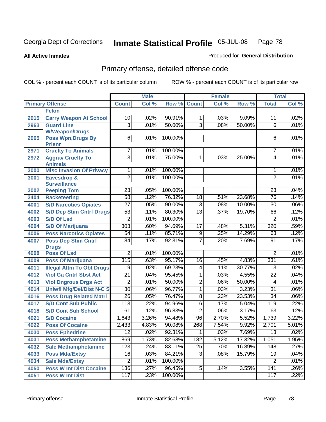**All Active Inmates**

#### Produced for **General Distribution**

# Primary offense, detailed offense code

|      |                                            |                  | <b>Male</b> |         |                 | <b>Female</b> |        |                 | <b>Total</b> |
|------|--------------------------------------------|------------------|-------------|---------|-----------------|---------------|--------|-----------------|--------------|
|      | <b>Primary Offense</b>                     | <b>Count</b>     | Col %       | Row %   | <b>Count</b>    | Col %         | Row %  | <b>Total</b>    | Col %        |
|      | <b>Felon</b>                               |                  |             |         |                 |               |        |                 |              |
| 2915 | <b>Carry Weapon At School</b>              | 10               | .02%        | 90.91%  | $\mathbf 1$     | .03%          | 9.09%  | 11              | .02%         |
| 2963 | <b>Guard Line</b>                          | $\overline{3}$   | .01%        | 50.00%  | $\overline{3}$  | .08%          | 50.00% | $\overline{6}$  | .01%         |
|      | <b>W/Weapon/Drugs</b>                      |                  |             |         |                 |               |        |                 |              |
| 2965 | <b>Poss Wpn, Drugs By</b>                  | $\overline{6}$   | .01%        | 100.00% |                 |               |        | 6               | .01%         |
| 2971 | <b>Prisnr</b><br><b>Cruelty To Animals</b> | 7                | .01%        | 100.00% |                 |               |        | 7               | .01%         |
| 2972 | <b>Aggrav Cruelty To</b>                   | $\overline{3}$   | .01%        | 75.00%  | $\mathbf 1$     | .03%          | 25.00% | 4               | .01%         |
|      | <b>Animals</b>                             |                  |             |         |                 |               |        |                 |              |
| 3000 | <b>Misc Invasion Of Privacy</b>            | 1                | .01%        | 100.00% |                 |               |        | 1               | .01%         |
| 3001 | Eavesdrop &                                | $\overline{2}$   | .01%        | 100.00% |                 |               |        | $\overline{2}$  | .01%         |
|      | <b>Surveillance</b>                        |                  |             |         |                 |               |        |                 |              |
| 3002 | <b>Peeping Tom</b>                         | 23               | .05%        | 100.00% |                 |               |        | 23              | .04%         |
| 3404 | <b>Racketeering</b>                        | $\overline{58}$  | .12%        | 76.32%  | 18              | .51%          | 23.68% | 76              | .14%         |
| 4001 | <b>S/D Narcotics Opiates</b>               | $\overline{27}$  | .05%        | 90.00%  | $\overline{3}$  | .08%          | 10.00% | 30              | .06%         |
| 4002 | <b>S/D Dep Stim Cntrf Drugs</b>            | 53               | .11%        | 80.30%  | $\overline{13}$ | .37%          | 19.70% | 66              | .12%         |
| 4003 | <b>S/D Of Lsd</b>                          | $\overline{2}$   | .01%        | 100.00% |                 |               |        | 2               | .01%         |
| 4004 | <b>S/D Of Marijuana</b>                    | $\overline{303}$ | .60%        | 94.69%  | 17              | .48%          | 5.31%  | 320             | .59%         |
| 4006 | <b>Poss Narcotics Opiates</b>              | 54               | .11%        | 85.71%  | 9               | .25%          | 14.29% | 63              | .12%         |
| 4007 | <b>Poss Dep Stim Cntrf</b>                 | 84               | .17%        | 92.31%  | $\overline{7}$  | .20%          | 7.69%  | 91              | .17%         |
|      | <b>Drugs</b>                               |                  |             |         |                 |               |        |                 |              |
| 4008 | <b>Poss Of Lsd</b>                         | $\overline{2}$   | .01%        | 100.00% |                 |               |        | 2               | .01%         |
| 4009 | <b>Poss Of Marijuana</b>                   | 315              | .63%        | 95.17%  | $\overline{16}$ | .45%          | 4.83%  | 331             | .61%         |
| 4011 | <b>Illegal Attm To Obt Drugs</b>           | $\overline{9}$   | .02%        | 69.23%  | 4               | .11%          | 30.77% | $\overline{13}$ | .02%         |
| 4012 | <b>Viol Ga Cntrl Sbst Act</b>              | $\overline{21}$  | .04%        | 95.45%  | 1               | .03%          | 4.55%  | $\overline{22}$ | .04%         |
| 4013 | <b>Viol Dngrous Drgs Act</b>               | 2                | .01%        | 50.00%  | $\overline{2}$  | .06%          | 50.00% | 4               | .01%         |
| 4014 | <b>Uniwfl Mfg/Del/Dist N-C S</b>           | $\overline{30}$  | .06%        | 96.77%  | 1               | .03%          | 3.23%  | $\overline{31}$ | .06%         |
| 4016 | <b>Poss Drug Related Matri</b>             | $\overline{26}$  | .05%        | 76.47%  | $\overline{8}$  | .23%          | 23.53% | $\overline{34}$ | .06%         |
| 4017 | <b>S/D Cont Sub Public</b>                 | 113              | .22%        | 94.96%  | $\overline{6}$  | .17%          | 5.04%  | 119             | .22%         |
| 4018 | <b>S/D Cont Sub School</b>                 | 61               | .12%        | 96.83%  | $\overline{2}$  | .06%          | 3.17%  | 63              | .12%         |
| 4021 | <b>S/D Cocaine</b>                         | 1,643            | 3.26%       | 94.48%  | $\overline{96}$ | 2.70%         | 5.52%  | 1,739           | 3.22%        |
| 4022 | <b>Poss Of Cocaine</b>                     | 2,433            | 4.83%       | 90.08%  | 268             | 7.54%         | 9.92%  | 2,701           | 5.01%        |
| 4030 | <b>Poss Ephedrine</b>                      | $\overline{12}$  | .02%        | 92.31%  | $\overline{1}$  | .03%          | 7.69%  | $\overline{13}$ | .02%         |
| 4031 | <b>Poss Methamphetamine</b>                | 869              | 1.73%       | 82.68%  | 182             | 5.12%         | 17.32% | 1,051           | 1.95%        |
| 4032 | <b>Sale Methamphetamine</b>                | 123              | .24%        | 83.11%  | 25              | .70%          | 16.89% | 148             | .27%         |
| 4033 | <b>Poss Mda/Extsy</b>                      | 16               | .03%        | 84.21%  | $\overline{3}$  | .08%          | 15.79% | 19              | .04%         |
| 4034 | <b>Sale Mda/Extsy</b>                      | $\overline{2}$   | .01%        | 100.00% |                 |               |        | $\overline{2}$  | .01%         |
| 4050 | <b>Poss W Int Dist Cocaine</b>             | 136              | .27%        | 96.45%  | $\overline{5}$  | .14%          | 3.55%  | 141             | .26%         |
| 4051 | <b>Poss W Int Dist</b>                     | 117              | .23%        | 100.00% |                 |               |        | 117             | .22%         |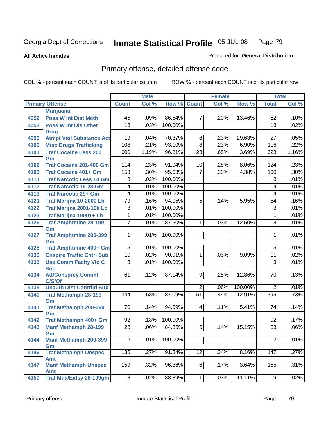**All Active Inmates**

### Produced for **General Distribution**

# Primary offense, detailed offense code

|      |                                            |                  | <b>Male</b> |         |                 | <b>Female</b> |         |                 | <b>Total</b> |
|------|--------------------------------------------|------------------|-------------|---------|-----------------|---------------|---------|-----------------|--------------|
|      | <b>Primary Offense</b>                     | <b>Count</b>     | Col %       | Row %   | <b>Count</b>    | Col %         | Row %   | <b>Total</b>    | Col %        |
|      | <b>Marijuana</b>                           |                  |             |         |                 |               |         |                 |              |
| 4052 | <b>Poss W Int Dist Meth</b>                | 45               | .09%        | 86.54%  | $\overline{7}$  | .20%          | 13.46%  | $\overline{52}$ | .10%         |
| 4053 | <b>Poss W Int Dis Other</b>                | $\overline{13}$  | .03%        | 100.00% |                 |               |         | $\overline{13}$ | .02%         |
|      | <b>Drug</b>                                |                  |             |         |                 |               |         |                 |              |
| 4090 | <b>Atmpt Viol Substance Act</b>            | $\overline{19}$  | .04%        | 70.37%  | 8               | .23%          | 29.63%  | $\overline{27}$ | .05%         |
| 4100 | <b>Misc Drugs Trafficking</b>              | 108              | .21%        | 93.10%  | $\overline{8}$  | .23%          | 6.90%   | 116             | .22%         |
| 4101 | <b>Traf Cocaine Less 200</b>               | 600              | 1.19%       | 96.31%  | $\overline{23}$ | .65%          | 3.69%   | 623             | 1.16%        |
|      | Gm                                         |                  |             |         |                 |               |         |                 |              |
| 4102 | <b>Traf Cocaine 201-400 Gm</b>             | 114              | .23%        | 91.94%  | 10              | .28%          | 8.06%   | 124             | .23%         |
| 4103 | <b>Traf Cocaine 401+ Gm</b>                | 153              | .30%        | 95.63%  | $\overline{7}$  | .20%          | 4.38%   | 160             | .30%         |
| 4111 | <b>Traf Narcotic Less 14 Gm</b>            | $\overline{8}$   | .02%        | 100.00% |                 |               |         | $\overline{8}$  | .01%         |
| 4112 | <b>Traf Narcotic 15-28 Gm</b>              | $\overline{4}$   | .01%        | 100.00% |                 |               |         | 4               | .01%         |
| 4113 | <b>Traf Narcotic 29+ Gm</b>                | 4                | .01%        | 100.00% |                 |               |         | 4               | .01%         |
| 4121 | Traf Marijna 10-2000 Lb                    | 79               | .16%        | 94.05%  | $\overline{5}$  | .14%          | 5.95%   | 84              | .16%         |
| 4122 | Traf Marijna 2001-10k Lb                   | $\overline{3}$   | .01%        | 100.00% |                 |               |         | $\overline{3}$  | .01%         |
| 4123 | Traf Marijna 10001+ Lb                     | 1                | .01%        | 100.00% |                 |               |         | 1               | .01%         |
| 4126 | <b>Traf Amphtmine 28-199</b>               | $\overline{7}$   | .01%        | 87.50%  | $\mathbf{1}$    | .03%          | 12.50%  | $\overline{8}$  | .01%         |
|      | Gm                                         |                  |             |         |                 |               |         |                 |              |
| 4127 | <b>Traf Amphtmine 200-399</b>              | $\overline{1}$   | .01%        | 100.00% |                 |               |         | 1               | .01%         |
|      | Gm                                         |                  |             |         |                 |               |         |                 | .01%         |
| 4128 | <b>Traf Amphtmine 400+ Gm</b>              | 5                | .01%        | 100.00% |                 |               |         | 5               |              |
| 4130 | <b>Cnspire Traffic Cntrl Sub</b>           | 10               | .02%        | 90.91%  | $\mathbf{1}$    | .03%          | 9.09%   | $\overline{11}$ | .02%         |
| 4133 | <b>Use Comm Facity Vio C</b><br><b>Sub</b> | 3                | .01%        | 100.00% |                 |               |         | 3               | .01%         |
| 4134 | <b>Att/Consprcy Commt</b>                  | 61               | .12%        | 87.14%  | $\overline{9}$  | .25%          | 12.86%  | 70              | .13%         |
|      | C/S/Of                                     |                  |             |         |                 |               |         |                 |              |
| 4135 | <b>Unauth Dist Contrild Sub</b>            |                  |             |         | $\overline{2}$  | .06%          | 100.00% | $\overline{2}$  | .01%         |
| 4140 | <b>Traf Methamph 28-199</b>                | $\overline{344}$ | .68%        | 87.09%  | $\overline{51}$ | 1.44%         | 12.91%  | 395             | .73%         |
|      | Gm                                         |                  |             |         |                 |               |         |                 |              |
| 4141 | <b>Traf Methamph 200-399</b>               | 70               | .14%        | 94.59%  | 4               | .11%          | 5.41%   | 74              | .14%         |
|      | Gm                                         |                  |             |         |                 |               |         |                 |              |
| 4142 | Traf Methamph 400+ Gm                      | $\overline{92}$  | .18%        | 100.00% |                 |               |         | 92              | .17%         |
| 4143 | <b>Manf Methamph 28-199</b>                | $\overline{28}$  | .06%        | 84.85%  | $\overline{5}$  | .14%          | 15.15%  | $\overline{33}$ | .06%         |
|      | Gm                                         |                  |             |         |                 |               |         |                 |              |
| 4144 | <b>Manf Methamph 200-399</b>               | $\overline{2}$   | .01%        | 100.00% |                 |               |         | $\overline{2}$  | .01%         |
| 4146 | Gm<br><b>Traf Methamph Unspec</b>          | $\overline{135}$ | .27%        | 91.84%  | 12              | .34%          | 8.16%   | 147             | .27%         |
|      | <b>Amt</b>                                 |                  |             |         |                 |               |         |                 |              |
| 4147 | <b>Manf Methamph Unspec</b>                | $\overline{159}$ | .32%        | 96.36%  | 6               | .17%          | 3.64%   | 165             | .31%         |
|      | Amt                                        |                  |             |         |                 |               |         |                 |              |
| 4150 | <b>Traf Mda/Extsy 28-199gm</b>             | $\overline{8}$   | .02%        | 88.89%  | 1               | .03%          | 11.11%  | $\overline{9}$  | .02%         |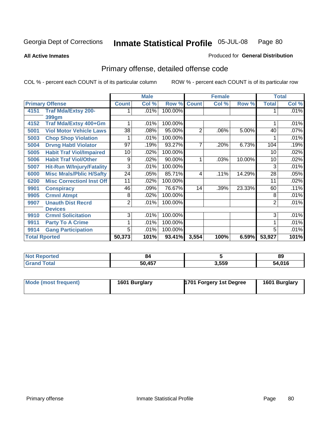**All Active Inmates**

### Produced for **General Distribution**

# Primary offense, detailed offense code

|                      |                                  |                | <b>Male</b> |         | <b>Female</b>  |       |        | <b>Total</b> |       |
|----------------------|----------------------------------|----------------|-------------|---------|----------------|-------|--------|--------------|-------|
|                      | <b>Primary Offense</b>           | <b>Count</b>   | Col %       | Row %   | <b>Count</b>   | Col % | Row %  | <b>Total</b> | Col % |
| 4151                 | <b>Traf Mda/Extsy 200-</b>       |                | .01%        | 100.00% |                |       |        |              | .01%  |
|                      | 399gm                            |                |             |         |                |       |        |              |       |
| 4152                 | Traf Mda/Extsy 400+Gm            |                | .01%        | 100.00% |                |       |        |              | .01%  |
| 5001                 | <b>Viol Motor Vehicle Laws</b>   | 38             | .08%        | 95.00%  | $\overline{2}$ | .06%  | 5.00%  | 40           | .07%  |
| 5003                 | <b>Chop Shop Violation</b>       |                | .01%        | 100.00% |                |       |        |              | .01%  |
| 5004                 | <b>Drvng Habtl Violator</b>      | 97             | $.19\%$     | 93.27%  | 7              | .20%  | 6.73%  | 104          | .19%  |
| 5005                 | <b>Habit Traf Viol/Impaired</b>  | 10             | .02%        | 100.00% |                |       |        | 10           | .02%  |
| 5006                 | <b>Habit Traf Viol/Other</b>     | 9              | .02%        | 90.00%  |                | .03%  | 10.00% | 10           | .02%  |
| 5007                 | <b>Hit-Run W/Injury/Fatality</b> | $\overline{3}$ | .01%        | 100.00% |                |       |        | 3            | .01%  |
| 6000                 | <b>Misc Mrals/Pblic H/Safty</b>  | 24             | .05%        | 85.71%  | 4              | .11%  | 14.29% | 28           | .05%  |
| 6200                 | <b>Misc CorrectionI Inst Off</b> | 11             | .02%        | 100.00% |                |       |        | 11           | .02%  |
| 9901                 | <b>Conspiracy</b>                | 46             | .09%        | 76.67%  | 14             | .39%  | 23.33% | 60           | .11%  |
| 9905                 | <b>Crmnl Atmpt</b>               | 8              | .02%        | 100.00% |                |       |        | 8            | .01%  |
| 9907                 | <b>Unauth Dist Recrd</b>         | $\overline{2}$ | .01%        | 100.00% |                |       |        | 2            | .01%  |
|                      | <b>Devices</b>                   |                |             |         |                |       |        |              |       |
| 9910                 | <b>Crmnl Solicitation</b>        | $\overline{3}$ | .01%        | 100.00% |                |       |        | 3            | .01%  |
| 9911                 | <b>Party To A Crime</b>          |                | .01%        | 100.00% |                |       |        |              | .01%  |
| 9914                 | <b>Gang Participation</b>        | 5              | .01%        | 100.00% |                |       |        | 5            | .01%  |
| <b>Total Rported</b> |                                  | 50,373         | 101%        | 93.41%  | 3,554          | 100%  | 6.59%  | 53,927       | 101%  |

| <b>Not</b><br><b>Reported</b> | 80     |       | 89              |
|-------------------------------|--------|-------|-----------------|
| 'otal                         | 50,457 | 3,559 | 1.01C<br>54.016 |

| Mode (most frequent) | 1601 Burglary | 1701 Forgery 1st Degree | 1601 Burglary |
|----------------------|---------------|-------------------------|---------------|
|----------------------|---------------|-------------------------|---------------|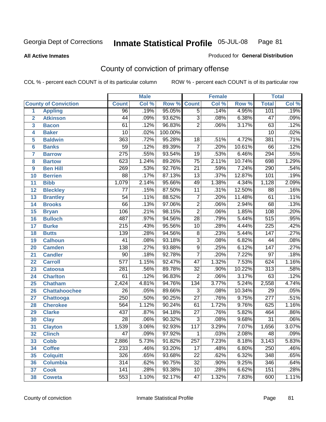#### **All Active Inmates**

#### Produced for **General Distribution**

# County of conviction of primary offense

|                         |                             |                  | <b>Male</b> |         |                 | <b>Female</b> |        |                  | <b>Total</b>               |
|-------------------------|-----------------------------|------------------|-------------|---------|-----------------|---------------|--------|------------------|----------------------------|
|                         | <b>County of Conviction</b> | <b>Count</b>     | Col %       | Row %   | <b>Count</b>    | Col %         | Row %  | <b>Total</b>     | $\overline{\text{Col }\%}$ |
| 1                       | <b>Appling</b>              | 96               | .19%        | 95.05%  | $\overline{5}$  | .14%          | 4.95%  | 101              | .19%                       |
| $\overline{2}$          | <b>Atkinson</b>             | 44               | .09%        | 93.62%  | $\overline{3}$  | .08%          | 6.38%  | $\overline{47}$  | .09%                       |
| $\overline{\mathbf{3}}$ | <b>Bacon</b>                | 61               | .12%        | 96.83%  | $\overline{2}$  | .06%          | 3.17%  | 63               | .12%                       |
| 4                       | <b>Baker</b>                | $\overline{10}$  | .02%        | 100.00% |                 |               |        | $\overline{10}$  | .02%                       |
| 5                       | <b>Baldwin</b>              | 363              | .72%        | 95.28%  | 18              | .51%          | 4.72%  | 381              | .71%                       |
| 6                       | <b>Banks</b>                | $\overline{59}$  | .12%        | 89.39%  | $\overline{7}$  | .20%          | 10.61% | 66               | .12%                       |
| $\overline{\mathbf{7}}$ | <b>Barrow</b>               | $\overline{275}$ | .55%        | 93.54%  | $\overline{19}$ | .53%          | 6.46%  | $\overline{294}$ | .55%                       |
| 8                       | <b>Bartow</b>               | 623              | 1.24%       | 89.26%  | $\overline{75}$ | 2.11%         | 10.74% | 698              | 1.29%                      |
| 9                       | <b>Ben Hill</b>             | 269              | .53%        | 92.76%  | $\overline{21}$ | .59%          | 7.24%  | 290              | .54%                       |
| 10                      | <b>Berrien</b>              | $\overline{88}$  | .17%        | 87.13%  | $\overline{13}$ | .37%          | 12.87% | 101              | .19%                       |
| 11                      | <b>Bibb</b>                 | 1,079            | 2.14%       | 95.66%  | 49              | 1.38%         | 4.34%  | 1,128            | 2.09%                      |
| 12                      | <b>Bleckley</b>             | $\overline{77}$  | .15%        | 87.50%  | $\overline{11}$ | .31%          | 12.50% | 88               | .16%                       |
| $\overline{13}$         | <b>Brantley</b>             | $\overline{54}$  | .11%        | 88.52%  | $\overline{7}$  | .20%          | 11.48% | 61               | .11%                       |
| $\overline{14}$         | <b>Brooks</b>               | 66               | .13%        | 97.06%  | $\overline{2}$  | .06%          | 2.94%  | 68               | .13%                       |
| 15                      | <b>Bryan</b>                | 106              | .21%        | 98.15%  | $\overline{2}$  | .06%          | 1.85%  | $\overline{108}$ | .20%                       |
| 16                      | <b>Bulloch</b>              | 487              | .97%        | 94.56%  | $\overline{28}$ | .79%          | 5.44%  | 515              | .95%                       |
| $\overline{17}$         | <b>Burke</b>                | $\overline{215}$ | .43%        | 95.56%  | 10              | .28%          | 4.44%  | $\overline{225}$ | .42%                       |
| 18                      | <b>Butts</b>                | 139              | .28%        | 94.56%  | $\overline{8}$  | .23%          | 5.44%  | $\overline{147}$ | .27%                       |
| 19                      | <b>Calhoun</b>              | $\overline{41}$  | .08%        | 93.18%  | $\overline{3}$  | .08%          | 6.82%  | 44               | .08%                       |
| 20                      | <b>Camden</b>               | $\overline{138}$ | .27%        | 93.88%  | $\overline{9}$  | .25%          | 6.12%  | $\overline{147}$ | .27%                       |
| 21                      | <b>Candler</b>              | $\overline{90}$  | .18%        | 92.78%  | $\overline{7}$  | .20%          | 7.22%  | $\overline{97}$  | .18%                       |
| $\overline{22}$         | <b>Carroll</b>              | $\overline{577}$ | 1.15%       | 92.47%  | $\overline{47}$ | 1.32%         | 7.53%  | 624              | 1.16%                      |
| 23                      | <b>Catoosa</b>              | 281              | .56%        | 89.78%  | $\overline{32}$ | .90%          | 10.22% | $\overline{313}$ | .58%                       |
| 24                      | <b>Charlton</b>             | 61               | .12%        | 96.83%  | $\overline{2}$  | .06%          | 3.17%  | $\overline{63}$  | .12%                       |
| 25                      | <b>Chatham</b>              | 2,424            | 4.81%       | 94.76%  | 134             | 3.77%         | 5.24%  | 2,558            | 4.74%                      |
| 26                      | <b>Chattahoochee</b>        | $\overline{26}$  | .05%        | 89.66%  | $\overline{3}$  | .08%          | 10.34% | $\overline{29}$  | .05%                       |
| 27                      | <b>Chattooga</b>            | 250              | .50%        | 90.25%  | $\overline{27}$ | .76%          | 9.75%  | $\overline{277}$ | .51%                       |
| 28                      | <b>Cherokee</b>             | 564              | 1.12%       | 90.24%  | 61              | 1.72%         | 9.76%  | 625              | 1.16%                      |
| 29                      | <b>Clarke</b>               | 437              | .87%        | 94.18%  | $\overline{27}$ | .76%          | 5.82%  | 464              | .86%                       |
| 30                      | <b>Clay</b>                 | $\overline{28}$  | .06%        | 90.32%  | $\overline{3}$  | .08%          | 9.68%  | $\overline{31}$  | .06%                       |
| $\overline{31}$         | <b>Clayton</b>              | 1,539            | 3.06%       | 92.93%  | 117             | 3.29%         | 7.07%  | 1,656            | 3.07%                      |
| 32                      | <b>Clinch</b>               | 47               | .09%        | 97.92%  | 1               | .03%          | 2.08%  | 48               | .09%                       |
| 33                      | <b>Cobb</b>                 | 2,886            | 5.73%       | 91.82%  | 257             | 7.23%         | 8.18%  | 3,143            | 5.83%                      |
| 34                      | <b>Coffee</b>               | 233              | .46%        | 93.20%  | $\overline{17}$ | .48%          | 6.80%  | 250              | .46%                       |
| 35                      | <b>Colquitt</b>             | 326              | .65%        | 93.68%  | $\overline{22}$ | .62%          | 6.32%  | 348              | .65%                       |
| 36                      | <b>Columbia</b>             | $\overline{314}$ | .62%        | 90.75%  | $\overline{32}$ | .90%          | 9.25%  | 346              | .64%                       |
| 37                      | <b>Cook</b>                 | 141              | .28%        | 93.38%  | 10              | .28%          | 6.62%  | 151              | .28%                       |
| 38                      | <b>Coweta</b>               | 553              | 1.10%       | 92.17%  | $\overline{47}$ | 1.32%         | 7.83%  | 600              | 1.11%                      |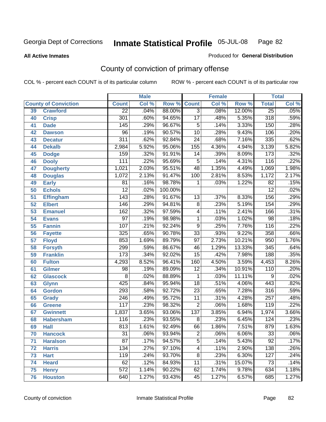**All Active Inmates**

#### Produced for **General Distribution**

# County of conviction of primary offense

|    |                             |                  | <b>Male</b> |         |                 | <b>Female</b> |        |                  | <b>Total</b> |
|----|-----------------------------|------------------|-------------|---------|-----------------|---------------|--------|------------------|--------------|
|    | <b>County of Conviction</b> | <b>Count</b>     | Col %       | Row %   | <b>Count</b>    | Col %         | Row %  | <b>Total</b>     | Col %        |
| 39 | <b>Crawford</b>             | $\overline{22}$  | .04%        | 88.00%  | $\overline{3}$  | .08%          | 12.00% | $\overline{25}$  | .05%         |
| 40 | <b>Crisp</b>                | $\overline{301}$ | .60%        | 94.65%  | $\overline{17}$ | .48%          | 5.35%  | 318              | .59%         |
| 41 | <b>Dade</b>                 | 145              | .29%        | 96.67%  | 5               | .14%          | 3.33%  | 150              | .28%         |
| 42 | <b>Dawson</b>               | $\overline{96}$  | .19%        | 90.57%  | $\overline{10}$ | .28%          | 9.43%  | 106              | .20%         |
| 43 | <b>Decatur</b>              | $\overline{311}$ | .62%        | 92.84%  | $\overline{24}$ | .68%          | 7.16%  | 335              | .62%         |
| 44 | <b>Dekalb</b>               | 2,984            | 5.92%       | 95.06%  | 155             | 4.36%         | 4.94%  | 3,139            | 5.82%        |
| 45 | <b>Dodge</b>                | $\overline{159}$ | .32%        | 91.91%  | 14              | .39%          | 8.09%  | $\overline{173}$ | .32%         |
| 46 | <b>Dooly</b>                | 111              | .22%        | 95.69%  | 5               | .14%          | 4.31%  | 116              | .22%         |
| 47 | <b>Dougherty</b>            | 1,021            | 2.03%       | 95.51%  | 48              | 1.35%         | 4.49%  | 1,069            | 1.98%        |
| 48 | <b>Douglas</b>              | 1,072            | 2.13%       | 91.47%  | 100             | 2.81%         | 8.53%  | 1,172            | 2.17%        |
| 49 | <b>Early</b>                | 81               | .16%        | 98.78%  | 1               | .03%          | 1.22%  | $\overline{82}$  | .15%         |
| 50 | <b>Echols</b>               | $\overline{12}$  | .02%        | 100.00% |                 |               |        | $\overline{12}$  | .02%         |
| 51 | <b>Effingham</b>            | $\overline{143}$ | .28%        | 91.67%  | 13              | .37%          | 8.33%  | 156              | .29%         |
| 52 | <b>Elbert</b>               | 146              | .29%        | 94.81%  | $\overline{8}$  | .23%          | 5.19%  | 154              | .29%         |
| 53 | <b>Emanuel</b>              | 162              | .32%        | 97.59%  | 4               | .11%          | 2.41%  | 166              | .31%         |
| 54 | <b>Evans</b>                | $\overline{97}$  | .19%        | 98.98%  | $\mathbf 1$     | .03%          | 1.02%  | 98               | .18%         |
| 55 | <b>Fannin</b>               | 107              | .21%        | 92.24%  | $\overline{9}$  | .25%          | 7.76%  | $\overline{116}$ | .22%         |
| 56 | <b>Fayette</b>              | 325              | .65%        | 90.78%  | $\overline{33}$ | .93%          | 9.22%  | 358              | .66%         |
| 57 | <b>Floyd</b>                | 853              | 1.69%       | 89.79%  | $\overline{97}$ | 2.73%         | 10.21% | 950              | 1.76%        |
| 58 | <b>Forsyth</b>              | 299              | .59%        | 86.67%  | 46              | 1.29%         | 13.33% | 345              | .64%         |
| 59 | <b>Franklin</b>             | 173              | .34%        | 92.02%  | $\overline{15}$ | .42%          | 7.98%  | 188              | .35%         |
| 60 | <b>Fulton</b>               | 4,293            | 8.52%       | 96.41%  | 160             | 4.50%         | 3.59%  | 4,453            | 8.26%        |
| 61 | Gilmer                      | $\overline{98}$  | .19%        | 89.09%  | $\overline{12}$ | .34%          | 10.91% | 110              | .20%         |
| 62 | <b>Glascock</b>             | 8                | .02%        | 88.89%  | 1               | .03%          | 11.11% | 9                | .02%         |
| 63 | <b>Glynn</b>                | 425              | .84%        | 95.94%  | $\overline{18}$ | .51%          | 4.06%  | 443              | .82%         |
| 64 | <b>Gordon</b>               | 293              | .58%        | 92.72%  | $\overline{23}$ | .65%          | 7.28%  | 316              | .59%         |
| 65 | <b>Grady</b>                | 246              | .49%        | 95.72%  | 11              | .31%          | 4.28%  | $\overline{257}$ | .48%         |
| 66 | <b>Greene</b>               | 117              | .23%        | 98.32%  | $\overline{2}$  | .06%          | 1.68%  | 119              | .22%         |
| 67 | <b>Gwinnett</b>             | 1,837            | 3.65%       | 93.06%  | 137             | 3.85%         | 6.94%  | 1,974            | 3.66%        |
| 68 | <b>Habersham</b>            | 116              | .23%        | 93.55%  | 8               | .23%          | 6.45%  | 124              | .23%         |
| 69 | <b>Hall</b>                 | 813              | 1.61%       | 92.49%  | 66              | 1.86%         | 7.51%  | 879              | 1.63%        |
| 70 | <b>Hancock</b>              | 31               | .06%        | 93.94%  | 2               | .06%          | 6.06%  | 33               | $.06\%$      |
| 71 | <b>Haralson</b>             | $\overline{87}$  | .17%        | 94.57%  | $\overline{5}$  | .14%          | 5.43%  | $\overline{92}$  | .17%         |
| 72 | <b>Harris</b>               | $\overline{134}$ | .27%        | 97.10%  | 4               | .11%          | 2.90%  | 138              | .26%         |
| 73 | <b>Hart</b>                 | 119              | .24%        | 93.70%  | 8               | .23%          | 6.30%  | 127              | .24%         |
| 74 | <b>Heard</b>                | 62               | .12%        | 84.93%  | 11              | .31%          | 15.07% | 73               | .14%         |
| 75 | <b>Henry</b>                | $\overline{572}$ | 1.14%       | 90.22%  | 62              | 1.74%         | 9.78%  | 634              | 1.18%        |
| 76 | <b>Houston</b>              | 640              | 1.27%       | 93.43%  | 45              | 1.27%         | 6.57%  | 685              | 1.27%        |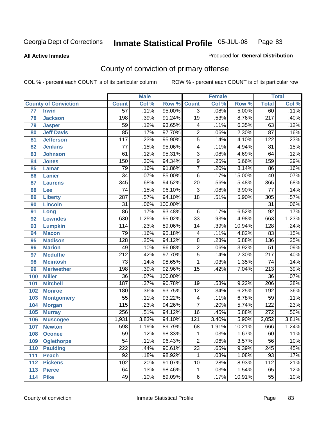**All Active Inmates**

#### Produced for **General Distribution**

# County of conviction of primary offense

|                 |                             |                  | <b>Male</b> |         |                         | <b>Female</b> |        |                  | <b>Total</b> |
|-----------------|-----------------------------|------------------|-------------|---------|-------------------------|---------------|--------|------------------|--------------|
|                 | <b>County of Conviction</b> | <b>Count</b>     | Col %       | Row %   | <b>Count</b>            | Col %         | Row %  | <b>Total</b>     | Col %        |
| $\overline{77}$ | <b>Irwin</b>                | 57               | .11%        | 95.00%  | $\overline{3}$          | .08%          | 5.00%  | 60               | .11%         |
| 78              | <b>Jackson</b>              | 198              | .39%        | 91.24%  | $\overline{19}$         | .53%          | 8.76%  | $\overline{217}$ | .40%         |
| 79              | <b>Jasper</b>               | 59               | .12%        | 93.65%  | $\overline{\mathbf{4}}$ | .11%          | 6.35%  | 63               | .12%         |
| 80              | <b>Jeff Davis</b>           | $\overline{85}$  | .17%        | 97.70%  | $\overline{2}$          | .06%          | 2.30%  | $\overline{87}$  | .16%         |
| 81              | <b>Jefferson</b>            | $\overline{117}$ | .23%        | 95.90%  | $\overline{5}$          | .14%          | 4.10%  | $\overline{122}$ | .23%         |
| 82              | <b>Jenkins</b>              | $\overline{77}$  | .15%        | 95.06%  | $\overline{4}$          | .11%          | 4.94%  | $\overline{81}$  | .15%         |
| 83              | <b>Johnson</b>              | 61               | .12%        | 95.31%  | $\overline{3}$          | .08%          | 4.69%  | 64               | .12%         |
| 84              | <b>Jones</b>                | 150              | .30%        | 94.34%  | $\overline{9}$          | .25%          | 5.66%  | 159              | .29%         |
| 85              | <b>Lamar</b>                | $\overline{79}$  | .16%        | 91.86%  | 7                       | .20%          | 8.14%  | 86               | .16%         |
| 86              | <b>Lanier</b>               | $\overline{34}$  | .07%        | 85.00%  | $\overline{6}$          | .17%          | 15.00% | 40               | .07%         |
| 87              | <b>Laurens</b>              | 345              | .68%        | 94.52%  | $\overline{20}$         | .56%          | 5.48%  | 365              | .68%         |
| 88              | <b>Lee</b>                  | $\overline{74}$  | .15%        | 96.10%  | $\overline{3}$          | .08%          | 3.90%  | $\overline{77}$  | .14%         |
| 89              | <b>Liberty</b>              | 287              | .57%        | 94.10%  | $\overline{18}$         | .51%          | 5.90%  | $\overline{305}$ | .57%         |
| 90              | <b>Lincoln</b>              | $\overline{31}$  | .06%        | 100.00% |                         |               |        | $\overline{31}$  | .06%         |
| 91              | Long                        | 86               | .17%        | 93.48%  | 6                       | .17%          | 6.52%  | $\overline{92}$  | .17%         |
| 92              | <b>Lowndes</b>              | 630              | 1.25%       | 95.02%  | $\overline{33}$         | .93%          | 4.98%  | 663              | 1.23%        |
| 93              | <b>Lumpkin</b>              | 114              | .23%        | 89.06%  | 14                      | .39%          | 10.94% | 128              | .24%         |
| 94              | <b>Macon</b>                | $\overline{79}$  | .16%        | 95.18%  | $\overline{\mathbf{4}}$ | .11%          | 4.82%  | 83               | .15%         |
| 95              | <b>Madison</b>              | $\overline{128}$ | .25%        | 94.12%  | $\overline{8}$          | .23%          | 5.88%  | 136              | .25%         |
| 96              | <b>Marion</b>               | 49               | .10%        | 96.08%  | $\overline{2}$          | .06%          | 3.92%  | $\overline{51}$  | .09%         |
| 97              | <b>Mcduffie</b>             | $\overline{212}$ | .42%        | 97.70%  | $\overline{5}$          | .14%          | 2.30%  | $\overline{217}$ | .40%         |
| 98              | <b>Mcintosh</b>             | $\overline{73}$  | .14%        | 98.65%  | 1                       | .03%          | 1.35%  | $\overline{74}$  | .14%         |
| 99              | <b>Meriwether</b>           | 198              | .39%        | 92.96%  | $\overline{15}$         | .42%          | 7.04%  | $\overline{213}$ | .39%         |
| 100             | <b>Miller</b>               | $\overline{36}$  | .07%        | 100.00% |                         |               |        | $\overline{36}$  | .07%         |
| 101             | <b>Mitchell</b>             | 187              | .37%        | 90.78%  | $\overline{19}$         | .53%          | 9.22%  | $\overline{206}$ | .38%         |
| 102             | <b>Monroe</b>               | 180              | .36%        | 93.75%  | $\overline{12}$         | .34%          | 6.25%  | 192              | .36%         |
| 103             | <b>Montgomery</b>           | $\overline{55}$  | .11%        | 93.22%  | $\overline{\mathbf{4}}$ | .11%          | 6.78%  | 59               | .11%         |
| 104             | <b>Morgan</b>               | 115              | .23%        | 94.26%  | 7                       | .20%          | 5.74%  | $\overline{122}$ | .23%         |
| 105             | <b>Murray</b>               | 256              | .51%        | 94.12%  | 16                      | .45%          | 5.88%  | $\overline{272}$ | .50%         |
| 106             | <b>Muscogee</b>             | 1,931            | 3.83%       | 94.10%  | $\overline{121}$        | 3.40%         | 5.90%  | 2,052            | 3.81%        |
| 107             | <b>Newton</b>               | 598              | 1.19%       | 89.79%  | 68                      | 1.91%         | 10.21% | 666              | 1.24%        |
| 108             | <b>Oconee</b>               | 59               | .12%        | 98.33%  | 1.                      | .03%          | 1.67%  | 60               | .11%         |
| 109             | <b>Oglethorpe</b>           | $\overline{54}$  | .11%        | 96.43%  | $\overline{2}$          | .06%          | 3.57%  | 56               | .10%         |
| 110             | <b>Paulding</b>             | $\overline{222}$ | .44%        | 90.61%  | $\overline{23}$         | .65%          | 9.39%  | $\overline{245}$ | .45%         |
| 111             | <b>Peach</b>                | 92               | .18%        | 98.92%  | 1                       | .03%          | 1.08%  | 93               | .17%         |
| 112             | <b>Pickens</b>              | 102              | .20%        | 91.07%  | $\overline{10}$         | .28%          | 8.93%  | $\overline{112}$ | .21%         |
| 113             | <b>Pierce</b>               | 64               | .13%        | 98.46%  | $\mathbf{1}$            | .03%          | 1.54%  | 65               | .12%         |
| 114             | <b>Pike</b>                 | 49               | .10%        | 89.09%  | $\overline{6}$          | .17%          | 10.91% | $\overline{55}$  | .10%         |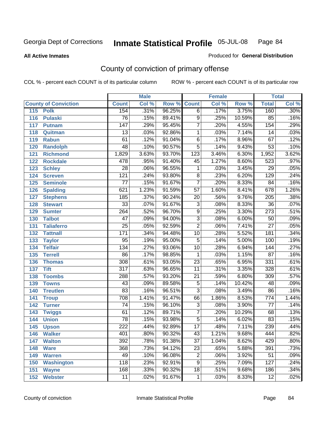**All Active Inmates**

#### Produced for **General Distribution**

# County of conviction of primary offense

|                             |                  | <b>Male</b> |                    |                 | <b>Female</b> |        |                  | <b>Total</b> |
|-----------------------------|------------------|-------------|--------------------|-----------------|---------------|--------|------------------|--------------|
| <b>County of Conviction</b> | <b>Count</b>     | Col %       | <b>Row % Count</b> |                 | Col %         | Row %  | <b>Total</b>     | Col %        |
| 115<br><b>Polk</b>          | 154              | .31%        | 96.25%             | $\overline{6}$  | .17%          | 3.75%  | 160              | .30%         |
| 116<br><b>Pulaski</b>       | $\overline{76}$  | .15%        | 89.41%             | $\overline{9}$  | .25%          | 10.59% | 85               | .16%         |
| 117<br><b>Putnam</b>        | $\overline{147}$ | .29%        | 95.45%             | 7               | .20%          | 4.55%  | 154              | .29%         |
| 118<br>Quitman              | $\overline{13}$  | .03%        | 92.86%             | $\mathbf 1$     | .03%          | 7.14%  | 14               | .03%         |
| 119<br><b>Rabun</b>         | 61               | .12%        | 91.04%             | $\overline{6}$  | .17%          | 8.96%  | 67               | .12%         |
| 120<br><b>Randolph</b>      | 48               | .10%        | 90.57%             | $\overline{5}$  | .14%          | 9.43%  | $\overline{53}$  | .10%         |
| <b>Richmond</b><br>121      | 1,829            | 3.63%       | 93.70%             | 123             | 3.46%         | 6.30%  | 1,952            | 3.62%        |
| 122<br><b>Rockdale</b>      | 478              | .95%        | 91.40%             | 45              | 1.27%         | 8.60%  | 523              | .97%         |
| 123<br><b>Schley</b>        | $\overline{28}$  | .06%        | 96.55%             | 1               | .03%          | 3.45%  | $\overline{29}$  | .05%         |
| 124<br><b>Screven</b>       | $\overline{121}$ | .24%        | 93.80%             | $\overline{8}$  | .23%          | 6.20%  | 129              | .24%         |
| 125<br><b>Seminole</b>      | $\overline{77}$  | .15%        | 91.67%             | $\overline{7}$  | .20%          | 8.33%  | 84               | .16%         |
| 126<br><b>Spalding</b>      | 621              | 1.23%       | 91.59%             | $\overline{57}$ | 1.60%         | 8.41%  | $\overline{678}$ | 1.26%        |
| 127<br><b>Stephens</b>      | 185              | .37%        | 90.24%             | $\overline{20}$ | .56%          | 9.76%  | $\overline{205}$ | .38%         |
| 128<br><b>Stewart</b>       | $\overline{33}$  | .07%        | 91.67%             | $\overline{3}$  | .08%          | 8.33%  | $\overline{36}$  | .07%         |
| 129<br><b>Sumter</b>        | 264              | .52%        | 96.70%             | $\overline{9}$  | .25%          | 3.30%  | $\overline{273}$ | .51%         |
| <b>Talbot</b><br>130        | $\overline{47}$  | .09%        | 94.00%             | $\overline{3}$  | .08%          | 6.00%  | 50               | .09%         |
| 131<br><b>Taliaferro</b>    | $\overline{25}$  | .05%        | 92.59%             | $\overline{2}$  | .06%          | 7.41%  | $\overline{27}$  | .05%         |
| <b>Tattnall</b><br>132      | 171              | .34%        | 94.48%             | 10              | .28%          | 5.52%  | 181              | .34%         |
| 133<br><b>Taylor</b>        | $\overline{95}$  | .19%        | 95.00%             | $\overline{5}$  | .14%          | 5.00%  | 100              | .19%         |
| <b>Telfair</b><br>134       | 134              | .27%        | 93.06%             | $\overline{10}$ | .28%          | 6.94%  | 144              | .27%         |
| 135<br><b>Terrell</b>       | 86               | .17%        | 98.85%             | $\mathbf{1}$    | .03%          | 1.15%  | $\overline{87}$  | .16%         |
| 136<br><b>Thomas</b>        | $\overline{308}$ | .61%        | 93.05%             | $\overline{23}$ | .65%          | 6.95%  | 331              | .61%         |
| 137<br><b>Tift</b>          | $\overline{317}$ | .63%        | 96.65%             | $\overline{11}$ | .31%          | 3.35%  | 328              | .61%         |
| <b>Toombs</b><br>138        | 288              | .57%        | 93.20%             | 21              | .59%          | 6.80%  | 309              | .57%         |
| 139<br><b>Towns</b>         | 43               | .09%        | 89.58%             | $\overline{5}$  | .14%          | 10.42% | 48               | .09%         |
| <b>Treutlen</b><br>140      | $\overline{83}$  | .16%        | 96.51%             | $\overline{3}$  | .08%          | 3.49%  | 86               | .16%         |
| 141<br><b>Troup</b>         | 708              | 1.41%       | 91.47%             | 66              | 1.86%         | 8.53%  | 774              | 1.44%        |
| 142<br><b>Turner</b>        | 74               | .15%        | 96.10%             | $\overline{3}$  | .08%          | 3.90%  | 77               | .14%         |
| 143<br><b>Twiggs</b>        | 61               | .12%        | 89.71%             | $\overline{7}$  | .20%          | 10.29% | 68               | .13%         |
| 144<br><b>Union</b>         | $\overline{78}$  | .15%        | 93.98%             | $\overline{5}$  | .14%          | 6.02%  | 83               | .15%         |
| 145<br><b>Upson</b>         | 222              | .44%        | 92.89%             | $\overline{17}$ | .48%          | 7.11%  | 239              | .44%         |
| 146<br><b>Walker</b>        | 401              | .80%        | 90.32%             | 43              | 1.21%         | 9.68%  | 444              | .82%         |
| 147<br><b>Walton</b>        | 392              | .78%        | 91.38%             | $\overline{37}$ | 1.04%         | 8.62%  | 429              | .80%         |
| 148<br><b>Ware</b>          | 368              | .73%        | 94.12%             | $\overline{23}$ | .65%          | 5.88%  | 391              | .73%         |
| 149<br><b>Warren</b>        | 49               | .10%        | 96.08%             | $\overline{c}$  | .06%          | 3.92%  | 51               | .09%         |
| <b>Washington</b><br>150    | $\overline{118}$ | .23%        | 92.91%             | 9               | .25%          | 7.09%  | 127              | .24%         |
| 151<br><b>Wayne</b>         | 168              | .33%        | 90.32%             | 18              | .51%          | 9.68%  | 186              | .34%         |
| <b>Webster</b><br>152       | 11               | .02%        | 91.67%             | $\mathbf{1}$    | .03%          | 8.33%  | $\overline{12}$  | .02%         |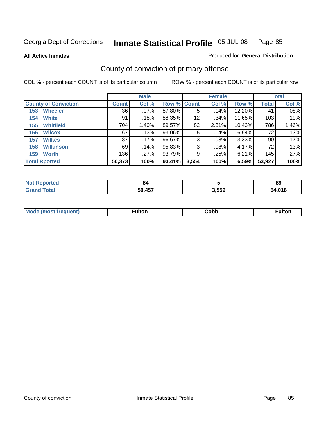**All Active Inmates**

#### Produced for **General Distribution**

# County of conviction of primary offense

|                             |              | <b>Male</b> |             |                   | <b>Female</b> |        |              | <b>Total</b> |
|-----------------------------|--------------|-------------|-------------|-------------------|---------------|--------|--------------|--------------|
| <b>County of Conviction</b> | <b>Count</b> | Col %       | Row % Count |                   | Col %         | Row %  | <b>Total</b> | Col %        |
| <b>Wheeler</b><br>153       | 36           | $.07\%$     | 87.80%      | 5                 | .14%          | 12.20% | 41           | .08%         |
| <b>White</b><br>154         | 91           | .18%        | 88.35%      | $12 \overline{ }$ | .34%          | 11.65% | 103          | .19%         |
| <b>Whitfield</b><br>155     | 704          | 1.40%       | 89.57%      | 82                | 2.31%         | 10.43% | 786          | 1.46%        |
| <b>Wilcox</b><br>156        | 67           | .13%        | 93.06%      | 5                 | .14%          | 6.94%  | 72           | .13%         |
| <b>Wilkes</b><br>157        | 87           | .17%        | 96.67%      | 3                 | .08%          | 3.33%  | 90           | .17%         |
| <b>Wilkinson</b><br>158     | 69           | .14%        | 95.83%      | 3                 | $.08\%$       | 4.17%  | 72           | .13%         |
| <b>Worth</b><br>159         | 136          | .27%        | 93.79%      | 9                 | .25%          | 6.21%  | 145          | .27%         |
| <b>Total Rported</b>        | 50,373       | 100%        | 93.41%      | 3,554             | 100%          | 6.59%  | 53,927       | 100%         |

| <b>`Reported</b><br>' NOT | 84     |       | 89   |
|---------------------------|--------|-------|------|
| <b>Total</b><br>' Gra     | 50,457 | 3,559 | .016 |

| <b>Mo</b><br>uent) | ™ulton<br>_____ | obb∶ |  |
|--------------------|-----------------|------|--|
|                    |                 |      |  |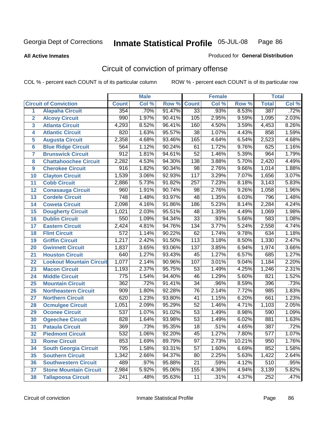**All Active Inmates**

#### Produced for **General Distribution**

# Circuit of conviction of primary offense

|                         |                                 |                  | <b>Male</b> |        |                  | <b>Female</b> |        |              | <b>Total</b> |
|-------------------------|---------------------------------|------------------|-------------|--------|------------------|---------------|--------|--------------|--------------|
|                         | <b>Circuit of Conviction</b>    | <b>Count</b>     | Col %       | Row %  | <b>Count</b>     | Col %         | Row %  | <b>Total</b> | Col %        |
| 1                       | <b>Alapaha Circuit</b>          | 354              | .70%        | 91.47% | 33               | .93%          | 8.53%  | 387          | .72%         |
| $\overline{2}$          | <b>Alcovy Circuit</b>           | 990              | 1.97%       | 90.41% | 105              | 2.95%         | 9.59%  | 1,095        | 2.03%        |
| $\overline{\mathbf{3}}$ | <b>Atlanta Circuit</b>          | 4,293            | 8.52%       | 96.41% | 160              | 4.50%         | 3.59%  | 4,453        | 8.26%        |
| 4                       | <b>Atlantic Circuit</b>         | 820              | 1.63%       | 95.57% | $\overline{38}$  | 1.07%         | 4.43%  | 858          | 1.59%        |
| 5                       | <b>Augusta Circuit</b>          | 2,358            | 4.68%       | 93.46% | 165              | 4.64%         | 6.54%  | 2,523        | 4.68%        |
| $6\phantom{a}$          | <b>Blue Ridge Circuit</b>       | 564              | 1.12%       | 90.24% | 61               | 1.72%         | 9.76%  | 625          | 1.16%        |
| $\overline{\mathbf{7}}$ | <b>Brunswick Circuit</b>        | $\overline{912}$ | 1.81%       | 94.61% | $\overline{52}$  | 1.46%         | 5.39%  | 964          | 1.79%        |
| 8                       | <b>Chattahoochee Circuit</b>    | 2,282            | 4.53%       | 94.30% | 138              | 3.88%         | 5.70%  | 2,420        | 4.49%        |
| 9                       | <b>Cherokee Circuit</b>         | $\overline{916}$ | 1.82%       | 90.34% | $\overline{98}$  | 2.76%         | 9.66%  | 1,014        | 1.88%        |
| 10                      | <b>Clayton Circuit</b>          | 1,539            | 3.06%       | 92.93% | $\overline{117}$ | 3.29%         | 7.07%  | 1,656        | 3.07%        |
| 11                      | <b>Cobb Circuit</b>             | 2,886            | 5.73%       | 91.82% | $\overline{257}$ | 7.23%         | 8.18%  | 3,143        | 5.83%        |
| 12                      | <b>Conasauga Circuit</b>        | 960              | 1.91%       | 90.74% | 98               | 2.76%         | 9.26%  | 1,058        | 1.96%        |
| 13                      | <b>Cordele Circuit</b>          | $\overline{748}$ | 1.48%       | 93.97% | 48               | 1.35%         | 6.03%  | 796          | 1.48%        |
| 14                      | <b>Coweta Circuit</b>           | 2,098            | 4.16%       | 91.86% | 186              | 5.23%         | 8.14%  | 2,284        | 4.24%        |
| 15                      | <b>Dougherty Circuit</b>        | 1,021            | 2.03%       | 95.51% | 48               | 1.35%         | 4.49%  | 1,069        | 1.98%        |
| 16                      | <b>Dublin Circuit</b>           | 550              | 1.09%       | 94.34% | $\overline{33}$  | .93%          | 5.66%  | 583          | 1.08%        |
| 17                      | <b>Eastern Circuit</b>          | 2,424            | 4.81%       | 94.76% | 134              | 3.77%         | 5.24%  | 2,558        | 4.74%        |
| 18                      | <b>Flint Circuit</b>            | $\overline{572}$ | 1.14%       | 90.22% | $\overline{62}$  | 1.74%         | 9.78%  | 634          | 1.18%        |
| 19                      | <b>Griffin Circuit</b>          | 1,217            | 2.42%       | 91.50% | 113              | 3.18%         | 8.50%  | 1,330        | 2.47%        |
| 20                      | <b>Gwinnett Circuit</b>         | 1,837            | 3.65%       | 93.06% | $\overline{137}$ | 3.85%         | 6.94%  | 1,974        | 3.66%        |
| 21                      | <b>Houston Circuit</b>          | 640              | 1.27%       | 93.43% | $\overline{45}$  | 1.27%         | 6.57%  | 685          | 1.27%        |
| 22                      | <b>Lookout Mountain Circuit</b> | 1,077            | 2.14%       | 90.96% | 107              | 3.01%         | 9.04%  | 1,184        | 2.20%        |
| 23                      | <b>Macon Circuit</b>            | 1,193            | 2.37%       | 95.75% | 53               | 1.49%         | 4.25%  | 1,246        | 2.31%        |
| 24                      | <b>Middle Circuit</b>           | $\overline{775}$ | 1.54%       | 94.40% | $\overline{46}$  | 1.29%         | 5.60%  | 821          | 1.52%        |
| 25                      | <b>Mountain Circuit</b>         | $\overline{362}$ | .72%        | 91.41% | $\overline{34}$  | .96%          | 8.59%  | 396          | .73%         |
| 26                      | <b>Northeastern Circuit</b>     | 909              | 1.80%       | 92.28% | 76               | 2.14%         | 7.72%  | 985          | 1.83%        |
| 27                      | <b>Northern Circuit</b>         | 620              | 1.23%       | 93.80% | $\overline{41}$  | 1.15%         | 6.20%  | 661          | 1.23%        |
| 28                      | <b>Ocmulgee Circuit</b>         | 1,051            | 2.09%       | 95.29% | $\overline{52}$  | 1.46%         | 4.71%  | 1,103        | 2.05%        |
| 29                      | <b>Oconee Circuit</b>           | $\overline{537}$ | 1.07%       | 91.02% | $\overline{53}$  | 1.49%         | 8.98%  | 590          | 1.09%        |
| 30                      | <b>Ogeechee Circuit</b>         | 828              | 1.64%       | 93.98% | $\overline{53}$  | 1.49%         | 6.02%  | 881          | 1.63%        |
| $\overline{31}$         | <b>Pataula Circuit</b>          | 369              | .73%        | 95.35% | 18               | .51%          | 4.65%  | 387          | .72%         |
| 32                      | <b>Piedmont Circuit</b>         | 532              | 1.06%       | 92.20% | 45               | 1.27%         | 7.80%  | 577          | 1.07%        |
| 33                      | <b>Rome Circuit</b>             | 853              | 1.69%       | 89.79% | $\overline{97}$  | 2.73%         | 10.21% | 950          | 1.76%        |
| 34                      | <b>South Georgia Circuit</b>    | 795              | 1.58%       | 93.31% | $\overline{57}$  | 1.60%         | 6.69%  | 852          | 1.58%        |
| 35                      | <b>Southern Circuit</b>         | 1,342            | 2.66%       | 94.37% | 80               | 2.25%         | 5.63%  | 1,422        | 2.64%        |
| 36                      | <b>Southwestern Circuit</b>     | 489              | .97%        | 95.88% | 21               | .59%          | 4.12%  | 510          | .95%         |
| 37                      | <b>Stone Mountain Circuit</b>   | 2,984            | 5.92%       | 95.06% | 155              | 4.36%         | 4.94%  | 3,139        | 5.82%        |
| 38                      | <b>Tallapoosa Circuit</b>       | 241              | .48%        | 95.63% | 11               | .31%          | 4.37%  | 252          | .47%         |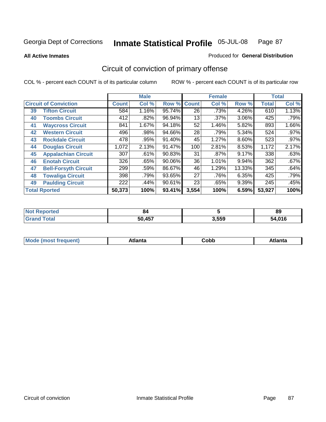**All Active Inmates**

#### Produced for **General Distribution**

# Circuit of conviction of primary offense

|    |                              |              | <b>Male</b> |        |              | <b>Female</b> |        |              | <b>Total</b> |
|----|------------------------------|--------------|-------------|--------|--------------|---------------|--------|--------------|--------------|
|    | <b>Circuit of Conviction</b> | <b>Count</b> | Col %       | Row %  | <b>Count</b> | Col %         | Row %  | <b>Total</b> | Col %        |
| 39 | <b>Tifton Circuit</b>        | 584          | 1.16%       | 95.74% | 26           | .73%          | 4.26%  | 610          | 1.13%        |
| 40 | <b>Toombs Circuit</b>        | 412          | .82%        | 96.94% | 13           | .37%          | 3.06%  | 425          | .79%         |
| 41 | <b>Waycross Circuit</b>      | 841          | 1.67%       | 94.18% | 52           | 1.46%         | 5.82%  | 893          | 1.66%        |
| 42 | <b>Western Circuit</b>       | 496          | .98%        | 94.66% | 28           | .79%          | 5.34%  | 524          | $.97\%$      |
| 43 | <b>Rockdale Circuit</b>      | 478          | .95%        | 91.40% | 45           | 1.27%         | 8.60%  | 523          | $.97\%$      |
| 44 | <b>Douglas Circuit</b>       | 1,072        | 2.13%       | 91.47% | 100          | 2.81%         | 8.53%  | 1,172        | 2.17%        |
| 45 | <b>Appalachian Circuit</b>   | 307          | .61%        | 90.83% | 31           | $.87\%$       | 9.17%  | 338          | .63%         |
| 46 | <b>Enotah Circuit</b>        | 326          | .65%        | 90.06% | 36           | 1.01%         | 9.94%  | 362          | .67%         |
| 47 | <b>Bell-Forsyth Circuit</b>  | 299          | .59%        | 86.67% | 46           | 1.29%         | 13.33% | 345          | .64%         |
| 48 | <b>Towaliga Circuit</b>      | 398          | .79%        | 93.65% | 27           | .76%          | 6.35%  | 425          | .79%         |
| 49 | <b>Paulding Circuit</b>      | 222          | .44%        | 90.61% | 23           | .65%          | 9.39%  | 245          | .45%         |
|    | <b>Total Rported</b>         | 50,373       | 100%        | 93.41% | 3,554        | 100%          | 6.59%  | 53,927       | 100%         |

| NO1<br>тео  | 84     |       | 89         |
|-------------|--------|-------|------------|
| <b>Tota</b> | 50.457 | 3,559 | 04C<br>บ16 |

| <b>M</b> ດ<br>.<br>. | $+1$ ant $\cdot$<br>ιαπιω<br>. <i>. .</i> | ∶obb<br>- - - - - | 'anta |
|----------------------|-------------------------------------------|-------------------|-------|
|----------------------|-------------------------------------------|-------------------|-------|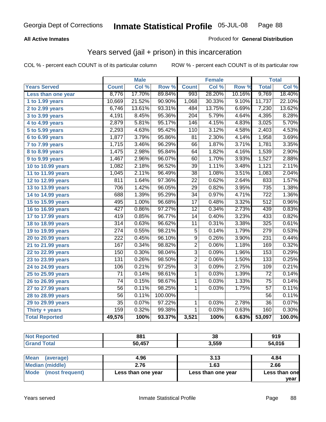### **All Active Inmates**

### Produced for **General Distribution**

### Years served (jail + prison) in this incarceration

|                       |                  | <b>Male</b> |         |                 | <b>Female</b> |        |                  | <b>Total</b> |
|-----------------------|------------------|-------------|---------|-----------------|---------------|--------|------------------|--------------|
| <b>Years Served</b>   | <b>Count</b>     | Col %       | Row %   | <b>Count</b>    | Col %         | Row %  | <b>Total</b>     | Col %        |
| Less than one year    | 8,776            | 17.70%      | 89.84%  | 993             | 28.20%        | 10.16% | 9,769            | 18.40%       |
| 1 to 1.99 years       | 10,669           | 21.52%      | 90.90%  | 1,068           | 30.33%        | 9.10%  | 11,737           | 22.10%       |
| 2 to 2.99 years       | 6,746            | 13.61%      | 93.31%  | 484             | 13.75%        | 6.69%  | 7,230            | 13.62%       |
| 3 to 3.99 years       | 4,191            | 8.45%       | 95.36%  | 204             | 5.79%         | 4.64%  | 4,395            | 8.28%        |
| 4 to 4.99 years       | 2,879            | 5.81%       | 95.17%  | 146             | 4.15%         | 4.83%  | 3,025            | 5.70%        |
| 5 to 5.99 years       | 2,293            | 4.63%       | 95.42%  | 110             | 3.12%         | 4.58%  | 2,403            | 4.53%        |
| $6$ to 6.99 years     | 1,877            | 3.79%       | 95.86%  | $\overline{81}$ | 2.30%         | 4.14%  | 1,958            | 3.69%        |
| 7 to 7.99 years       | 1,715            | 3.46%       | 96.29%  | 66              | 1.87%         | 3.71%  | 1,781            | 3.35%        |
| 8 to 8.99 years       | 1,475            | 2.98%       | 95.84%  | 64              | 1.82%         | 4.16%  | 1,539            | 2.90%        |
| 9 to 9.99 years       | 1,467            | 2.96%       | 96.07%  | 60              | 1.70%         | 3.93%  | 1,527            | 2.88%        |
| 10 to 10.99 years     | 1,082            | 2.18%       | 96.52%  | 39              | 1.11%         | 3.48%  | 1,121            | 2.11%        |
| 11 to 11.99 years     | 1,045            | 2.11%       | 96.49%  | $\overline{38}$ | 1.08%         | 3.51%  | 1,083            | 2.04%        |
| 12 to 12.99 years     | 811              | 1.64%       | 97.36%  | $\overline{22}$ | 0.62%         | 2.64%  | 833              | 1.57%        |
| 13 to 13.99 years     | 706              | 1.42%       | 96.05%  | $\overline{29}$ | 0.82%         | 3.95%  | $\overline{735}$ | 1.38%        |
| 14 to 14.99 years     | 688              | 1.39%       | 95.29%  | $\overline{34}$ | 0.97%         | 4.71%  | $\overline{722}$ | 1.36%        |
| 15 to 15.99 years     | 495              | 1.00%       | 96.68%  | 17              | 0.48%         | 3.32%  | 512              | 0.96%        |
| 16 to 16.99 years     | 427              | 0.86%       | 97.27%  | $\overline{12}$ | 0.34%         | 2.73%  | 439              | 0.83%        |
| 17 to 17.99 years     | 419              | 0.85%       | 96.77%  | $\overline{14}$ | 0.40%         | 3.23%  | 433              | 0.82%        |
| 18 to 18.99 years     | $\overline{314}$ | 0.63%       | 96.62%  | 11              | 0.31%         | 3.38%  | 325              | 0.61%        |
| 19 to 19.99 years     | $\overline{274}$ | 0.55%       | 98.21%  | $\overline{5}$  | 0.14%         | 1.79%  | $\overline{279}$ | 0.53%        |
| 20 to 20.99 years     | $\overline{222}$ | 0.45%       | 96.10%  | $\overline{9}$  | 0.26%         | 3.90%  | 231              | 0.44%        |
| 21 to 21.99 years     | 167              | 0.34%       | 98.82%  | $\overline{2}$  | 0.06%         | 1.18%  | 169              | 0.32%        |
| 22 to 22.99 years     | 150              | 0.30%       | 98.04%  | $\overline{3}$  | 0.09%         | 1.96%  | 153              | 0.29%        |
| 23 to 23.99 years     | 131              | 0.26%       | 98.50%  | $\overline{2}$  | 0.06%         | 1.50%  | $\overline{133}$ | 0.25%        |
| 24 to 24.99 years     | 106              | 0.21%       | 97.25%  | $\overline{3}$  | 0.09%         | 2.75%  | 109              | 0.21%        |
| 25 to 25.99 years     | $\overline{71}$  | 0.14%       | 98.61%  | $\overline{1}$  | 0.03%         | 1.39%  | $\overline{72}$  | 0.14%        |
| 26 to 26.99 years     | $\overline{74}$  | 0.15%       | 98.67%  | $\overline{1}$  | 0.03%         | 1.33%  | $\overline{75}$  | 0.14%        |
| 27 to 27.99 years     | 56               | 0.11%       | 98.25%  | 1               | 0.03%         | 1.75%  | 57               | 0.11%        |
| 28 to 28.99 years     | $\overline{56}$  | 0.11%       | 100.00% |                 |               |        | 56               | 0.11%        |
| 29 to 29.99 years     | $\overline{35}$  | 0.07%       | 97.22%  | 1               | 0.03%         | 2.78%  | $\overline{36}$  | 0.07%        |
| Thirty + years        | 159              | 0.32%       | 99.38%  | $\overline{1}$  | 0.03%         | 0.63%  | 160              | 0.30%        |
| <b>Total Reported</b> | 49,576           | 100%        | 93.37%  | 3,521           | 100%          | 6.63%  | 53,097           | 100.0%       |

| ч | 004    | 38    | 010<br>J I J                |
|---|--------|-------|-----------------------------|
|   | 50,457 | 3,559 | $A$ $A$ $C$<br>54.<br>סו ש. |

| Mean<br>(average)       | 4.96               | 3.13               | 4.84          |
|-------------------------|--------------------|--------------------|---------------|
| Median (middle)         | 2.76               | 1.63               | 2.66          |
| Mode<br>(most frequent) | Less than one year | Less than one year | Less than one |
|                         |                    |                    | vear          |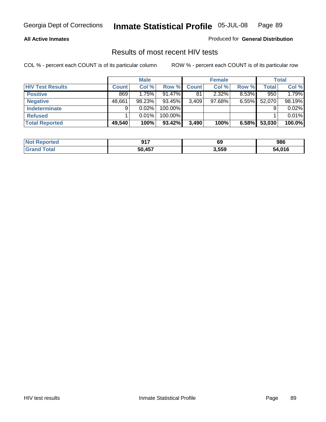#### **All Active Inmates**

Produced for **General Distribution**

### Results of most recent HIV tests

|                         |              | <b>Male</b> |           |              | <b>Female</b> |          |              | Total  |
|-------------------------|--------------|-------------|-----------|--------------|---------------|----------|--------------|--------|
| <b>HIV Test Results</b> | <b>Count</b> | Col %       | Row %     | <b>Count</b> | Col %         | Row %    | <b>Total</b> | Col %  |
| <b>Positive</b>         | 869          | 1.75%       | $91.47\%$ | 81           | 2.32%         | 8.53%    | 950          | 1.79%  |
| <b>Negative</b>         | 48,661       | 98.23%      | 93.45%    | 3,409        | 97.68%        | $6.55\%$ | 52,070       | 98.19% |
| <b>Indeterminate</b>    | 9            | 0.02%       | 100.00%   |              |               |          |              | 0.02%  |
| <b>Refused</b>          |              | 0.01%       | 100.00%   |              |               |          |              | 0.01%  |
| <b>Total Reported</b>   | 49,540       | 100%        | 93.42%    | 3,490        | 100%          | 6.58%    | 53,030       | 100.0% |

| <b>Not Reported</b>   | 047    | 69    | 986    |
|-----------------------|--------|-------|--------|
| Total<br><b>Grand</b> | 50,457 | 3,559 | 54,016 |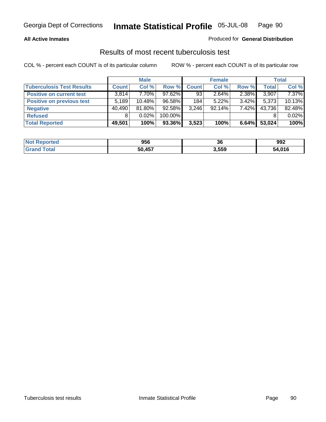### **All Active Inmates**

### Produced for **General Distribution**

### Results of most recent tuberculosis test

|                                  |        | <b>Male</b> |           |              | <b>Female</b> |          |              | <b>Total</b> |
|----------------------------------|--------|-------------|-----------|--------------|---------------|----------|--------------|--------------|
| <b>Tuberculosis Test Results</b> | Count  | Col %       | Row %     | <b>Count</b> | Col %         | Row %    | <b>Total</b> | Col %        |
| <b>Positive on current test</b>  | 3,814  | 7.70%       | $97.62\%$ | 93           | $2.64\%$      | 2.38%    | 3,907        | $7.37\%$     |
| <b>Positive on previous test</b> | 5,189  | $10.48\%$   | 96.58%    | 184          | $5.22\%$      | $3.42\%$ | 5,373        | 10.13%       |
| <b>Negative</b>                  | 40,490 | 81.80%      | $92.58\%$ | 3,246        | $92.14\%$     | 7.42%    | 43,736       | 82.48%       |
| <b>Refused</b>                   | 8      | $0.02\%$    | 100.00%   |              |               |          |              | 0.02%        |
| <b>Total Reported</b>            | 49,501 | 100%        | 93.36%    | 3,523        | 100%          | 6.64%    | 53,024       | 100%         |

| <b>Not</b><br><b>eported</b> | 956    | 36    | 992    |
|------------------------------|--------|-------|--------|
| ' Grano<br>`otal             | 50 457 | 3,559 | 54 016 |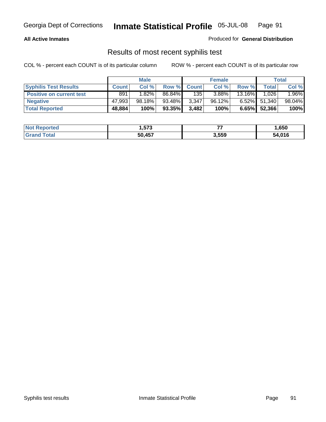#### **All Active Inmates**

Produced for **General Distribution**

### Results of most recent syphilis test

|                                 |              | <b>Male</b> |           |              | <b>Female</b> |          |              | Total  |
|---------------------------------|--------------|-------------|-----------|--------------|---------------|----------|--------------|--------|
| <b>Syphilis Test Results</b>    | <b>Count</b> | Col %       | Row %     | <b>Count</b> | Col %         | Row %    | <b>Total</b> | Col %  |
| <b>Positive on current test</b> | 891          | $1.82\%$    | 86.84%    | 135          | 3.88%         | 13.16%   | 1,026        | 1.96%  |
| <b>Negative</b>                 | 47.993       | 98.18%      | 93.48%    | 3,347        | 96.12%        | $6.52\%$ | 51,340       | 98.04% |
| <b>Total Reported</b>           | 48,884       | 100%        | $93.35\%$ | 3,482        | 100%          | 6.65%    | 52,366       | 100%   |

| <b>Not Reported</b> | ---<br>I.573 | --    | 650, ا |
|---------------------|--------------|-------|--------|
| <b>Grand Total</b>  | 50.457       | 3,559 | 54,016 |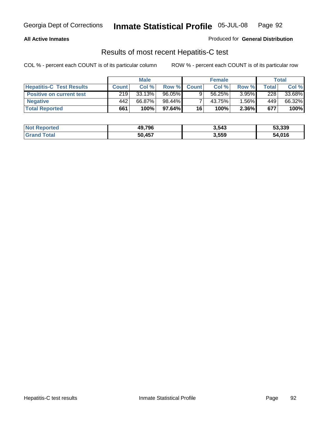#### **All Active Inmates**

Produced for **General Distribution**

### Results of most recent Hepatitis-C test

|                                 |              | <b>Male</b> |        |              | <b>Female</b> |          |             | Total  |
|---------------------------------|--------------|-------------|--------|--------------|---------------|----------|-------------|--------|
| <b>Hepatitis-C Test Results</b> | <b>Count</b> | Col %       | Row %I | <b>Count</b> | Col %         | Row %    | $\tau$ otal | Col %  |
| <b>Positive on current test</b> | 219          | 33.13%      | 96.05% |              | 56.25%        | $3.95\%$ | 228         | 33.68% |
| <b>Negative</b>                 | 442          | 66.87%      | 98.44% |              | 43.75%        | $.56\%$  | 449         | 66.32% |
| <b>Total Reported</b>           | 661          | 100%        | 97.64% | 16           | 100%          | 2.36%    | 677         | 100%   |

| <b>Not Reported</b> | 49,796 | 3,543 | 53,339 |
|---------------------|--------|-------|--------|
| <b>Grand Total</b>  | 50.457 | 3,559 | 54,016 |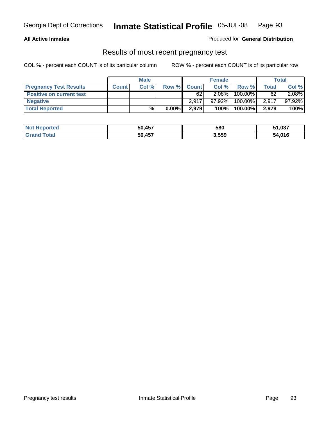### **All Active Inmates**

#### Produced for **General Distribution**

### Results of most recent pregnancy test

|                                 |              | <b>Male</b> |          |              | <b>Female</b> |         |              | <b>Total</b> |
|---------------------------------|--------------|-------------|----------|--------------|---------------|---------|--------------|--------------|
| <b>Pregnancy Test Results</b>   | <b>Count</b> | Col%        | Row %    | <b>Count</b> | Col %         | Row %   | <b>Total</b> | Col %        |
| <b>Positive on current test</b> |              |             |          | 62           | $2.08\%$      | 100.00% | 62           | 2.08%        |
| <b>Negative</b>                 |              |             |          | 2.917        | 97.92%        | 100.00% | 2.917        | 97.92%       |
| <b>Total Reported</b>           |              | $\%$        | $0.00\%$ | 2,979        | 100%          | 100.00% | 2,979        | 100%         |

| <b>Not Reported</b> | 50,457 | 580   | 51,037 |
|---------------------|--------|-------|--------|
| <b>Grand Total</b>  | 50.457 | 3,559 | 54,016 |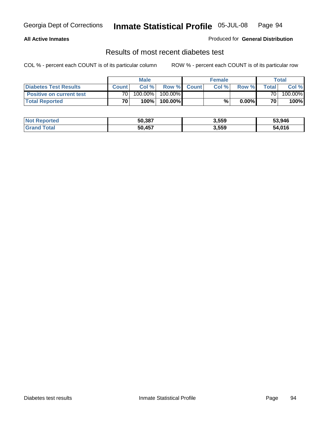### **All Active Inmates**

### Produced for **General Distribution**

### Results of most recent diabetes test

|                                 |                 | Male    |            |              | <b>Female</b> |          |                | Total   |
|---------------------------------|-----------------|---------|------------|--------------|---------------|----------|----------------|---------|
| <b>Diabetes Test Results</b>    | <b>Count</b>    | Col %   | Row %      | <b>Count</b> | Col %         | Row %I   | <b>Total</b> I | Col %   |
| <b>Positive on current test</b> | 70              | 100.00% | $100.00\%$ |              |               |          | 70 I           | 100.00% |
| <b>Total Reported</b>           | 70 <sub>1</sub> | 100%    | 100.00%    |              | %             | $0.00\%$ | 70             | 100%    |

| <b>Not Reported</b>     | 50,387 | 3,559 | 53,946 |
|-------------------------|--------|-------|--------|
| <b>Total</b><br>l Grand | 50.457 | 3,559 | 54,016 |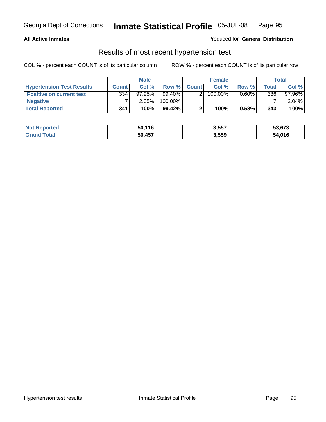#### **All Active Inmates**

### Produced for **General Distribution**

### Results of most recent hypertension test

|                                  | <b>Male</b>  |           |           | <b>Female</b> |            |          | Total |          |
|----------------------------------|--------------|-----------|-----------|---------------|------------|----------|-------|----------|
| <b>Hypertension Test Results</b> | <b>Count</b> | Col %     | Row %     | <b>Count</b>  | Col%       | Row %    | Total | Col %    |
| <b>Positive on current test</b>  | 334          | $97.95\%$ | 99.40%    |               | $100.00\%$ | $0.60\%$ | 336   | 97.96%   |
| <b>Negative</b>                  |              | 2.05%     | 100.00%   |               |            |          |       | $2.04\%$ |
| <b>Total Reported</b>            | 341          | 100%      | $99.42\%$ |               | 100%       | 0.58%    | 343   | 100%     |

| <b>Not Reported</b> | 50,116 | 3,557 | 53,673 |
|---------------------|--------|-------|--------|
| <b>Grand Total</b>  | 50,457 | 3,559 | 54,016 |